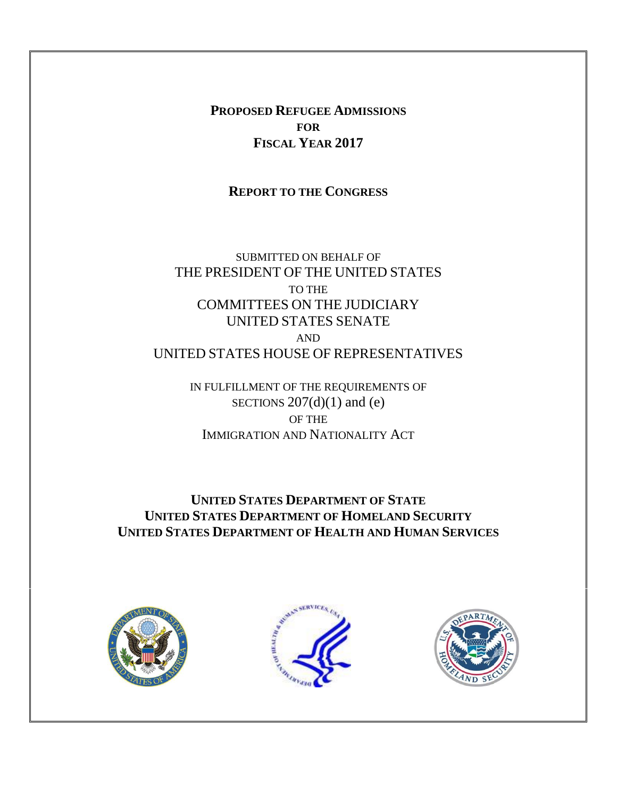**PROPOSED REFUGEE ADMISSIONS FOR FISCAL YEAR 2017**

**REPORT TO THE CONGRESS**

SUBMITTED ON BEHALF OF THE PRESIDENT OF THE UNITED STATES TO THE COMMITTEES ON THE JUDICIARY UNITED STATES SENATE AND UNITED STATES HOUSE OF REPRESENTATIVES

> IN FULFILLMENT OF THE REQUIREMENTS OF SECTIONS  $207(d)(1)$  and (e) OF THE IMMIGRATION AND NATIONALITY ACT

**UNITED STATES DEPARTMENT OF STATE UNITED STATES DEPARTMENT OF HOMELAND SECURITY UNITED STATES DEPARTMENT OF HEALTH AND HUMAN SERVICES**





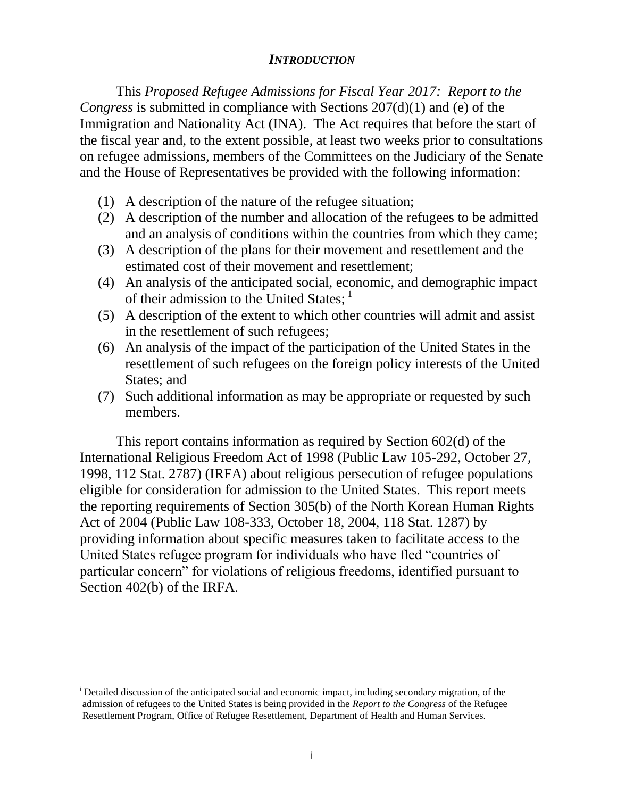### *INTRODUCTION*

This *Proposed Refugee Admissions for Fiscal Year 2017: Report to the Congress* is submitted in compliance with Sections 207(d)(1) and (e) of the Immigration and Nationality Act (INA). The Act requires that before the start of the fiscal year and, to the extent possible, at least two weeks prior to consultations on refugee admissions, members of the Committees on the Judiciary of the Senate and the House of Representatives be provided with the following information:

- (1) A description of the nature of the refugee situation;
- (2) A description of the number and allocation of the refugees to be admitted and an analysis of conditions within the countries from which they came;
- (3) A description of the plans for their movement and resettlement and the estimated cost of their movement and resettlement;
- (4) An analysis of the anticipated social, economic, and demographic impact of their admission to the United States;<sup>1</sup>
- (5) A description of the extent to which other countries will admit and assist in the resettlement of such refugees;
- (6) An analysis of the impact of the participation of the United States in the resettlement of such refugees on the foreign policy interests of the United States; and
- (7) Such additional information as may be appropriate or requested by such members.

This report contains information as required by Section 602(d) of the International Religious Freedom Act of 1998 (Public Law 105-292, October 27, 1998, 112 Stat. 2787) (IRFA) about religious persecution of refugee populations eligible for consideration for admission to the United States. This report meets the reporting requirements of Section 305(b) of the North Korean Human Rights Act of 2004 (Public Law 108-333, October 18, 2004, 118 Stat. 1287) by providing information about specific measures taken to facilitate access to the United States refugee program for individuals who have fled "countries of particular concern" for violations of religious freedoms, identified pursuant to Section 402(b) of the IRFA.

 $\overline{\phantom{a}}$ 

<sup>&</sup>lt;sup>i</sup> Detailed discussion of the anticipated social and economic impact, including secondary migration, of the admission of refugees to the United States is being provided in the *Report to the Congress* of the Refugee Resettlement Program, Office of Refugee Resettlement, Department of Health and Human Services.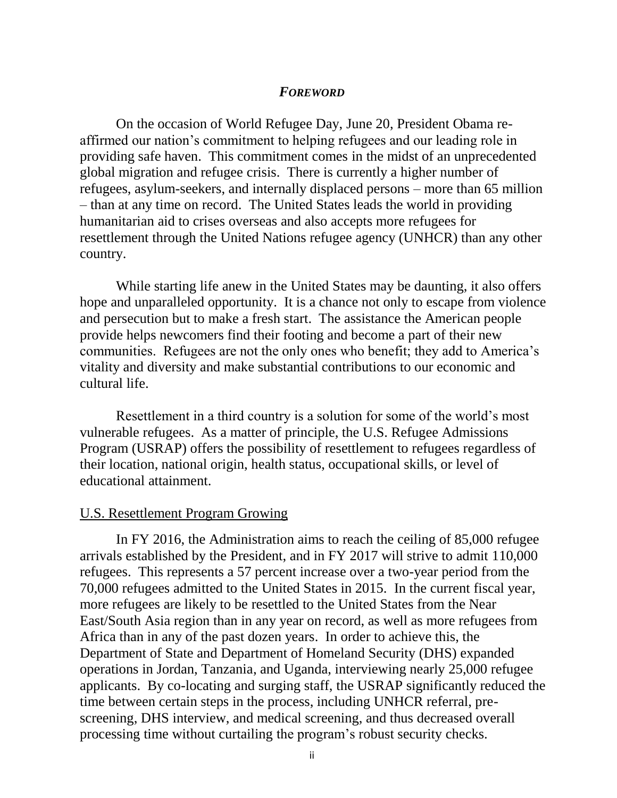#### *FOREWORD*

On the occasion of World Refugee Day, June 20, President Obama reaffirmed our nation's commitment to helping refugees and our leading role in providing safe haven. This commitment comes in the midst of an unprecedented global migration and refugee crisis. There is currently a higher number of refugees, asylum-seekers, and internally displaced persons – more than 65 million – than at any time on record. The United States leads the world in providing humanitarian aid to crises overseas and also accepts more refugees for resettlement through the United Nations refugee agency (UNHCR) than any other country.

While starting life anew in the United States may be daunting, it also offers hope and unparalleled opportunity. It is a chance not only to escape from violence and persecution but to make a fresh start. The assistance the American people provide helps newcomers find their footing and become a part of their new communities. Refugees are not the only ones who benefit; they add to America's vitality and diversity and make substantial contributions to our economic and cultural life.

Resettlement in a third country is a solution for some of the world's most vulnerable refugees. As a matter of principle, the U.S. Refugee Admissions Program (USRAP) offers the possibility of resettlement to refugees regardless of their location, national origin, health status, occupational skills, or level of educational attainment.

### U.S. Resettlement Program Growing

In FY 2016, the Administration aims to reach the ceiling of 85,000 refugee arrivals established by the President, and in FY 2017 will strive to admit 110,000 refugees. This represents a 57 percent increase over a two-year period from the 70,000 refugees admitted to the United States in 2015. In the current fiscal year, more refugees are likely to be resettled to the United States from the Near East/South Asia region than in any year on record, as well as more refugees from Africa than in any of the past dozen years. In order to achieve this, the Department of State and Department of Homeland Security (DHS) expanded operations in Jordan, Tanzania, and Uganda, interviewing nearly 25,000 refugee applicants. By co-locating and surging staff, the USRAP significantly reduced the time between certain steps in the process, including UNHCR referral, prescreening, DHS interview, and medical screening, and thus decreased overall processing time without curtailing the program's robust security checks.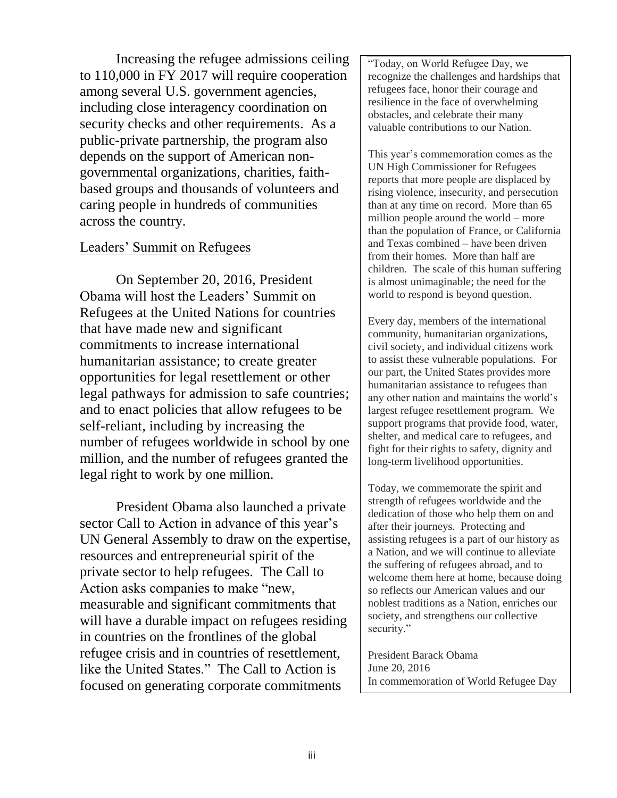Increasing the refugee admissions ceiling to 110,000 in FY 2017 will require cooperation among several U.S. government agencies, including close interagency coordination on security checks and other requirements. As a public-private partnership, the program also depends on the support of American nongovernmental organizations, charities, faithbased groups and thousands of volunteers and caring people in hundreds of communities across the country.

### Leaders' Summit on Refugees

On September 20, 2016, President Obama will host the Leaders' Summit on Refugees at the United Nations for countries that have made new and significant commitments to increase international humanitarian assistance; to create greater opportunities for legal resettlement or other legal pathways for admission to safe countries; and to enact policies that allow refugees to be self-reliant, including by increasing the number of refugees worldwide in school by one million, and the number of refugees granted the legal right to work by one million.

President Obama also launched a private sector Call to Action in advance of this year's UN General Assembly to draw on the expertise, resources and entrepreneurial spirit of the private sector to help refugees. The Call to Action asks companies to make "new, measurable and significant commitments that will have a durable impact on refugees residing in countries on the frontlines of the global refugee crisis and in countries of resettlement, like the United States." The Call to Action is focused on generating corporate commitments

"Today, on World Refugee Day, we recognize the challenges and hardships that refugees face, honor their courage and resilience in the face of overwhelming obstacles, and celebrate their many valuable contributions to our Nation.

This year's commemoration comes as the UN High Commissioner for Refugees reports that more people are displaced by rising violence, insecurity, and persecution than at any time on record. More than 65 million people around the world – more than the population of France, or California and Texas combined – have been driven from their homes. More than half are children. The scale of this human suffering is almost unimaginable; the need for the world to respond is beyond question.

Every day, members of the international community, humanitarian organizations, civil society, and individual citizens work to assist these vulnerable populations. For our part, the United States provides more humanitarian assistance to refugees than any other nation and maintains the world's largest refugee resettlement program. We support programs that provide food, water, shelter, and medical care to refugees, and fight for their rights to safety, dignity and long-term livelihood opportunities.

Today, we commemorate the spirit and strength of refugees worldwide and the dedication of those who help them on and after their journeys. Protecting and assisting refugees is a part of our history as a Nation, and we will continue to alleviate the suffering of refugees abroad, and to welcome them here at home, because doing so reflects our American values and our noblest traditions as a Nation, enriches our society, and strengthens our collective security."

President Barack Obama June 20, 2016 In commemoration of World Refugee Day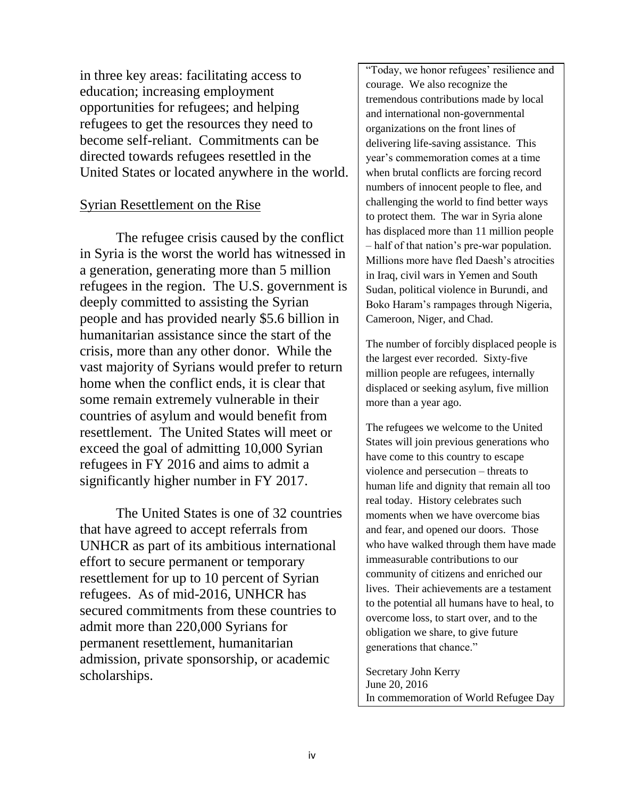in three key areas: facilitating access to education; increasing employment opportunities for refugees; and helping refugees to get the resources they need to become self-reliant. Commitments can be directed towards refugees resettled in the United States or located anywhere in the world.

### Syrian Resettlement on the Rise

The refugee crisis caused by the conflict in Syria is the worst the world has witnessed in a generation, generating more than 5 million refugees in the region. The U.S. government is deeply committed to assisting the Syrian people and has provided nearly \$5.6 billion in humanitarian assistance since the start of the crisis, more than any other donor. While the vast majority of Syrians would prefer to return home when the conflict ends, it is clear that some remain extremely vulnerable in their countries of asylum and would benefit from resettlement. The United States will meet or exceed the goal of admitting 10,000 Syrian refugees in FY 2016 and aims to admit a significantly higher number in FY 2017.

The United States is one of 32 countries that have agreed to accept referrals from UNHCR as part of its ambitious international effort to secure permanent or temporary resettlement for up to 10 percent of Syrian refugees. As of mid-2016, UNHCR has secured commitments from these countries to admit more than 220,000 Syrians for permanent resettlement, humanitarian admission, private sponsorship, or academic scholarships.

"Today, we honor refugees' resilience and courage. We also recognize the tremendous contributions made by local and international non-governmental organizations on the front lines of delivering life-saving assistance. This year's commemoration comes at a time when brutal conflicts are forcing record numbers of innocent people to flee, and challenging the world to find better ways to protect them. The war in Syria alone has displaced more than 11 million people – half of that nation's pre-war population. Millions more have fled Daesh's atrocities in Iraq, civil wars in Yemen and South Sudan, political violence in Burundi, and Boko Haram's rampages through Nigeria, Cameroon, Niger, and Chad.

The number of forcibly displaced people is the largest ever recorded. Sixty-five million people are refugees, internally displaced or seeking asylum, five million more than a year ago.

The refugees we welcome to the United States will join previous generations who have come to this country to escape violence and persecution – threats to human life and dignity that remain all too real today. History celebrates such moments when we have overcome bias and fear, and opened our doors. Those who have walked through them have made immeasurable contributions to our community of citizens and enriched our lives. Their achievements are a testament to the potential all humans have to heal, to overcome loss, to start over, and to the obligation we share, to give future generations that chance."

Secretary John Kerry June 20, 2016 In commemoration of World Refugee Day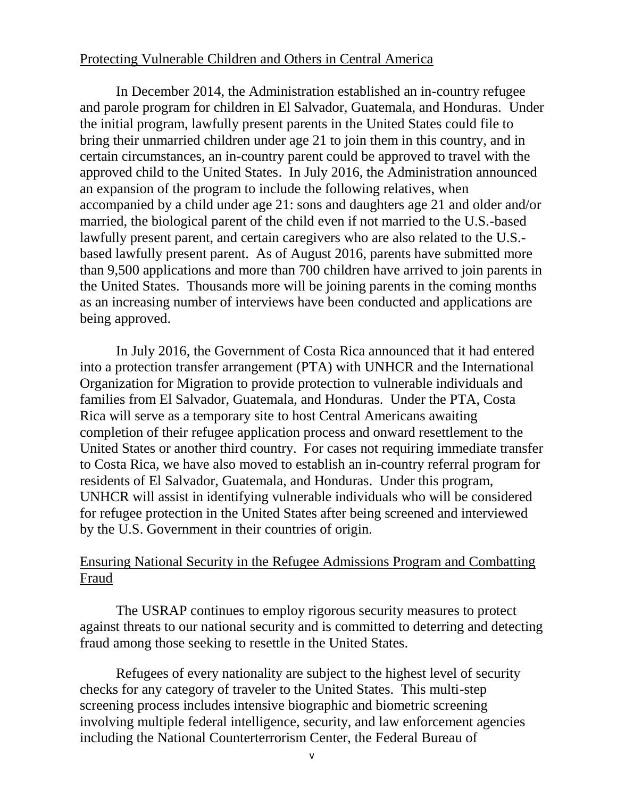#### Protecting Vulnerable Children and Others in Central America

In December 2014, the Administration established an in-country refugee and parole program for children in El Salvador, Guatemala, and Honduras. Under the initial program, lawfully present parents in the United States could file to bring their unmarried children under age 21 to join them in this country, and in certain circumstances, an in-country parent could be approved to travel with the approved child to the United States. In July 2016, the Administration announced an expansion of the program to include the following relatives, when accompanied by a child under age 21: sons and daughters age 21 and older and/or married, the biological parent of the child even if not married to the U.S.-based lawfully present parent, and certain caregivers who are also related to the U.S. based lawfully present parent. As of August 2016, parents have submitted more than 9,500 applications and more than 700 children have arrived to join parents in the United States. Thousands more will be joining parents in the coming months as an increasing number of interviews have been conducted and applications are being approved.

In July 2016, the Government of Costa Rica announced that it had entered into a protection transfer arrangement (PTA) with UNHCR and the International Organization for Migration to provide protection to vulnerable individuals and families from El Salvador, Guatemala, and Honduras. Under the PTA, Costa Rica will serve as a temporary site to host Central Americans awaiting completion of their refugee application process and onward resettlement to the United States or another third country. For cases not requiring immediate transfer to Costa Rica, we have also moved to establish an in-country referral program for residents of El Salvador, Guatemala, and Honduras. Under this program, UNHCR will assist in identifying vulnerable individuals who will be considered for refugee protection in the United States after being screened and interviewed by the U.S. Government in their countries of origin.

## Ensuring National Security in the Refugee Admissions Program and Combatting Fraud

The USRAP continues to employ rigorous security measures to protect against threats to our national security and is committed to deterring and detecting fraud among those seeking to resettle in the United States.

Refugees of every nationality are subject to the highest level of security checks for any category of traveler to the United States. This multi-step screening process includes intensive biographic and biometric screening involving multiple federal intelligence, security, and law enforcement agencies including the National Counterterrorism Center, the Federal Bureau of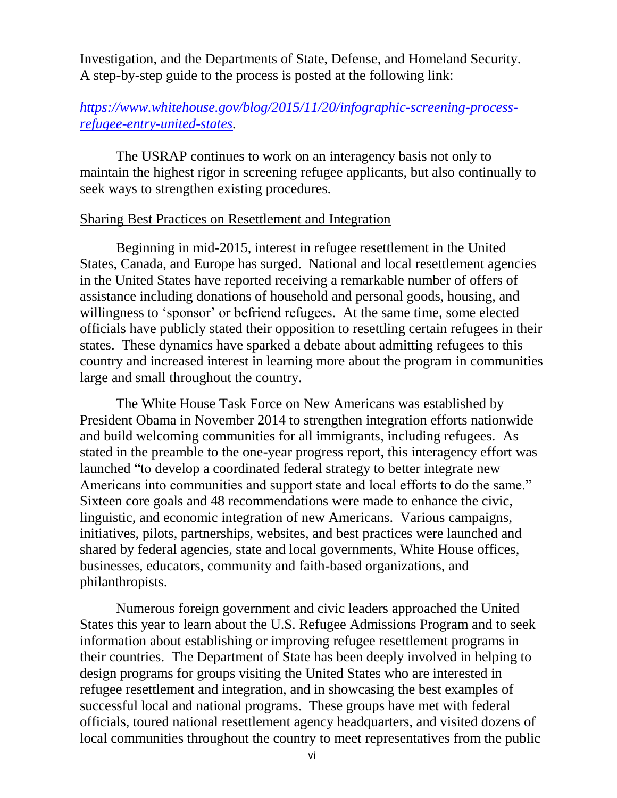Investigation, and the Departments of State, Defense, and Homeland Security. A step-by-step guide to the process is posted at the following link:

## *[https://www.whitehouse.gov/blog/2015/11/20/infographic-screening-process](https://www.whitehouse.gov/blog/2015/11/20/infographic-screening-process-refugee-entry-united-states)[refugee-entry-united-states.](https://www.whitehouse.gov/blog/2015/11/20/infographic-screening-process-refugee-entry-united-states)*

The USRAP continues to work on an interagency basis not only to maintain the highest rigor in screening refugee applicants, but also continually to seek ways to strengthen existing procedures.

#### Sharing Best Practices on Resettlement and Integration

Beginning in mid-2015, interest in refugee resettlement in the United States, Canada, and Europe has surged. National and local resettlement agencies in the United States have reported receiving a remarkable number of offers of assistance including donations of household and personal goods, housing, and willingness to 'sponsor' or befriend refugees. At the same time, some elected officials have publicly stated their opposition to resettling certain refugees in their states. These dynamics have sparked a debate about admitting refugees to this country and increased interest in learning more about the program in communities large and small throughout the country.

The White House Task Force on New Americans was established by President Obama in November 2014 to strengthen integration efforts nationwide and build welcoming communities for all immigrants, including refugees. As stated in the preamble to the one-year progress report, this interagency effort was launched "to develop a coordinated federal strategy to better integrate new Americans into communities and support state and local efforts to do the same." Sixteen core goals and 48 recommendations were made to enhance the civic, linguistic, and economic integration of new Americans. Various campaigns, initiatives, pilots, partnerships, websites, and best practices were launched and shared by federal agencies, state and local governments, White House offices, businesses, educators, community and faith-based organizations, and philanthropists.

Numerous foreign government and civic leaders approached the United States this year to learn about the U.S. Refugee Admissions Program and to seek information about establishing or improving refugee resettlement programs in their countries. The Department of State has been deeply involved in helping to design programs for groups visiting the United States who are interested in refugee resettlement and integration, and in showcasing the best examples of successful local and national programs. These groups have met with federal officials, toured national resettlement agency headquarters, and visited dozens of local communities throughout the country to meet representatives from the public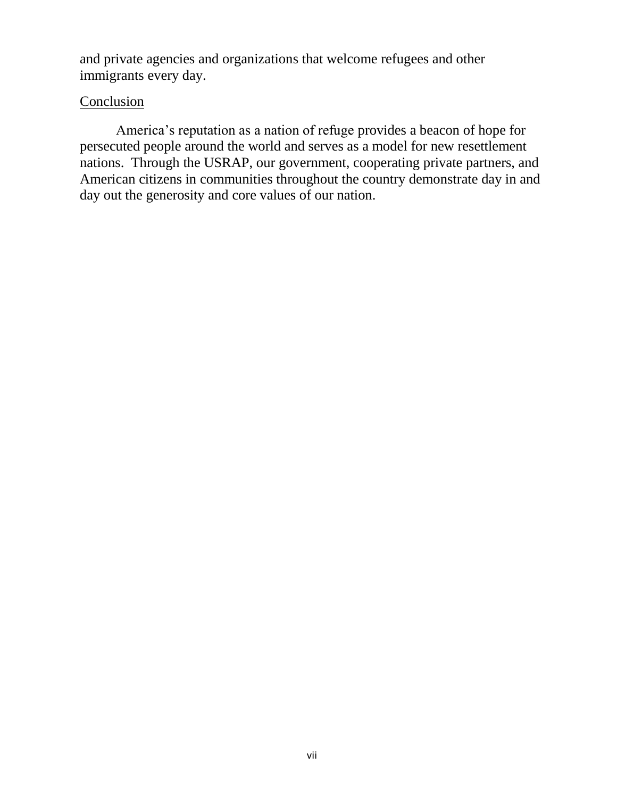and private agencies and organizations that welcome refugees and other immigrants every day.

### **Conclusion**

America's reputation as a nation of refuge provides a beacon of hope for persecuted people around the world and serves as a model for new resettlement nations. Through the USRAP, our government, cooperating private partners, and American citizens in communities throughout the country demonstrate day in and day out the generosity and core values of our nation.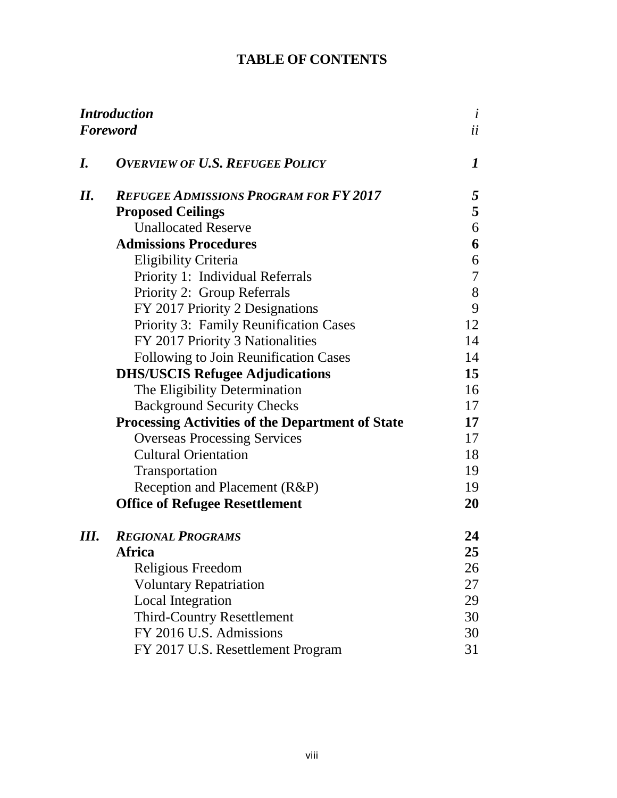# **TABLE OF CONTENTS**

| <b>Introduction</b><br><b>Foreword</b> |                                                         | $\dot{i}$<br>ii |
|----------------------------------------|---------------------------------------------------------|-----------------|
|                                        |                                                         |                 |
| I.                                     | <b>OVERVIEW OF U.S. REFUGEE POLICY</b>                  | 1               |
| II.                                    | <b>REFUGEE ADMISSIONS PROGRAM FOR FY 2017</b>           | $\mathfrak{F}$  |
|                                        | <b>Proposed Ceilings</b>                                | 5               |
|                                        | <b>Unallocated Reserve</b>                              | 6               |
|                                        | <b>Admissions Procedures</b>                            | 6               |
|                                        | <b>Eligibility Criteria</b>                             | 6               |
|                                        | Priority 1: Individual Referrals                        | $\tau$          |
|                                        | Priority 2: Group Referrals                             | 8               |
|                                        | FY 2017 Priority 2 Designations                         | 9               |
|                                        | Priority 3: Family Reunification Cases                  | 12              |
|                                        | FY 2017 Priority 3 Nationalities                        | 14              |
|                                        | Following to Join Reunification Cases                   | 14              |
|                                        | <b>DHS/USCIS Refugee Adjudications</b>                  | 15              |
|                                        | The Eligibility Determination                           | 16              |
|                                        | <b>Background Security Checks</b>                       | 17              |
|                                        | <b>Processing Activities of the Department of State</b> | 17              |
|                                        | <b>Overseas Processing Services</b>                     | 17              |
|                                        | <b>Cultural Orientation</b>                             | 18              |
|                                        | Transportation                                          | 19              |
|                                        | Reception and Placement (R&P)                           | 19              |
|                                        | <b>Office of Refugee Resettlement</b>                   | 20              |
| III.                                   | <b>REGIONAL PROGRAMS</b>                                | 24              |
|                                        | Africa                                                  | 25              |
|                                        | Religious Freedom                                       | 26              |
|                                        | <b>Voluntary Repatriation</b>                           | 27              |
|                                        | <b>Local Integration</b>                                | 29              |
|                                        | <b>Third-Country Resettlement</b>                       | 30              |
|                                        | FY 2016 U.S. Admissions                                 | 30              |
|                                        | FY 2017 U.S. Resettlement Program                       | 31              |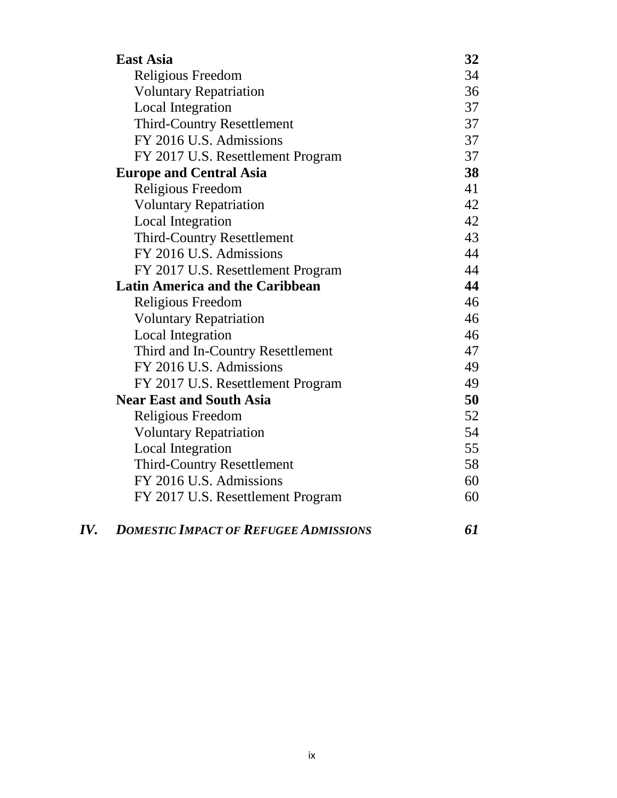| <b>East Asia</b>                       | 32 |
|----------------------------------------|----|
| Religious Freedom                      | 34 |
| <b>Voluntary Repatriation</b>          | 36 |
| <b>Local Integration</b>               | 37 |
| <b>Third-Country Resettlement</b>      | 37 |
| FY 2016 U.S. Admissions                | 37 |
| FY 2017 U.S. Resettlement Program      | 37 |
| <b>Europe and Central Asia</b>         | 38 |
| Religious Freedom                      | 41 |
| <b>Voluntary Repatriation</b>          | 42 |
| <b>Local Integration</b>               | 42 |
| <b>Third-Country Resettlement</b>      | 43 |
| FY 2016 U.S. Admissions                | 44 |
| FY 2017 U.S. Resettlement Program      | 44 |
| <b>Latin America and the Caribbean</b> | 44 |
| Religious Freedom                      | 46 |
| <b>Voluntary Repatriation</b>          | 46 |
| <b>Local Integration</b>               | 46 |
| Third and In-Country Resettlement      | 47 |
| FY 2016 U.S. Admissions                | 49 |
| FY 2017 U.S. Resettlement Program      | 49 |
| <b>Near East and South Asia</b>        | 50 |
| Religious Freedom                      | 52 |
| <b>Voluntary Repatriation</b>          | 54 |
| <b>Local Integration</b>               | 55 |
| <b>Third-Country Resettlement</b>      | 58 |
| FY 2016 U.S. Admissions                | 60 |
| FY 2017 U.S. Resettlement Program      | 60 |
|                                        |    |

| IV.<br><b>DOMESTIC IMPACT OF REFUGEE ADMISSIONS</b> |  |
|-----------------------------------------------------|--|
|-----------------------------------------------------|--|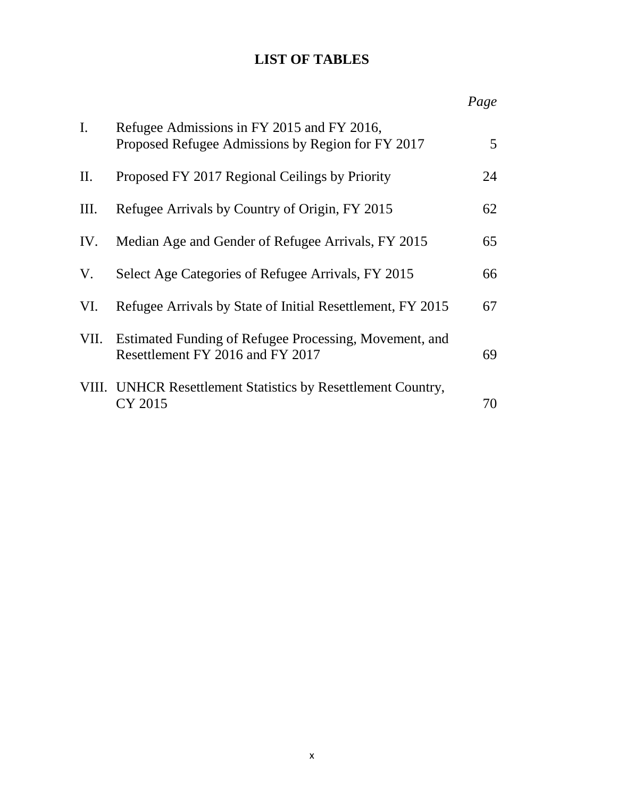# **LIST OF TABLES**

|             |                                                                                                 | Page |
|-------------|-------------------------------------------------------------------------------------------------|------|
| $I_{\cdot}$ | Refugee Admissions in FY 2015 and FY 2016,<br>Proposed Refugee Admissions by Region for FY 2017 | 5    |
| II.         | Proposed FY 2017 Regional Ceilings by Priority                                                  | 24   |
| Ш.          | Refugee Arrivals by Country of Origin, FY 2015                                                  | 62   |
| IV.         | Median Age and Gender of Refugee Arrivals, FY 2015                                              | 65   |
| V.          | Select Age Categories of Refugee Arrivals, FY 2015                                              | 66   |
| VI.         | Refugee Arrivals by State of Initial Resettlement, FY 2015                                      | 67   |
| VII.        | Estimated Funding of Refugee Processing, Movement, and<br>Resettlement FY 2016 and FY 2017      | 69   |
|             | VIII. UNHCR Resettlement Statistics by Resettlement Country,<br>CY 2015                         | 70   |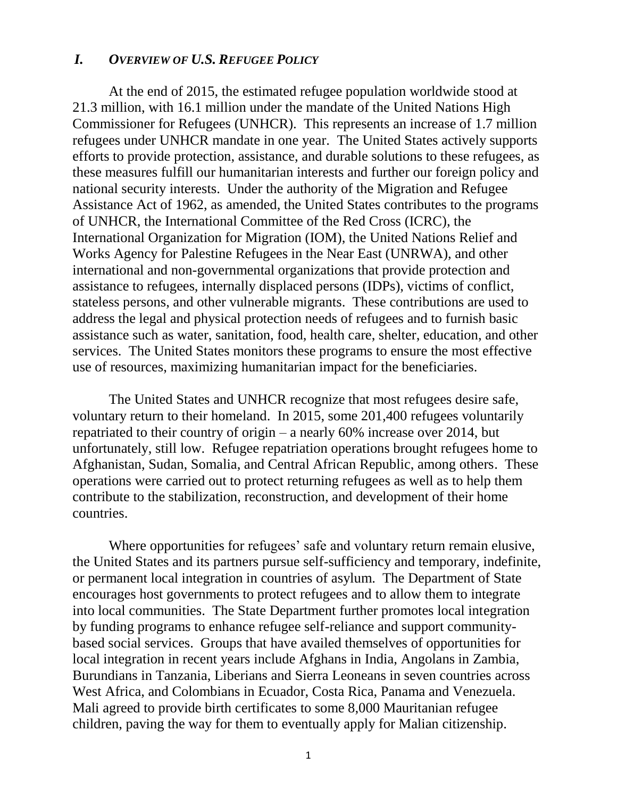#### *I. OVERVIEW OF U.S. REFUGEE POLICY*

At the end of 2015, the estimated refugee population worldwide stood at 21.3 million, with 16.1 million under the mandate of the United Nations High Commissioner for Refugees (UNHCR). This represents an increase of 1.7 million refugees under UNHCR mandate in one year. The United States actively supports efforts to provide protection, assistance, and durable solutions to these refugees, as these measures fulfill our humanitarian interests and further our foreign policy and national security interests. Under the authority of the Migration and Refugee Assistance Act of 1962, as amended, the United States contributes to the programs of UNHCR, the International Committee of the Red Cross (ICRC), the International Organization for Migration (IOM), the United Nations Relief and Works Agency for Palestine Refugees in the Near East (UNRWA), and other international and non-governmental organizations that provide protection and assistance to refugees, internally displaced persons (IDPs), victims of conflict, stateless persons, and other vulnerable migrants. These contributions are used to address the legal and physical protection needs of refugees and to furnish basic assistance such as water, sanitation, food, health care, shelter, education, and other services. The United States monitors these programs to ensure the most effective use of resources, maximizing humanitarian impact for the beneficiaries.

The United States and UNHCR recognize that most refugees desire safe, voluntary return to their homeland. In 2015, some 201,400 refugees voluntarily repatriated to their country of origin – a nearly 60% increase over 2014, but unfortunately, still low. Refugee repatriation operations brought refugees home to Afghanistan, Sudan, Somalia, and Central African Republic, among others. These operations were carried out to protect returning refugees as well as to help them contribute to the stabilization, reconstruction, and development of their home countries.

Where opportunities for refugees' safe and voluntary return remain elusive, the United States and its partners pursue self-sufficiency and temporary, indefinite, or permanent local integration in countries of asylum. The Department of State encourages host governments to protect refugees and to allow them to integrate into local communities. The State Department further promotes local integration by funding programs to enhance refugee self-reliance and support communitybased social services. Groups that have availed themselves of opportunities for local integration in recent years include Afghans in India, Angolans in Zambia, Burundians in Tanzania, Liberians and Sierra Leoneans in seven countries across West Africa, and Colombians in Ecuador, Costa Rica, Panama and Venezuela. Mali agreed to provide birth certificates to some 8,000 Mauritanian refugee children, paving the way for them to eventually apply for Malian citizenship.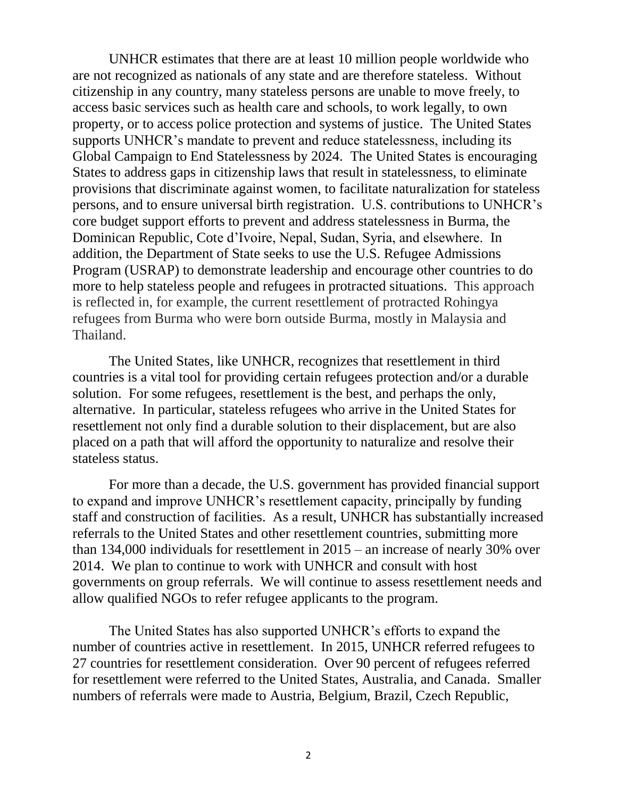UNHCR estimates that there are at least 10 million people worldwide who are not recognized as nationals of any state and are therefore stateless. Without citizenship in any country, many stateless persons are unable to move freely, to access basic services such as health care and schools, to work legally, to own property, or to access police protection and systems of justice. The United States supports UNHCR's mandate to prevent and reduce statelessness, including its Global Campaign to End Statelessness by 2024. The United States is encouraging States to address gaps in citizenship laws that result in statelessness, to eliminate provisions that discriminate against women, to facilitate naturalization for stateless persons, and to ensure universal birth registration. U.S. contributions to UNHCR's core budget support efforts to prevent and address statelessness in Burma, the Dominican Republic, Cote d'Ivoire, Nepal, Sudan, Syria, and elsewhere. In addition, the Department of State seeks to use the U.S. Refugee Admissions Program (USRAP) to demonstrate leadership and encourage other countries to do more to help stateless people and refugees in protracted situations. This approach is reflected in, for example, the current resettlement of protracted Rohingya refugees from Burma who were born outside Burma, mostly in Malaysia and Thailand.

The United States, like UNHCR, recognizes that resettlement in third countries is a vital tool for providing certain refugees protection and/or a durable solution. For some refugees, resettlement is the best, and perhaps the only, alternative. In particular, stateless refugees who arrive in the United States for resettlement not only find a durable solution to their displacement, but are also placed on a path that will afford the opportunity to naturalize and resolve their stateless status.

For more than a decade, the U.S. government has provided financial support to expand and improve UNHCR's resettlement capacity, principally by funding staff and construction of facilities. As a result, UNHCR has substantially increased referrals to the United States and other resettlement countries, submitting more than 134,000 individuals for resettlement in 2015 – an increase of nearly 30% over 2014. We plan to continue to work with UNHCR and consult with host governments on group referrals. We will continue to assess resettlement needs and allow qualified NGOs to refer refugee applicants to the program.

The United States has also supported UNHCR's efforts to expand the number of countries active in resettlement. In 2015, UNHCR referred refugees to 27 countries for resettlement consideration. Over 90 percent of refugees referred for resettlement were referred to the United States, Australia, and Canada. Smaller numbers of referrals were made to Austria, Belgium, Brazil, Czech Republic,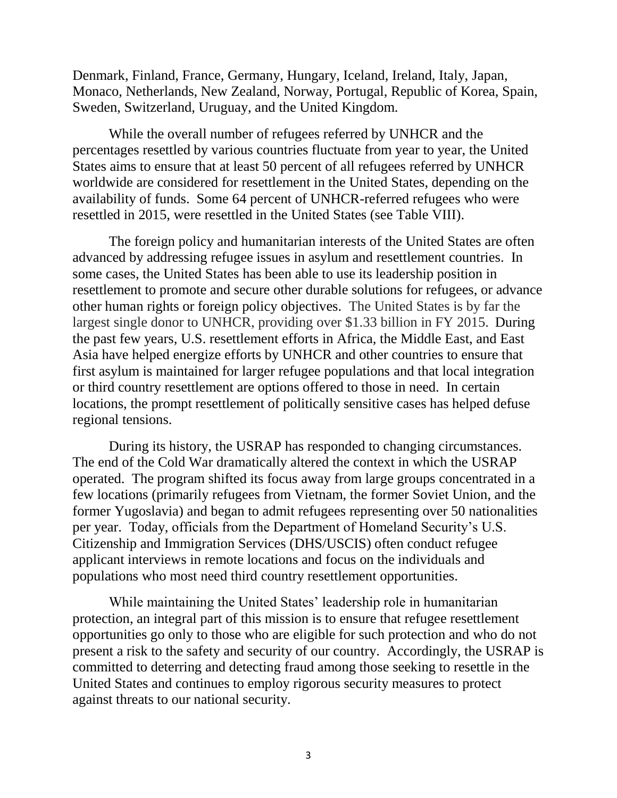Denmark, Finland, France, Germany, Hungary, Iceland, Ireland, Italy, Japan, Monaco, Netherlands, New Zealand, Norway, Portugal, Republic of Korea, Spain, Sweden, Switzerland, Uruguay, and the United Kingdom.

While the overall number of refugees referred by UNHCR and the percentages resettled by various countries fluctuate from year to year, the United States aims to ensure that at least 50 percent of all refugees referred by UNHCR worldwide are considered for resettlement in the United States, depending on the availability of funds. Some 64 percent of UNHCR-referred refugees who were resettled in 2015, were resettled in the United States (see Table VIII).

The foreign policy and humanitarian interests of the United States are often advanced by addressing refugee issues in asylum and resettlement countries. In some cases, the United States has been able to use its leadership position in resettlement to promote and secure other durable solutions for refugees, or advance other human rights or foreign policy objectives. The United States is by far the largest single donor to UNHCR, providing over \$1.33 billion in FY 2015. During the past few years, U.S. resettlement efforts in Africa, the Middle East, and East Asia have helped energize efforts by UNHCR and other countries to ensure that first asylum is maintained for larger refugee populations and that local integration or third country resettlement are options offered to those in need. In certain locations, the prompt resettlement of politically sensitive cases has helped defuse regional tensions.

During its history, the USRAP has responded to changing circumstances. The end of the Cold War dramatically altered the context in which the USRAP operated. The program shifted its focus away from large groups concentrated in a few locations (primarily refugees from Vietnam, the former Soviet Union, and the former Yugoslavia) and began to admit refugees representing over 50 nationalities per year. Today, officials from the Department of Homeland Security's U.S. Citizenship and Immigration Services (DHS/USCIS) often conduct refugee applicant interviews in remote locations and focus on the individuals and populations who most need third country resettlement opportunities.

While maintaining the United States' leadership role in humanitarian protection, an integral part of this mission is to ensure that refugee resettlement opportunities go only to those who are eligible for such protection and who do not present a risk to the safety and security of our country. Accordingly, the USRAP is committed to deterring and detecting fraud among those seeking to resettle in the United States and continues to employ rigorous security measures to protect against threats to our national security.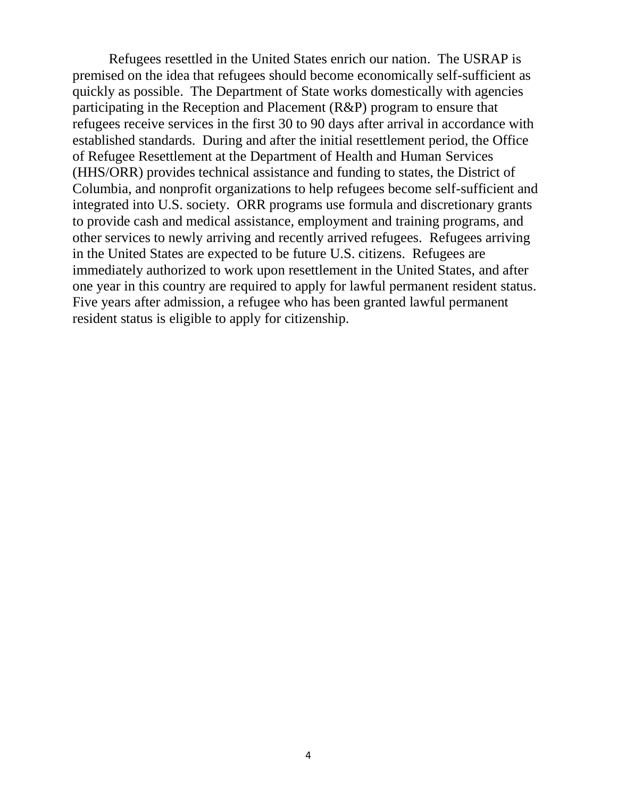Refugees resettled in the United States enrich our nation. The USRAP is premised on the idea that refugees should become economically self-sufficient as quickly as possible. The Department of State works domestically with agencies participating in the Reception and Placement (R&P) program to ensure that refugees receive services in the first 30 to 90 days after arrival in accordance with established standards. During and after the initial resettlement period, the Office of Refugee Resettlement at the Department of Health and Human Services (HHS/ORR) provides technical assistance and funding to states, the District of Columbia, and nonprofit organizations to help refugees become self-sufficient and integrated into U.S. society. ORR programs use formula and discretionary grants to provide cash and medical assistance, employment and training programs, and other services to newly arriving and recently arrived refugees. Refugees arriving in the United States are expected to be future U.S. citizens. Refugees are immediately authorized to work upon resettlement in the United States, and after one year in this country are required to apply for lawful permanent resident status. Five years after admission, a refugee who has been granted lawful permanent resident status is eligible to apply for citizenship.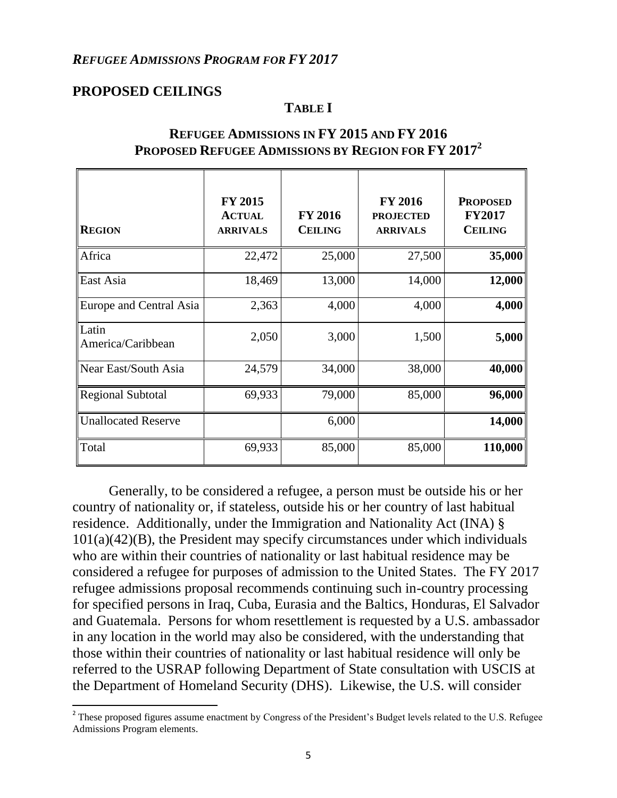#### *REFUGEE ADMISSIONS PROGRAM FOR FY 2017*

### **PROPOSED CEILINGS**

 $\overline{\phantom{a}}$ 

#### **TABLE I**

| <b>REGION</b>              | <b>FY 2015</b><br><b>ACTUAL</b><br><b>ARRIVALS</b> | <b>FY 2016</b><br><b>CEILING</b> | <b>FY 2016</b><br><b>PROJECTED</b><br><b>ARRIVALS</b> | <b>PROPOSED</b><br><b>FY2017</b><br><b>CEILING</b> |
|----------------------------|----------------------------------------------------|----------------------------------|-------------------------------------------------------|----------------------------------------------------|
| Africa                     | 22,472                                             | 25,000                           | 27,500                                                | 35,000                                             |
| East Asia                  | 18,469                                             | 13,000                           | 14,000                                                | 12,000                                             |
| Europe and Central Asia    | 2,363                                              | 4,000                            | 4,000                                                 | 4,000                                              |
| Latin<br>America/Caribbean | 2,050                                              | 3,000                            | 1,500                                                 | 5,000                                              |
| Near East/South Asia       | 24,579                                             | 34,000                           | 38,000                                                | 40,000                                             |
| <b>Regional Subtotal</b>   | 69,933                                             | 79,000                           | 85,000                                                | 96,000                                             |
| <b>Unallocated Reserve</b> |                                                    | 6,000                            |                                                       | 14,000                                             |
| Total                      | 69,933                                             | 85,000                           | 85,000                                                | 110,000                                            |

#### **REFUGEE ADMISSIONS IN FY 2015 AND FY 2016 PROPOSED REFUGEE ADMISSIONS BY REGION FOR FY 2017<sup>2</sup>**

Generally, to be considered a refugee, a person must be outside his or her country of nationality or, if stateless, outside his or her country of last habitual residence. Additionally, under the Immigration and Nationality Act (INA) § 101(a)(42)(B), the President may specify circumstances under which individuals who are within their countries of nationality or last habitual residence may be considered a refugee for purposes of admission to the United States. The FY 2017 refugee admissions proposal recommends continuing such in-country processing for specified persons in Iraq, Cuba, Eurasia and the Baltics, Honduras, El Salvador and Guatemala. Persons for whom resettlement is requested by a U.S. ambassador in any location in the world may also be considered, with the understanding that those within their countries of nationality or last habitual residence will only be referred to the USRAP following Department of State consultation with USCIS at the Department of Homeland Security (DHS). Likewise, the U.S. will consider

 $2^2$  These proposed figures assume enactment by Congress of the President's Budget levels related to the U.S. Refugee Admissions Program elements.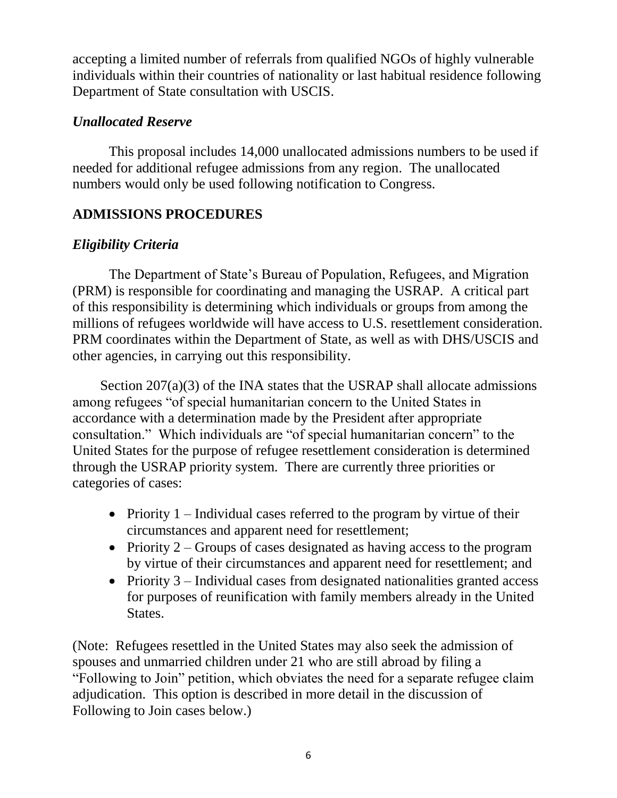accepting a limited number of referrals from qualified NGOs of highly vulnerable individuals within their countries of nationality or last habitual residence following Department of State consultation with USCIS.

# *Unallocated Reserve*

This proposal includes 14,000 unallocated admissions numbers to be used if needed for additional refugee admissions from any region. The unallocated numbers would only be used following notification to Congress.

# **ADMISSIONS PROCEDURES**

# *Eligibility Criteria*

The Department of State's Bureau of Population, Refugees, and Migration (PRM) is responsible for coordinating and managing the USRAP. A critical part of this responsibility is determining which individuals or groups from among the millions of refugees worldwide will have access to U.S. resettlement consideration. PRM coordinates within the Department of State, as well as with DHS/USCIS and other agencies, in carrying out this responsibility.

Section 207(a)(3) of the INA states that the USRAP shall allocate admissions among refugees "of special humanitarian concern to the United States in accordance with a determination made by the President after appropriate consultation." Which individuals are "of special humanitarian concern" to the United States for the purpose of refugee resettlement consideration is determined through the USRAP priority system. There are currently three priorities or categories of cases:

- Priority  $1$  Individual cases referred to the program by virtue of their circumstances and apparent need for resettlement;
- Priority  $2 -$  Groups of cases designated as having access to the program by virtue of their circumstances and apparent need for resettlement; and
- Priority  $3$  Individual cases from designated nationalities granted access for purposes of reunification with family members already in the United States.

(Note: Refugees resettled in the United States may also seek the admission of spouses and unmarried children under 21 who are still abroad by filing a "Following to Join" petition, which obviates the need for a separate refugee claim adjudication. This option is described in more detail in the discussion of Following to Join cases below.)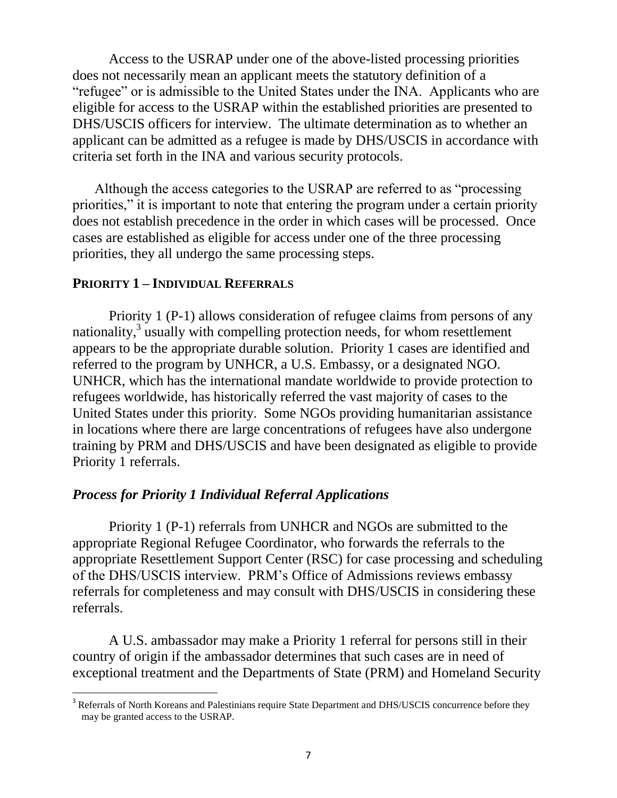Access to the USRAP under one of the above-listed processing priorities does not necessarily mean an applicant meets the statutory definition of a "refugee" or is admissible to the United States under the INA. Applicants who are eligible for access to the USRAP within the established priorities are presented to DHS/USCIS officers for interview. The ultimate determination as to whether an applicant can be admitted as a refugee is made by DHS/USCIS in accordance with criteria set forth in the INA and various security protocols.

Although the access categories to the USRAP are referred to as "processing priorities," it is important to note that entering the program under a certain priority does not establish precedence in the order in which cases will be processed. Once cases are established as eligible for access under one of the three processing priorities, they all undergo the same processing steps.

#### **PRIORITY 1 – INDIVIDUAL REFERRALS**

 $\overline{\phantom{a}}$ 

Priority 1 (P-1) allows consideration of refugee claims from persons of any nationality,<sup>3</sup> usually with compelling protection needs, for whom resettlement appears to be the appropriate durable solution. Priority 1 cases are identified and referred to the program by UNHCR, a U.S. Embassy, or a designated NGO. UNHCR, which has the international mandate worldwide to provide protection to refugees worldwide, has historically referred the vast majority of cases to the United States under this priority. Some NGOs providing humanitarian assistance in locations where there are large concentrations of refugees have also undergone training by PRM and DHS/USCIS and have been designated as eligible to provide Priority 1 referrals.

### *Process for Priority 1 Individual Referral Applications*

Priority 1 (P-1) referrals from UNHCR and NGOs are submitted to the appropriate Regional Refugee Coordinator, who forwards the referrals to the appropriate Resettlement Support Center (RSC) for case processing and scheduling of the DHS/USCIS interview. PRM's Office of Admissions reviews embassy referrals for completeness and may consult with DHS/USCIS in considering these referrals.

A U.S. ambassador may make a Priority 1 referral for persons still in their country of origin if the ambassador determines that such cases are in need of exceptional treatment and the Departments of State (PRM) and Homeland Security

<sup>&</sup>lt;sup>3</sup> Referrals of North Koreans and Palestinians require State Department and DHS/USCIS concurrence before they may be granted access to the USRAP.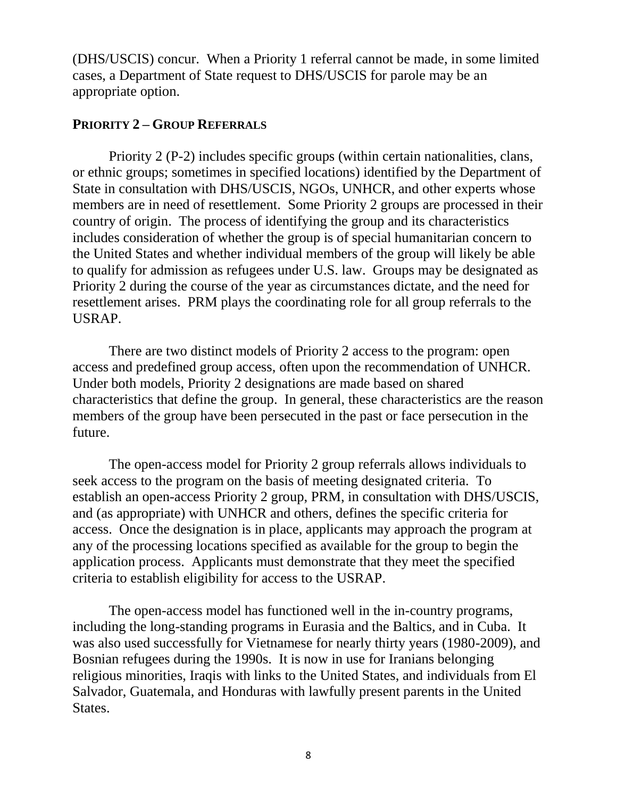(DHS/USCIS) concur. When a Priority 1 referral cannot be made, in some limited cases, a Department of State request to DHS/USCIS for parole may be an appropriate option.

### **PRIORITY 2 – GROUP REFERRALS**

Priority 2 (P-2) includes specific groups (within certain nationalities, clans, or ethnic groups; sometimes in specified locations) identified by the Department of State in consultation with DHS/USCIS, NGOs, UNHCR, and other experts whose members are in need of resettlement. Some Priority 2 groups are processed in their country of origin. The process of identifying the group and its characteristics includes consideration of whether the group is of special humanitarian concern to the United States and whether individual members of the group will likely be able to qualify for admission as refugees under U.S. law. Groups may be designated as Priority 2 during the course of the year as circumstances dictate, and the need for resettlement arises. PRM plays the coordinating role for all group referrals to the USRAP.

There are two distinct models of Priority 2 access to the program: open access and predefined group access, often upon the recommendation of UNHCR. Under both models, Priority 2 designations are made based on shared characteristics that define the group. In general, these characteristics are the reason members of the group have been persecuted in the past or face persecution in the future.

The open-access model for Priority 2 group referrals allows individuals to seek access to the program on the basis of meeting designated criteria. To establish an open-access Priority 2 group, PRM, in consultation with DHS/USCIS, and (as appropriate) with UNHCR and others, defines the specific criteria for access. Once the designation is in place, applicants may approach the program at any of the processing locations specified as available for the group to begin the application process. Applicants must demonstrate that they meet the specified criteria to establish eligibility for access to the USRAP.

The open-access model has functioned well in the in-country programs, including the long-standing programs in Eurasia and the Baltics, and in Cuba. It was also used successfully for Vietnamese for nearly thirty years (1980-2009), and Bosnian refugees during the 1990s. It is now in use for Iranians belonging religious minorities, Iraqis with links to the United States, and individuals from El Salvador, Guatemala, and Honduras with lawfully present parents in the United States.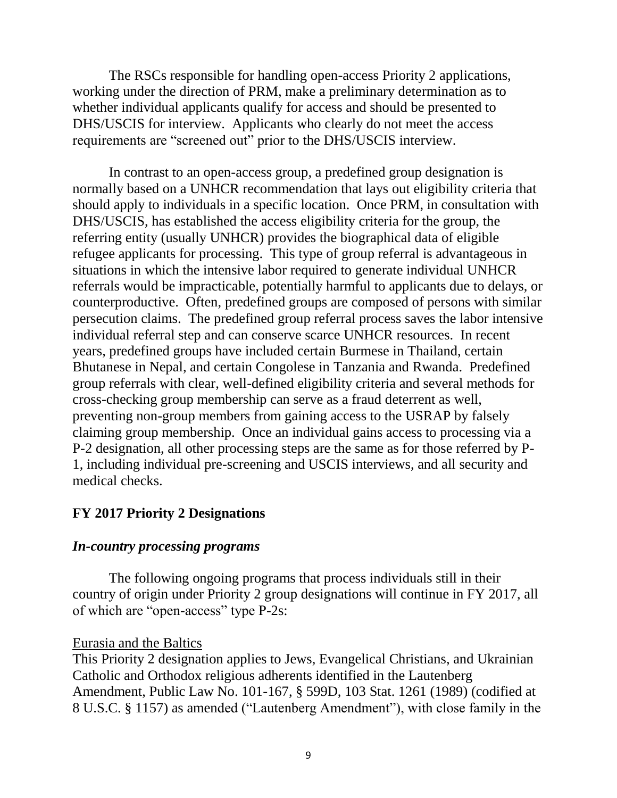The RSCs responsible for handling open-access Priority 2 applications, working under the direction of PRM, make a preliminary determination as to whether individual applicants qualify for access and should be presented to DHS/USCIS for interview. Applicants who clearly do not meet the access requirements are "screened out" prior to the DHS/USCIS interview.

In contrast to an open-access group, a predefined group designation is normally based on a UNHCR recommendation that lays out eligibility criteria that should apply to individuals in a specific location. Once PRM, in consultation with DHS/USCIS, has established the access eligibility criteria for the group, the referring entity (usually UNHCR) provides the biographical data of eligible refugee applicants for processing. This type of group referral is advantageous in situations in which the intensive labor required to generate individual UNHCR referrals would be impracticable, potentially harmful to applicants due to delays, or counterproductive. Often, predefined groups are composed of persons with similar persecution claims. The predefined group referral process saves the labor intensive individual referral step and can conserve scarce UNHCR resources. In recent years, predefined groups have included certain Burmese in Thailand, certain Bhutanese in Nepal, and certain Congolese in Tanzania and Rwanda. Predefined group referrals with clear, well-defined eligibility criteria and several methods for cross-checking group membership can serve as a fraud deterrent as well, preventing non-group members from gaining access to the USRAP by falsely claiming group membership. Once an individual gains access to processing via a P-2 designation, all other processing steps are the same as for those referred by P-1, including individual pre-screening and USCIS interviews, and all security and medical checks.

### **FY 2017 Priority 2 Designations**

#### *In-country processing programs*

The following ongoing programs that process individuals still in their country of origin under Priority 2 group designations will continue in FY 2017, all of which are "open-access" type P-2s:

#### Eurasia and the Baltics

This Priority 2 designation applies to Jews, Evangelical Christians, and Ukrainian Catholic and Orthodox religious adherents identified in the Lautenberg Amendment, Public Law No. 101-167, § 599D, 103 Stat. 1261 (1989) (codified at 8 U.S.C. § 1157) as amended ("Lautenberg Amendment"), with close family in the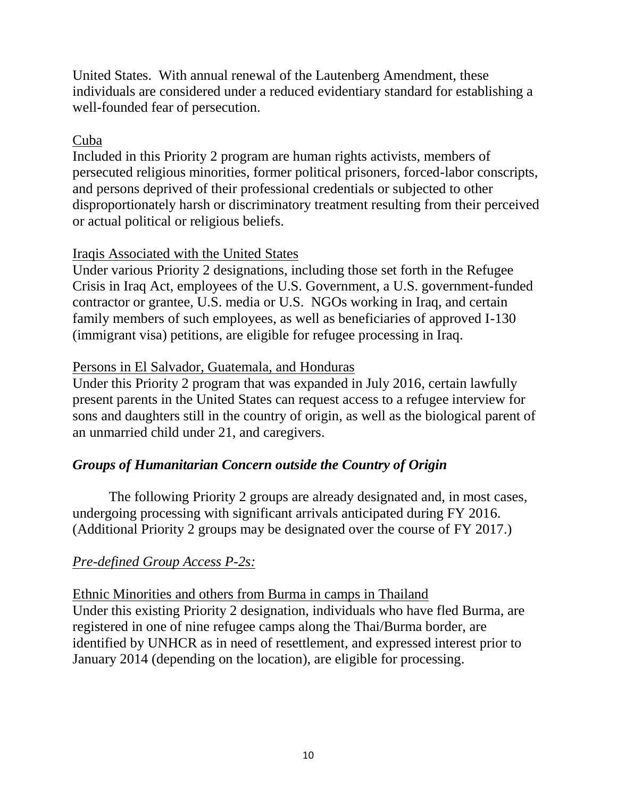United States. With annual renewal of the Lautenberg Amendment, these individuals are considered under a reduced evidentiary standard for establishing a well-founded fear of persecution.

## Cuba

Included in this Priority 2 program are human rights activists, members of persecuted religious minorities, former political prisoners, forced-labor conscripts, and persons deprived of their professional credentials or subjected to other disproportionately harsh or discriminatory treatment resulting from their perceived or actual political or religious beliefs.

## Iraqis Associated with the United States

Under various Priority 2 designations, including those set forth in the Refugee Crisis in Iraq Act, employees of the U.S. Government, a U.S. government-funded contractor or grantee, U.S. media or U.S. NGOs working in Iraq, and certain family members of such employees, as well as beneficiaries of approved I-130 (immigrant visa) petitions, are eligible for refugee processing in Iraq.

## Persons in El Salvador, Guatemala, and Honduras

Under this Priority 2 program that was expanded in July 2016, certain lawfully present parents in the United States can request access to a refugee interview for sons and daughters still in the country of origin, as well as the biological parent of an unmarried child under 21, and caregivers.

# *Groups of Humanitarian Concern outside the Country of Origin*

The following Priority 2 groups are already designated and, in most cases, undergoing processing with significant arrivals anticipated during FY 2016. (Additional Priority 2 groups may be designated over the course of FY 2017.)

# *Pre-defined Group Access P-2s:*

Ethnic Minorities and others from Burma in camps in Thailand Under this existing Priority 2 designation, individuals who have fled Burma, are registered in one of nine refugee camps along the Thai/Burma border, are identified by UNHCR as in need of resettlement, and expressed interest prior to January 2014 (depending on the location), are eligible for processing.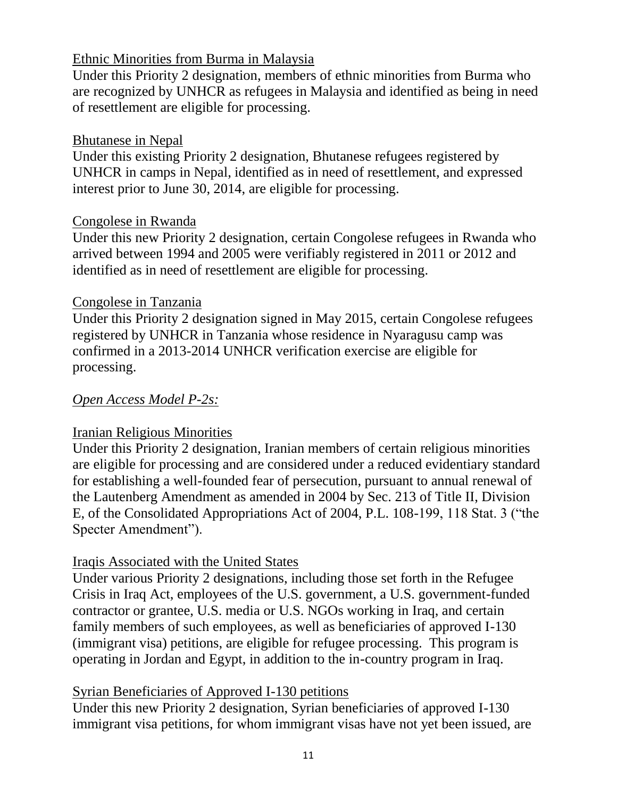## Ethnic Minorities from Burma in Malaysia

Under this Priority 2 designation, members of ethnic minorities from Burma who are recognized by UNHCR as refugees in Malaysia and identified as being in need of resettlement are eligible for processing.

## Bhutanese in Nepal

Under this existing Priority 2 designation, Bhutanese refugees registered by UNHCR in camps in Nepal, identified as in need of resettlement, and expressed interest prior to June 30, 2014, are eligible for processing.

## Congolese in Rwanda

Under this new Priority 2 designation, certain Congolese refugees in Rwanda who arrived between 1994 and 2005 were verifiably registered in 2011 or 2012 and identified as in need of resettlement are eligible for processing.

## Congolese in Tanzania

Under this Priority 2 designation signed in May 2015, certain Congolese refugees registered by UNHCR in Tanzania whose residence in Nyaragusu camp was confirmed in a 2013-2014 UNHCR verification exercise are eligible for processing.

# *Open Access Model P-2s:*

### Iranian Religious Minorities

Under this Priority 2 designation, Iranian members of certain religious minorities are eligible for processing and are considered under a reduced evidentiary standard for establishing a well-founded fear of persecution, pursuant to annual renewal of the Lautenberg Amendment as amended in 2004 by Sec. 213 of Title II, Division E, of the Consolidated Appropriations Act of 2004, P.L. 108-199, 118 Stat. 3 ("the Specter Amendment").

# Iraqis Associated with the United States

Under various Priority 2 designations, including those set forth in the Refugee Crisis in Iraq Act, employees of the U.S. government, a U.S. government-funded contractor or grantee, U.S. media or U.S. NGOs working in Iraq, and certain family members of such employees, as well as beneficiaries of approved I-130 (immigrant visa) petitions, are eligible for refugee processing. This program is operating in Jordan and Egypt, in addition to the in-country program in Iraq.

### Syrian Beneficiaries of Approved I-130 petitions

Under this new Priority 2 designation, Syrian beneficiaries of approved I-130 immigrant visa petitions, for whom immigrant visas have not yet been issued, are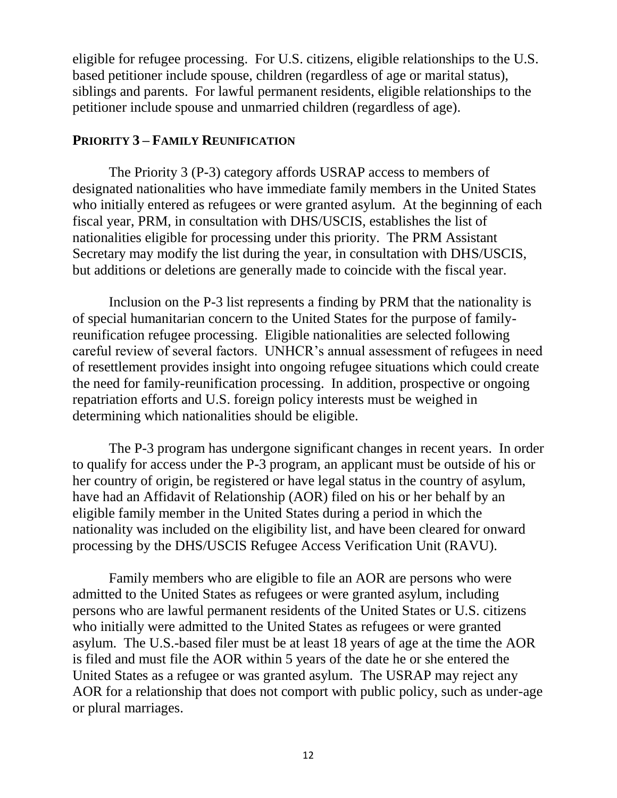eligible for refugee processing. For U.S. citizens, eligible relationships to the U.S. based petitioner include spouse, children (regardless of age or marital status), siblings and parents. For lawful permanent residents, eligible relationships to the petitioner include spouse and unmarried children (regardless of age).

### **PRIORITY 3 – FAMILY REUNIFICATION**

The Priority 3 (P-3) category affords USRAP access to members of designated nationalities who have immediate family members in the United States who initially entered as refugees or were granted asylum. At the beginning of each fiscal year, PRM, in consultation with DHS/USCIS, establishes the list of nationalities eligible for processing under this priority. The PRM Assistant Secretary may modify the list during the year, in consultation with DHS/USCIS, but additions or deletions are generally made to coincide with the fiscal year.

Inclusion on the P-3 list represents a finding by PRM that the nationality is of special humanitarian concern to the United States for the purpose of familyreunification refugee processing. Eligible nationalities are selected following careful review of several factors. UNHCR's annual assessment of refugees in need of resettlement provides insight into ongoing refugee situations which could create the need for family-reunification processing. In addition, prospective or ongoing repatriation efforts and U.S. foreign policy interests must be weighed in determining which nationalities should be eligible.

The P-3 program has undergone significant changes in recent years. In order to qualify for access under the P-3 program, an applicant must be outside of his or her country of origin, be registered or have legal status in the country of asylum, have had an Affidavit of Relationship (AOR) filed on his or her behalf by an eligible family member in the United States during a period in which the nationality was included on the eligibility list, and have been cleared for onward processing by the DHS/USCIS Refugee Access Verification Unit (RAVU).

Family members who are eligible to file an AOR are persons who were admitted to the United States as refugees or were granted asylum, including persons who are lawful permanent residents of the United States or U.S. citizens who initially were admitted to the United States as refugees or were granted asylum. The U.S.-based filer must be at least 18 years of age at the time the AOR is filed and must file the AOR within 5 years of the date he or she entered the United States as a refugee or was granted asylum. The USRAP may reject any AOR for a relationship that does not comport with public policy, such as under-age or plural marriages.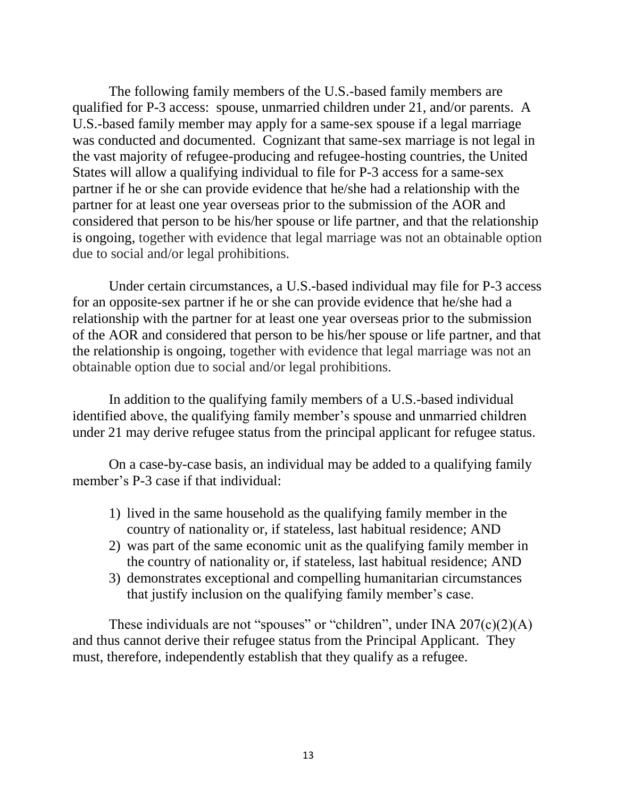The following family members of the U.S.-based family members are qualified for P-3 access: spouse, unmarried children under 21, and/or parents. A U.S.-based family member may apply for a same-sex spouse if a legal marriage was conducted and documented. Cognizant that same-sex marriage is not legal in the vast majority of refugee-producing and refugee-hosting countries, the United States will allow a qualifying individual to file for P-3 access for a same-sex partner if he or she can provide evidence that he/she had a relationship with the partner for at least one year overseas prior to the submission of the AOR and considered that person to be his/her spouse or life partner, and that the relationship is ongoing, together with evidence that legal marriage was not an obtainable option due to social and/or legal prohibitions.

Under certain circumstances, a U.S.-based individual may file for P-3 access for an opposite-sex partner if he or she can provide evidence that he/she had a relationship with the partner for at least one year overseas prior to the submission of the AOR and considered that person to be his/her spouse or life partner, and that the relationship is ongoing, together with evidence that legal marriage was not an obtainable option due to social and/or legal prohibitions.

In addition to the qualifying family members of a U.S.-based individual identified above, the qualifying family member's spouse and unmarried children under 21 may derive refugee status from the principal applicant for refugee status.

On a case-by-case basis, an individual may be added to a qualifying family member's P-3 case if that individual:

- 1) lived in the same household as the qualifying family member in the country of nationality or, if stateless, last habitual residence; AND
- 2) was part of the same economic unit as the qualifying family member in the country of nationality or, if stateless, last habitual residence; AND
- 3) demonstrates exceptional and compelling humanitarian circumstances that justify inclusion on the qualifying family member's case.

These individuals are not "spouses" or "children", under INA  $207(c)(2)(A)$ and thus cannot derive their refugee status from the Principal Applicant. They must, therefore, independently establish that they qualify as a refugee.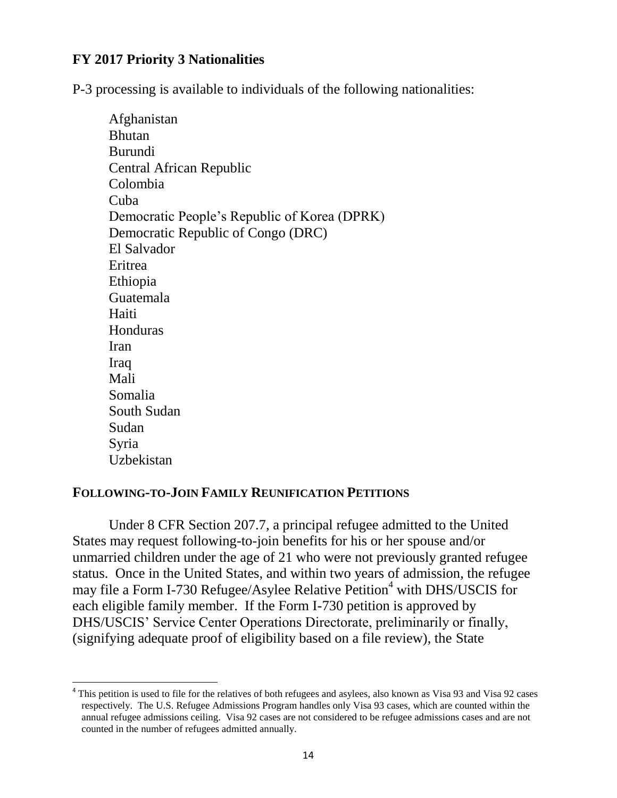### **FY 2017 Priority 3 Nationalities**

P-3 processing is available to individuals of the following nationalities:

| Afghanistan                                  |
|----------------------------------------------|
| <b>Bhutan</b>                                |
| <b>Burundi</b>                               |
| Central African Republic                     |
| Colombia                                     |
| Cuba                                         |
| Democratic People's Republic of Korea (DPRK) |
| Democratic Republic of Congo (DRC)           |
| El Salvador                                  |
| Eritrea                                      |
| Ethiopia                                     |
| Guatemala                                    |
| Haiti                                        |
| Honduras                                     |
| Iran                                         |
| Iraq                                         |
| Mali                                         |
| Somalia                                      |
| South Sudan                                  |
| Sudan                                        |
| Syria                                        |
| Uzbekistan                                   |

#### **FOLLOWING-TO-JOIN FAMILY REUNIFICATION PETITIONS**

 $\overline{a}$ 

Under 8 CFR Section 207.7, a principal refugee admitted to the United States may request following-to-join benefits for his or her spouse and/or unmarried children under the age of 21 who were not previously granted refugee status. Once in the United States, and within two years of admission, the refugee may file a Form I-730 Refugee/Asylee Relative Petition<sup>4</sup> with DHS/USCIS for each eligible family member. If the Form I-730 petition is approved by DHS/USCIS' Service Center Operations Directorate, preliminarily or finally, (signifying adequate proof of eligibility based on a file review), the State

<sup>&</sup>lt;sup>4</sup> This petition is used to file for the relatives of both refugees and asylees, also known as Visa 93 and Visa 92 cases respectively. The U.S. Refugee Admissions Program handles only Visa 93 cases, which are counted within the annual refugee admissions ceiling. Visa 92 cases are not considered to be refugee admissions cases and are not counted in the number of refugees admitted annually.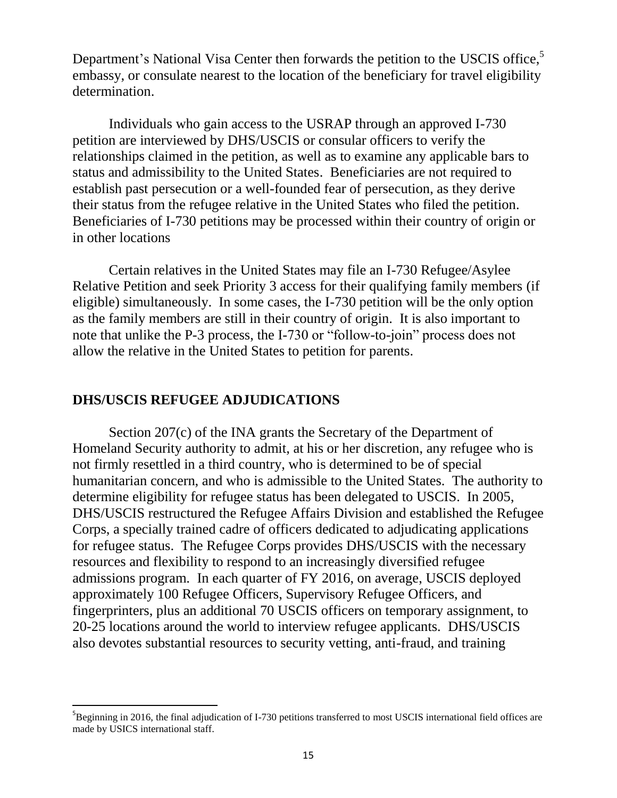Department's National Visa Center then forwards the petition to the USCIS office,<sup>5</sup> embassy, or consulate nearest to the location of the beneficiary for travel eligibility determination.

Individuals who gain access to the USRAP through an approved I-730 petition are interviewed by DHS/USCIS or consular officers to verify the relationships claimed in the petition, as well as to examine any applicable bars to status and admissibility to the United States. Beneficiaries are not required to establish past persecution or a well-founded fear of persecution, as they derive their status from the refugee relative in the United States who filed the petition. Beneficiaries of I-730 petitions may be processed within their country of origin or in other locations

Certain relatives in the United States may file an I-730 Refugee/Asylee Relative Petition and seek Priority 3 access for their qualifying family members (if eligible) simultaneously. In some cases, the I-730 petition will be the only option as the family members are still in their country of origin. It is also important to note that unlike the P-3 process, the I-730 or "follow-to-join" process does not allow the relative in the United States to petition for parents.

#### **DHS/USCIS REFUGEE ADJUDICATIONS**

 $\overline{\phantom{a}}$ 

Section 207(c) of the INA grants the Secretary of the Department of Homeland Security authority to admit, at his or her discretion, any refugee who is not firmly resettled in a third country, who is determined to be of special humanitarian concern, and who is admissible to the United States. The authority to determine eligibility for refugee status has been delegated to USCIS. In 2005, DHS/USCIS restructured the Refugee Affairs Division and established the Refugee Corps, a specially trained cadre of officers dedicated to adjudicating applications for refugee status. The Refugee Corps provides DHS/USCIS with the necessary resources and flexibility to respond to an increasingly diversified refugee admissions program. In each quarter of FY 2016, on average, USCIS deployed approximately 100 Refugee Officers, Supervisory Refugee Officers, and fingerprinters, plus an additional 70 USCIS officers on temporary assignment, to 20-25 locations around the world to interview refugee applicants. DHS/USCIS also devotes substantial resources to security vetting, anti-fraud, and training

<sup>&</sup>lt;sup>5</sup>Beginning in 2016, the final adjudication of I-730 petitions transferred to most USCIS international field offices are made by USICS international staff.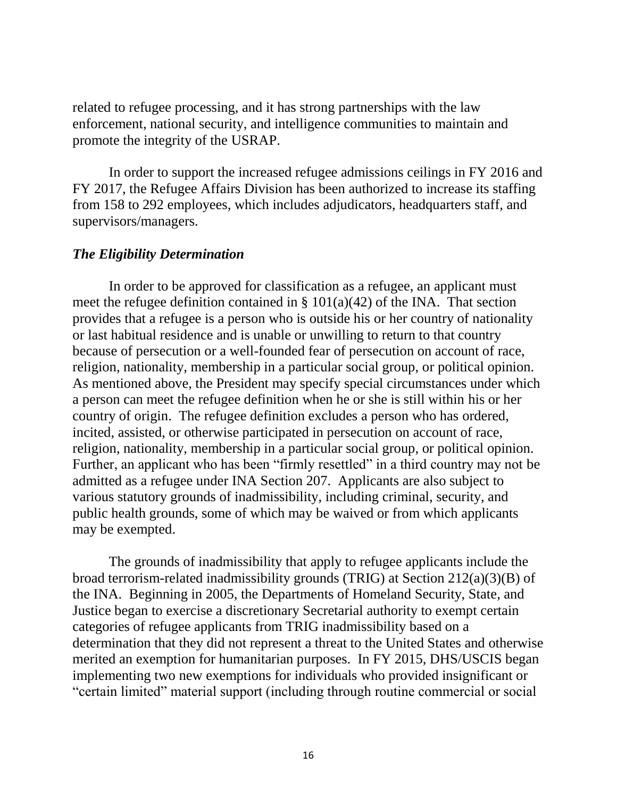related to refugee processing, and it has strong partnerships with the law enforcement, national security, and intelligence communities to maintain and promote the integrity of the USRAP.

In order to support the increased refugee admissions ceilings in FY 2016 and FY 2017, the Refugee Affairs Division has been authorized to increase its staffing from 158 to 292 employees, which includes adjudicators, headquarters staff, and supervisors/managers.

### *The Eligibility Determination*

In order to be approved for classification as a refugee, an applicant must meet the refugee definition contained in  $\S 101(a)(42)$  of the INA. That section provides that a refugee is a person who is outside his or her country of nationality or last habitual residence and is unable or unwilling to return to that country because of persecution or a well-founded fear of persecution on account of race, religion, nationality, membership in a particular social group, or political opinion. As mentioned above, the President may specify special circumstances under which a person can meet the refugee definition when he or she is still within his or her country of origin. The refugee definition excludes a person who has ordered, incited, assisted, or otherwise participated in persecution on account of race, religion, nationality, membership in a particular social group, or political opinion. Further, an applicant who has been "firmly resettled" in a third country may not be admitted as a refugee under INA Section 207. Applicants are also subject to various statutory grounds of inadmissibility, including criminal, security, and public health grounds, some of which may be waived or from which applicants may be exempted.

The grounds of inadmissibility that apply to refugee applicants include the broad terrorism-related inadmissibility grounds (TRIG) at Section 212(a)(3)(B) of the INA. Beginning in 2005, the Departments of Homeland Security, State, and Justice began to exercise a discretionary Secretarial authority to exempt certain categories of refugee applicants from TRIG inadmissibility based on a determination that they did not represent a threat to the United States and otherwise merited an exemption for humanitarian purposes. In FY 2015, DHS/USCIS began implementing two new exemptions for individuals who provided insignificant or "certain limited" material support (including through routine commercial or social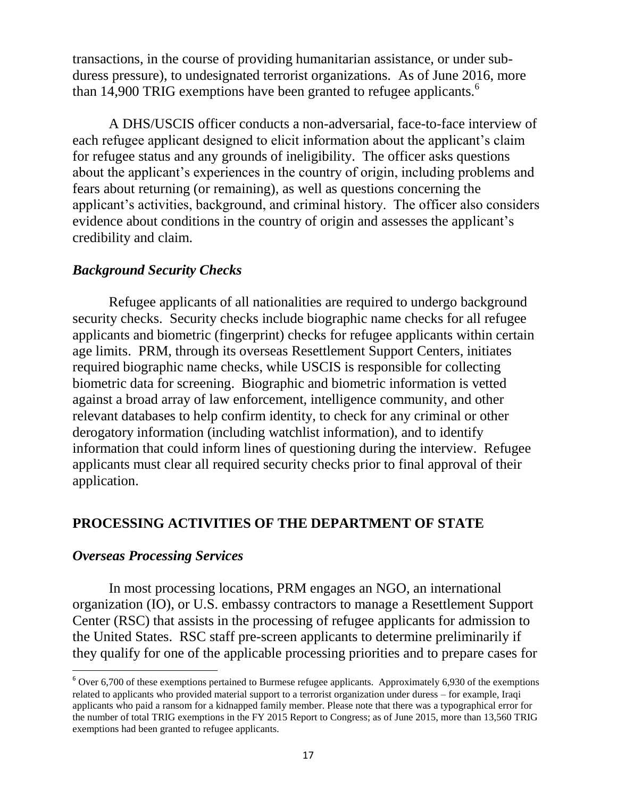transactions, in the course of providing humanitarian assistance, or under subduress pressure), to undesignated terrorist organizations. As of June 2016, more than 14,900 TRIG exemptions have been granted to refugee applicants.<sup>6</sup>

A DHS/USCIS officer conducts a non-adversarial, face-to-face interview of each refugee applicant designed to elicit information about the applicant's claim for refugee status and any grounds of ineligibility. The officer asks questions about the applicant's experiences in the country of origin, including problems and fears about returning (or remaining), as well as questions concerning the applicant's activities, background, and criminal history. The officer also considers evidence about conditions in the country of origin and assesses the applicant's credibility and claim.

### *Background Security Checks*

Refugee applicants of all nationalities are required to undergo background security checks. Security checks include biographic name checks for all refugee applicants and biometric (fingerprint) checks for refugee applicants within certain age limits. PRM, through its overseas Resettlement Support Centers, initiates required biographic name checks, while USCIS is responsible for collecting biometric data for screening. Biographic and biometric information is vetted against a broad array of law enforcement, intelligence community, and other relevant databases to help confirm identity, to check for any criminal or other derogatory information (including watchlist information), and to identify information that could inform lines of questioning during the interview. Refugee applicants must clear all required security checks prior to final approval of their application.

### **PROCESSING ACTIVITIES OF THE DEPARTMENT OF STATE**

#### *Overseas Processing Services*

l

In most processing locations, PRM engages an NGO, an international organization (IO), or U.S. embassy contractors to manage a Resettlement Support Center (RSC) that assists in the processing of refugee applicants for admission to the United States. RSC staff pre-screen applicants to determine preliminarily if they qualify for one of the applicable processing priorities and to prepare cases for

 $6$  Over 6,700 of these exemptions pertained to Burmese refugee applicants. Approximately 6,930 of the exemptions related to applicants who provided material support to a terrorist organization under duress – for example, Iraqi applicants who paid a ransom for a kidnapped family member. Please note that there was a typographical error for the number of total TRIG exemptions in the FY 2015 Report to Congress; as of June 2015, more than 13,560 TRIG exemptions had been granted to refugee applicants.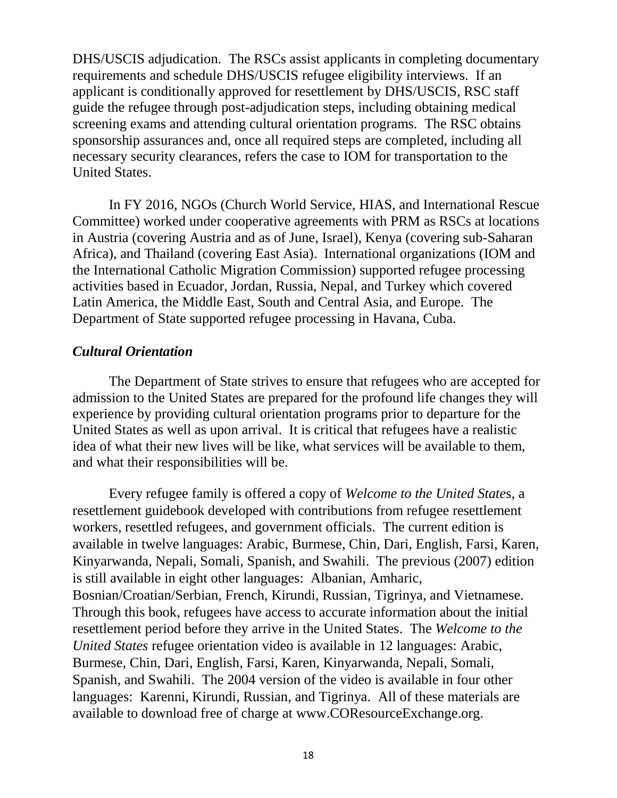DHS/USCIS adjudication. The RSCs assist applicants in completing documentary requirements and schedule DHS/USCIS refugee eligibility interviews. If an applicant is conditionally approved for resettlement by DHS/USCIS, RSC staff guide the refugee through post-adjudication steps, including obtaining medical screening exams and attending cultural orientation programs. The RSC obtains sponsorship assurances and, once all required steps are completed, including all necessary security clearances, refers the case to IOM for transportation to the United States.

In FY 2016, NGOs (Church World Service, HIAS, and International Rescue Committee) worked under cooperative agreements with PRM as RSCs at locations in Austria (covering Austria and as of June, Israel), Kenya (covering sub-Saharan Africa), and Thailand (covering East Asia). International organizations (IOM and the International Catholic Migration Commission) supported refugee processing activities based in Ecuador, Jordan, Russia, Nepal, and Turkey which covered Latin America, the Middle East, South and Central Asia, and Europe. The Department of State supported refugee processing in Havana, Cuba.

#### *Cultural Orientation*

The Department of State strives to ensure that refugees who are accepted for admission to the United States are prepared for the profound life changes they will experience by providing cultural orientation programs prior to departure for the United States as well as upon arrival. It is critical that refugees have a realistic idea of what their new lives will be like, what services will be available to them, and what their responsibilities will be.

Every refugee family is offered a copy of *Welcome to the United State*s, a resettlement guidebook developed with contributions from refugee resettlement workers, resettled refugees, and government officials. The current edition is available in twelve languages: Arabic, Burmese, Chin, Dari, English, Farsi, Karen, Kinyarwanda, Nepali, Somali, Spanish, and Swahili. The previous (2007) edition is still available in eight other languages: Albanian, Amharic, Bosnian/Croatian/Serbian, French, Kirundi, Russian, Tigrinya, and Vietnamese. Through this book, refugees have access to accurate information about the initial resettlement period before they arrive in the United States. The *Welcome to the United States* refugee orientation video is available in 12 languages: Arabic, Burmese, Chin, Dari, English, Farsi, Karen, Kinyarwanda, Nepali, Somali, Spanish, and Swahili. The 2004 version of the video is available in four other languages: Karenni, Kirundi, Russian, and Tigrinya. All of these materials are available to download free of charge at www.COResourceExchange.org.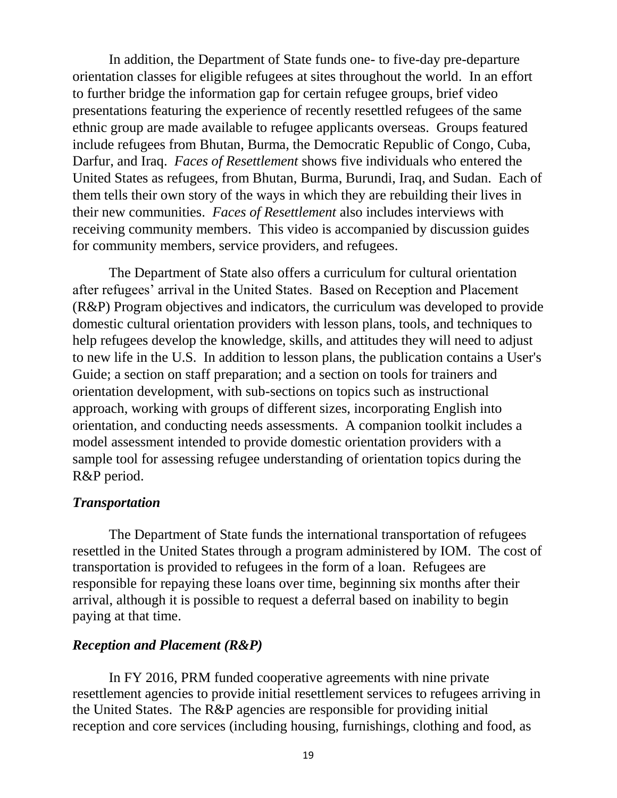In addition, the Department of State funds one- to five-day pre-departure orientation classes for eligible refugees at sites throughout the world. In an effort to further bridge the information gap for certain refugee groups, brief video presentations featuring the experience of recently resettled refugees of the same ethnic group are made available to refugee applicants overseas. Groups featured include refugees from Bhutan, Burma, the Democratic Republic of Congo, Cuba, Darfur, and Iraq. *Faces of Resettlement* shows five individuals who entered the United States as refugees, from Bhutan, Burma, Burundi, Iraq, and Sudan. Each of them tells their own story of the ways in which they are rebuilding their lives in their new communities. *Faces of Resettlement* also includes interviews with receiving community members. This video is accompanied by discussion guides for community members, service providers, and refugees.

The Department of State also offers a curriculum for cultural orientation after refugees' arrival in the United States. Based on Reception and Placement (R&P) Program objectives and indicators, the curriculum was developed to provide domestic cultural orientation providers with lesson plans, tools, and techniques to help refugees develop the knowledge, skills, and attitudes they will need to adjust to new life in the U.S. In addition to lesson plans, the publication contains a User's Guide; a section on staff preparation; and a section on tools for trainers and orientation development, with sub-sections on topics such as instructional approach, working with groups of different sizes, incorporating English into orientation, and conducting needs assessments. A companion toolkit includes a model assessment intended to provide domestic orientation providers with a sample tool for assessing refugee understanding of orientation topics during the R&P period.

#### *Transportation*

The Department of State funds the international transportation of refugees resettled in the United States through a program administered by IOM. The cost of transportation is provided to refugees in the form of a loan. Refugees are responsible for repaying these loans over time, beginning six months after their arrival, although it is possible to request a deferral based on inability to begin paying at that time.

#### *Reception and Placement (R&P)*

In FY 2016, PRM funded cooperative agreements with nine private resettlement agencies to provide initial resettlement services to refugees arriving in the United States. The R&P agencies are responsible for providing initial reception and core services (including housing, furnishings, clothing and food, as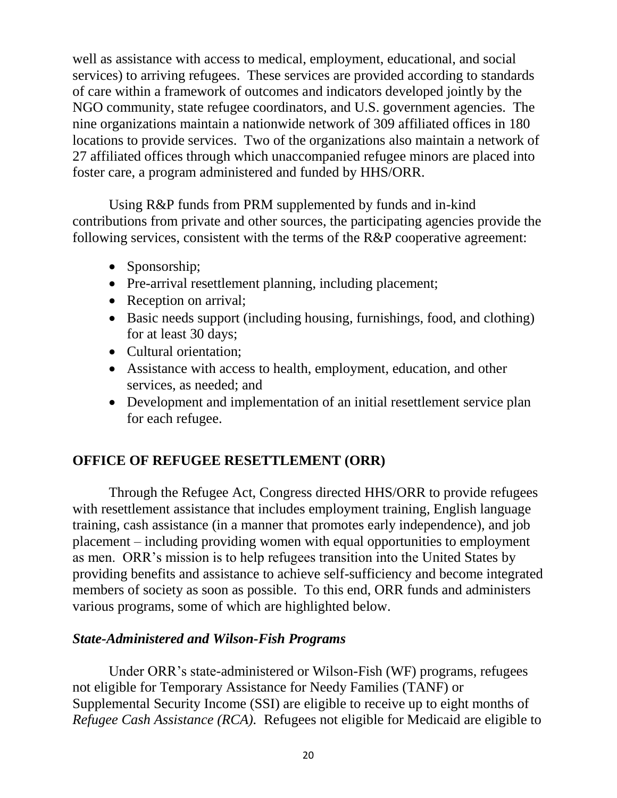well as assistance with access to medical, employment, educational, and social services) to arriving refugees. These services are provided according to standards of care within a framework of outcomes and indicators developed jointly by the NGO community, state refugee coordinators, and U.S. government agencies. The nine organizations maintain a nationwide network of 309 affiliated offices in 180 locations to provide services. Two of the organizations also maintain a network of 27 affiliated offices through which unaccompanied refugee minors are placed into foster care, a program administered and funded by HHS/ORR.

Using R&P funds from PRM supplemented by funds and in-kind contributions from private and other sources, the participating agencies provide the following services, consistent with the terms of the R&P cooperative agreement:

- Sponsorship;
- Pre-arrival resettlement planning, including placement;
- Reception on arrival;
- Basic needs support (including housing, furnishings, food, and clothing) for at least 30 days;
- Cultural orientation;
- Assistance with access to health, employment, education, and other services, as needed; and
- Development and implementation of an initial resettlement service plan for each refugee.

### **OFFICE OF REFUGEE RESETTLEMENT (ORR)**

Through the Refugee Act, Congress directed HHS/ORR to provide refugees with resettlement assistance that includes employment training, English language training, cash assistance (in a manner that promotes early independence), and job placement – including providing women with equal opportunities to employment as men. ORR's mission is to help refugees transition into the United States by providing benefits and assistance to achieve self-sufficiency and become integrated members of society as soon as possible. To this end, ORR funds and administers various programs, some of which are highlighted below.

#### *State-Administered and Wilson-Fish Programs*

Under ORR's state-administered or Wilson-Fish (WF) programs, refugees not eligible for Temporary Assistance for Needy Families (TANF) or Supplemental Security Income (SSI) are eligible to receive up to eight months of *Refugee Cash Assistance (RCA).* Refugees not eligible for Medicaid are eligible to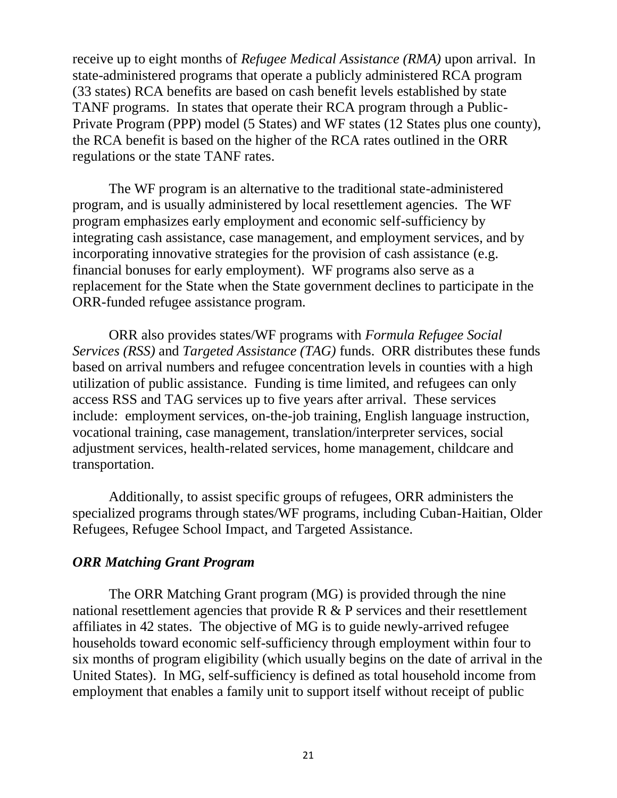receive up to eight months of *Refugee Medical Assistance (RMA)* upon arrival. In state-administered programs that operate a publicly administered RCA program (33 states) RCA benefits are based on cash benefit levels established by state TANF programs. In states that operate their RCA program through a Public-Private Program (PPP) model (5 States) and WF states (12 States plus one county), the RCA benefit is based on the higher of the RCA rates outlined in the ORR regulations or the state TANF rates.

The WF program is an alternative to the traditional state-administered program, and is usually administered by local resettlement agencies. The WF program emphasizes early employment and economic self-sufficiency by integrating cash assistance, case management, and employment services, and by incorporating innovative strategies for the provision of cash assistance (e.g. financial bonuses for early employment). WF programs also serve as a replacement for the State when the State government declines to participate in the ORR-funded refugee assistance program.

ORR also provides states/WF programs with *Formula Refugee Social Services (RSS)* and *Targeted Assistance (TAG)* funds. ORR distributes these funds based on arrival numbers and refugee concentration levels in counties with a high utilization of public assistance. Funding is time limited, and refugees can only access RSS and TAG services up to five years after arrival. These services include: employment services, on-the-job training, English language instruction, vocational training, case management, translation/interpreter services, social adjustment services, health-related services, home management, childcare and transportation.

Additionally, to assist specific groups of refugees, ORR administers the specialized programs through states/WF programs, including Cuban-Haitian, Older Refugees, Refugee School Impact, and Targeted Assistance.

### *ORR Matching Grant Program*

The ORR Matching Grant program (MG) is provided through the nine national resettlement agencies that provide R & P services and their resettlement affiliates in 42 states. The objective of MG is to guide newly-arrived refugee households toward economic self-sufficiency through employment within four to six months of program eligibility (which usually begins on the date of arrival in the United States). In MG, self-sufficiency is defined as total household income from employment that enables a family unit to support itself without receipt of public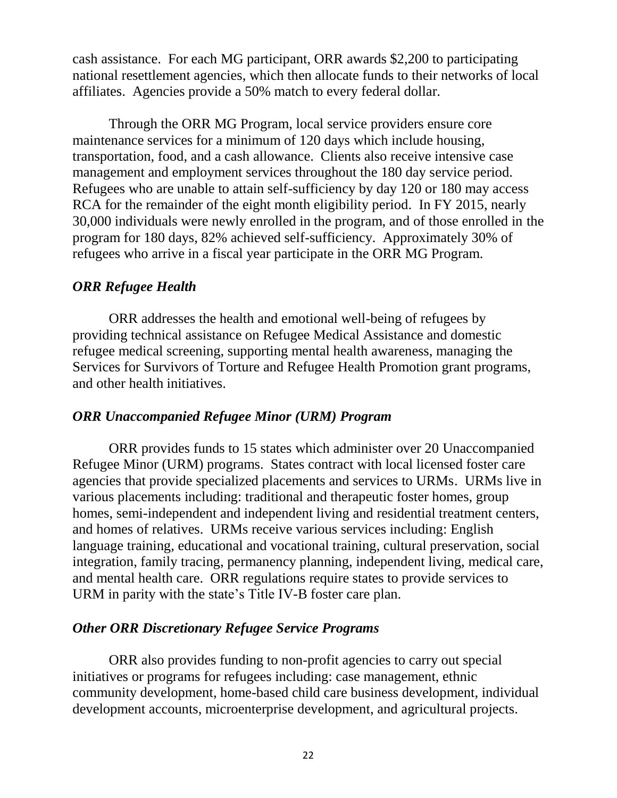cash assistance. For each MG participant, ORR awards \$2,200 to participating national resettlement agencies, which then allocate funds to their networks of local affiliates. Agencies provide a 50% match to every federal dollar.

Through the ORR MG Program, local service providers ensure core maintenance services for a minimum of 120 days which include housing, transportation, food, and a cash allowance. Clients also receive intensive case management and employment services throughout the 180 day service period. Refugees who are unable to attain self-sufficiency by day 120 or 180 may access RCA for the remainder of the eight month eligibility period. In FY 2015, nearly 30,000 individuals were newly enrolled in the program, and of those enrolled in the program for 180 days, 82% achieved self-sufficiency. Approximately 30% of refugees who arrive in a fiscal year participate in the ORR MG Program.

### *ORR Refugee Health*

ORR addresses the health and emotional well-being of refugees by providing technical assistance on Refugee Medical Assistance and domestic refugee medical screening, supporting mental health awareness, managing the Services for Survivors of Torture and Refugee Health Promotion grant programs, and other health initiatives.

#### *ORR Unaccompanied Refugee Minor (URM) Program*

ORR provides funds to 15 states which administer over 20 Unaccompanied Refugee Minor (URM) programs. States contract with local licensed foster care agencies that provide specialized placements and services to URMs. URMs live in various placements including: traditional and therapeutic foster homes, group homes, semi-independent and independent living and residential treatment centers, and homes of relatives. URMs receive various services including: English language training, educational and vocational training, cultural preservation, social integration, family tracing, permanency planning, independent living, medical care, and mental health care. ORR regulations require states to provide services to URM in parity with the state's Title IV-B foster care plan.

### *Other ORR Discretionary Refugee Service Programs*

ORR also provides funding to non-profit agencies to carry out special initiatives or programs for refugees including: case management, ethnic community development, home-based child care business development, individual development accounts, microenterprise development, and agricultural projects.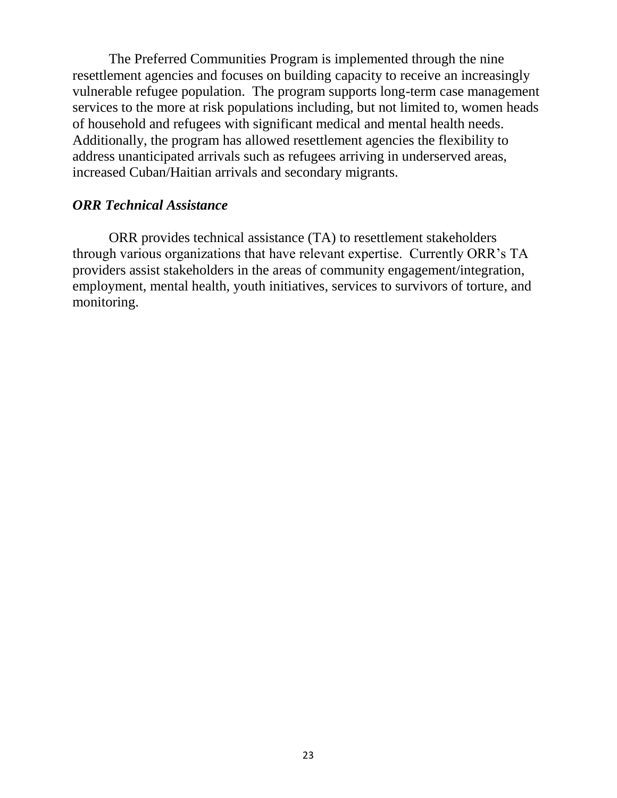The Preferred Communities Program is implemented through the nine resettlement agencies and focuses on building capacity to receive an increasingly vulnerable refugee population. The program supports long-term case management services to the more at risk populations including, but not limited to, women heads of household and refugees with significant medical and mental health needs. Additionally, the program has allowed resettlement agencies the flexibility to address unanticipated arrivals such as refugees arriving in underserved areas, increased Cuban/Haitian arrivals and secondary migrants.

#### *ORR Technical Assistance*

ORR provides technical assistance (TA) to resettlement stakeholders through various organizations that have relevant expertise. Currently ORR's TA providers assist stakeholders in the areas of community engagement/integration, employment, mental health, youth initiatives, services to survivors of torture, and monitoring.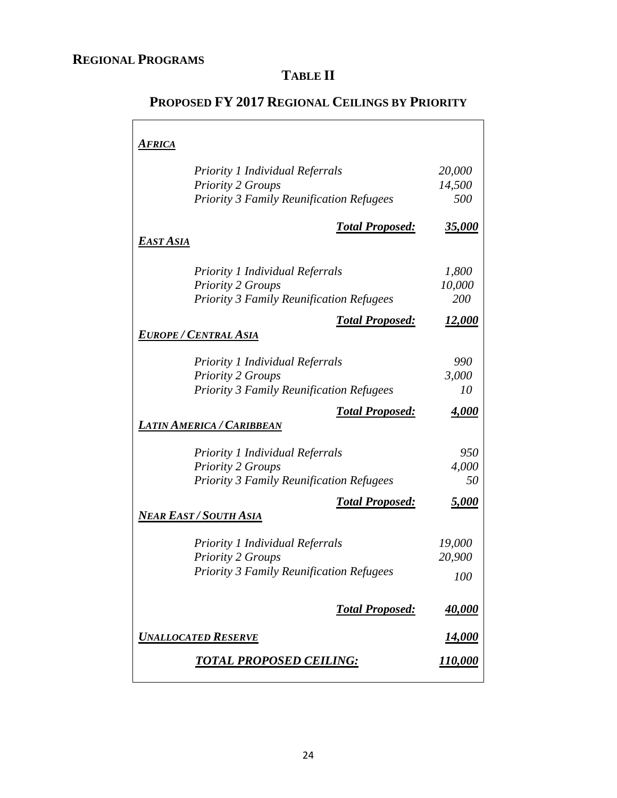# **TABLE II**

| <b>AFRICA</b>                                                |                                  |
|--------------------------------------------------------------|----------------------------------|
|                                                              |                                  |
| <b>Priority 1 Individual Referrals</b>                       | 20,000                           |
| <b>Priority 2 Groups</b>                                     | 14,500                           |
| <b>Priority 3 Family Reunification Refugees</b>              | 500                              |
| <b>Total Proposed:</b>                                       | <u>35,000</u>                    |
| <b>EAST ASIA</b>                                             |                                  |
| <b>Priority 1 Individual Referrals</b>                       | 1,800                            |
| <b>Priority 2 Groups</b>                                     | 10,000                           |
| <b>Priority 3 Family Reunification Refugees</b>              | 200                              |
| <b>Total Proposed:</b>                                       | <u>12,000</u>                    |
| EUROPE / CENTRAL ASIA                                        |                                  |
| <b>Priority 1 Individual Referrals</b>                       | 990                              |
| <b>Priority 2 Groups</b>                                     | 3,000                            |
| <b>Priority 3 Family Reunification Refugees</b>              | 10                               |
| <b>Total Proposed:</b>                                       | <u>4,000</u>                     |
| LATIN AMERICA / CARIBBEAN                                    |                                  |
| <b>Priority 1 Individual Referrals</b>                       | 950                              |
| <b>Priority 2 Groups</b>                                     | 4,000                            |
| <b>Priority 3 Family Reunification Refugees</b>              | 50                               |
| <b>Total Proposed:</b>                                       | 5,000                            |
|                                                              |                                  |
| <u>Near East / South Asia</u>                                |                                  |
| <b>Priority 1 Individual Referrals</b>                       | 19,000                           |
| <b>Priority 2 Groups</b>                                     | 20,900                           |
| <b>Priority 3 Family Reunification Refugees</b>              | 100                              |
| <b>Total Proposed:</b>                                       | <u>40,000</u>                    |
|                                                              |                                  |
| <b>UNALLOCATED RESERVE</b><br><u>TOTAL PROPOSED CEILING:</u> | <u>14,000</u><br><u> 110,000</u> |

# **PROPOSED FY 2017 REGIONAL CEILINGS BY PRIORITY**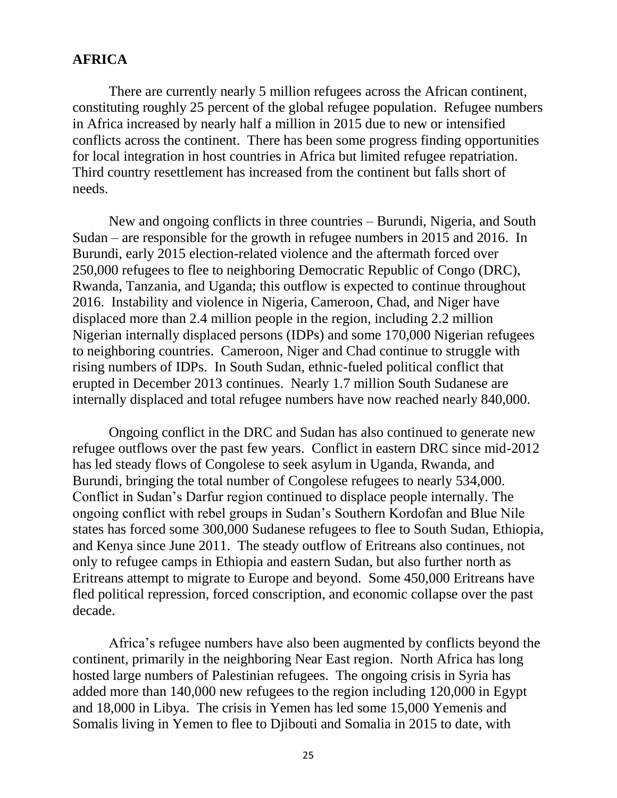### **AFRICA**

There are currently nearly 5 million refugees across the African continent, constituting roughly 25 percent of the global refugee population. Refugee numbers in Africa increased by nearly half a million in 2015 due to new or intensified conflicts across the continent. There has been some progress finding opportunities for local integration in host countries in Africa but limited refugee repatriation. Third country resettlement has increased from the continent but falls short of needs.

New and ongoing conflicts in three countries – Burundi, Nigeria, and South Sudan – are responsible for the growth in refugee numbers in 2015 and 2016. In Burundi, early 2015 election-related violence and the aftermath forced over 250,000 refugees to flee to neighboring Democratic Republic of Congo (DRC), Rwanda, Tanzania, and Uganda; this outflow is expected to continue throughout 2016. Instability and violence in Nigeria, Cameroon, Chad, and Niger have displaced more than 2.4 million people in the region, including 2.2 million Nigerian internally displaced persons (IDPs) and some 170,000 Nigerian refugees to neighboring countries. Cameroon, Niger and Chad continue to struggle with rising numbers of IDPs. In South Sudan, ethnic-fueled political conflict that erupted in December 2013 continues. Nearly 1.7 million South Sudanese are internally displaced and total refugee numbers have now reached nearly 840,000.

Ongoing conflict in the DRC and Sudan has also continued to generate new refugee outflows over the past few years. Conflict in eastern DRC since mid-2012 has led steady flows of Congolese to seek asylum in Uganda, Rwanda, and Burundi, bringing the total number of Congolese refugees to nearly 534,000. Conflict in Sudan's Darfur region continued to displace people internally. The ongoing conflict with rebel groups in Sudan's Southern Kordofan and Blue Nile states has forced some 300,000 Sudanese refugees to flee to South Sudan, Ethiopia, and Kenya since June 2011. The steady outflow of Eritreans also continues, not only to refugee camps in Ethiopia and eastern Sudan, but also further north as Eritreans attempt to migrate to Europe and beyond. Some 450,000 Eritreans have fled political repression, forced conscription, and economic collapse over the past decade.

Africa's refugee numbers have also been augmented by conflicts beyond the continent, primarily in the neighboring Near East region. North Africa has long hosted large numbers of Palestinian refugees. The ongoing crisis in Syria has added more than 140,000 new refugees to the region including 120,000 in Egypt and 18,000 in Libya. The crisis in Yemen has led some 15,000 Yemenis and Somalis living in Yemen to flee to Djibouti and Somalia in 2015 to date, with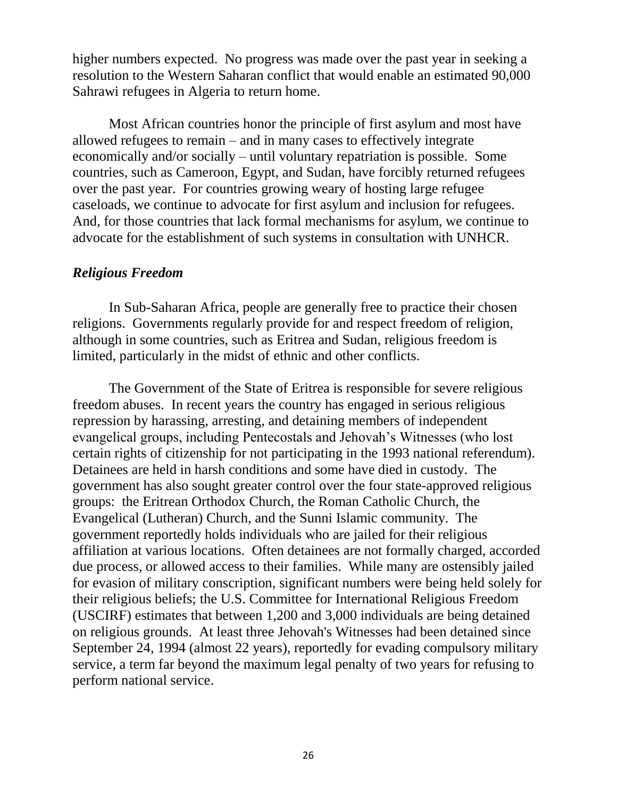higher numbers expected. No progress was made over the past year in seeking a resolution to the Western Saharan conflict that would enable an estimated 90,000 Sahrawi refugees in Algeria to return home.

Most African countries honor the principle of first asylum and most have allowed refugees to remain – and in many cases to effectively integrate economically and/or socially – until voluntary repatriation is possible. Some countries, such as Cameroon, Egypt, and Sudan, have forcibly returned refugees over the past year. For countries growing weary of hosting large refugee caseloads, we continue to advocate for first asylum and inclusion for refugees. And, for those countries that lack formal mechanisms for asylum, we continue to advocate for the establishment of such systems in consultation with UNHCR.

### *Religious Freedom*

In Sub-Saharan Africa, people are generally free to practice their chosen religions. Governments regularly provide for and respect freedom of religion, although in some countries, such as Eritrea and Sudan, religious freedom is limited, particularly in the midst of ethnic and other conflicts.

The Government of the State of Eritrea is responsible for severe religious freedom abuses. In recent years the country has engaged in serious religious repression by harassing, arresting, and detaining members of independent evangelical groups, including Pentecostals and Jehovah's Witnesses (who lost certain rights of citizenship for not participating in the 1993 national referendum). Detainees are held in harsh conditions and some have died in custody. The government has also sought greater control over the four state-approved religious groups: the Eritrean Orthodox Church, the Roman Catholic Church, the Evangelical (Lutheran) Church, and the Sunni Islamic community. The government reportedly holds individuals who are jailed for their religious affiliation at various locations. Often detainees are not formally charged, accorded due process, or allowed access to their families. While many are ostensibly jailed for evasion of military conscription, significant numbers were being held solely for their religious beliefs; the U.S. Committee for International Religious Freedom (USCIRF) estimates that between 1,200 and 3,000 individuals are being detained on religious grounds. At least three Jehovah's Witnesses had been detained since September 24, 1994 (almost 22 years), reportedly for evading compulsory military service, a term far beyond the maximum legal penalty of two years for refusing to perform national service.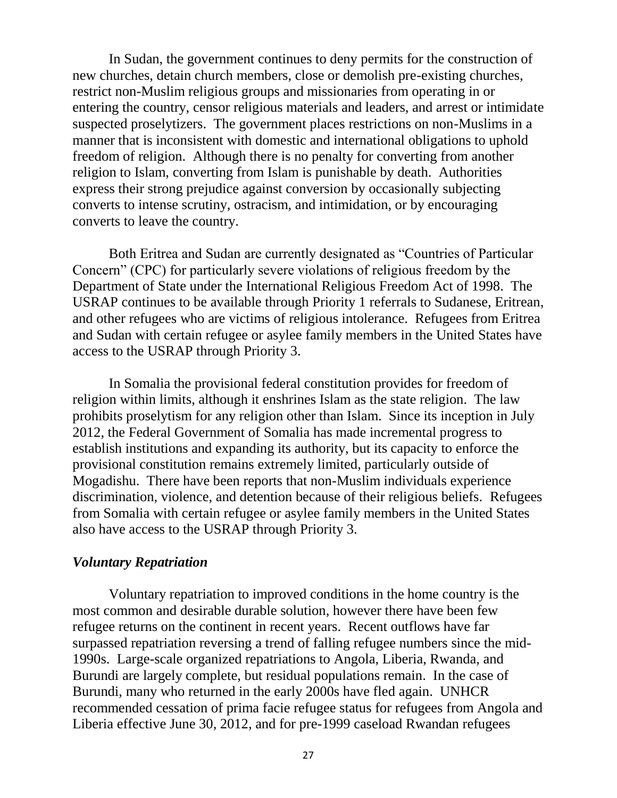In Sudan, the government continues to deny permits for the construction of new churches, detain church members, close or demolish pre-existing churches, restrict non-Muslim religious groups and missionaries from operating in or entering the country, censor religious materials and leaders, and arrest or intimidate suspected proselytizers. The government places restrictions on non-Muslims in a manner that is inconsistent with domestic and international obligations to uphold freedom of religion. Although there is no penalty for converting from another religion to Islam, converting from Islam is punishable by death. Authorities express their strong prejudice against conversion by occasionally subjecting converts to intense scrutiny, ostracism, and intimidation, or by encouraging converts to leave the country.

Both Eritrea and Sudan are currently designated as "Countries of Particular Concern" (CPC) for particularly severe violations of religious freedom by the Department of State under the International Religious Freedom Act of 1998. The USRAP continues to be available through Priority 1 referrals to Sudanese, Eritrean, and other refugees who are victims of religious intolerance. Refugees from Eritrea and Sudan with certain refugee or asylee family members in the United States have access to the USRAP through Priority 3.

In Somalia the provisional federal constitution provides for freedom of religion within limits, although it enshrines Islam as the state religion. The law prohibits proselytism for any religion other than Islam. Since its inception in July 2012, the Federal Government of Somalia has made incremental progress to establish institutions and expanding its authority, but its capacity to enforce the provisional constitution remains extremely limited, particularly outside of Mogadishu. There have been reports that non-Muslim individuals experience discrimination, violence, and detention because of their religious beliefs. Refugees from Somalia with certain refugee or asylee family members in the United States also have access to the USRAP through Priority 3.

# *Voluntary Repatriation*

Voluntary repatriation to improved conditions in the home country is the most common and desirable durable solution, however there have been few refugee returns on the continent in recent years. Recent outflows have far surpassed repatriation reversing a trend of falling refugee numbers since the mid-1990s. Large-scale organized repatriations to Angola, Liberia, Rwanda, and Burundi are largely complete, but residual populations remain. In the case of Burundi, many who returned in the early 2000s have fled again. UNHCR recommended cessation of prima facie refugee status for refugees from Angola and Liberia effective June 30, 2012, and for pre-1999 caseload Rwandan refugees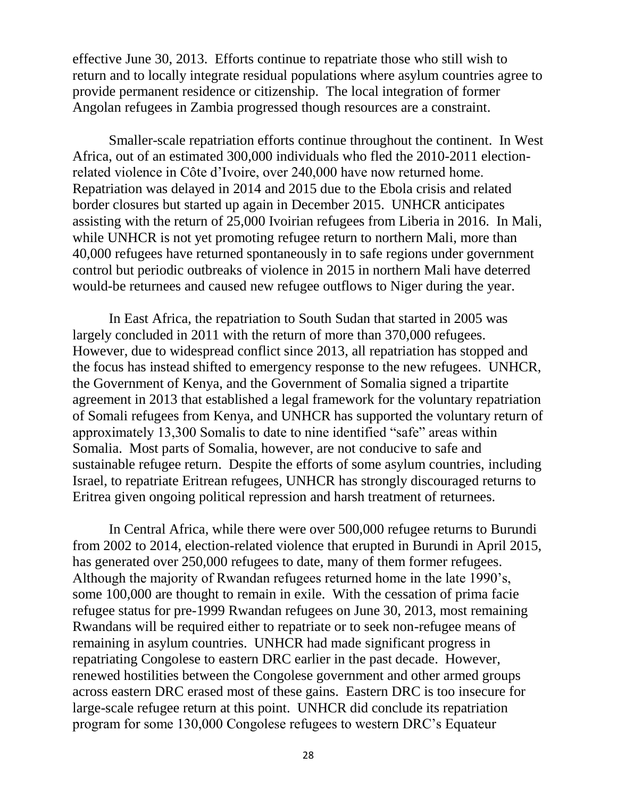effective June 30, 2013. Efforts continue to repatriate those who still wish to return and to locally integrate residual populations where asylum countries agree to provide permanent residence or citizenship. The local integration of former Angolan refugees in Zambia progressed though resources are a constraint.

Smaller-scale repatriation efforts continue throughout the continent. In West Africa, out of an estimated 300,000 individuals who fled the 2010-2011 electionrelated violence in Côte d'Ivoire, over 240,000 have now returned home. Repatriation was delayed in 2014 and 2015 due to the Ebola crisis and related border closures but started up again in December 2015. UNHCR anticipates assisting with the return of 25,000 Ivoirian refugees from Liberia in 2016. In Mali, while UNHCR is not yet promoting refugee return to northern Mali, more than 40,000 refugees have returned spontaneously in to safe regions under government control but periodic outbreaks of violence in 2015 in northern Mali have deterred would-be returnees and caused new refugee outflows to Niger during the year.

In East Africa, the repatriation to South Sudan that started in 2005 was largely concluded in 2011 with the return of more than 370,000 refugees. However, due to widespread conflict since 2013, all repatriation has stopped and the focus has instead shifted to emergency response to the new refugees. UNHCR, the Government of Kenya, and the Government of Somalia signed a tripartite agreement in 2013 that established a legal framework for the voluntary repatriation of Somali refugees from Kenya, and UNHCR has supported the voluntary return of approximately 13,300 Somalis to date to nine identified "safe" areas within Somalia. Most parts of Somalia, however, are not conducive to safe and sustainable refugee return. Despite the efforts of some asylum countries, including Israel, to repatriate Eritrean refugees, UNHCR has strongly discouraged returns to Eritrea given ongoing political repression and harsh treatment of returnees.

In Central Africa, while there were over 500,000 refugee returns to Burundi from 2002 to 2014, election-related violence that erupted in Burundi in April 2015, has generated over 250,000 refugees to date, many of them former refugees. Although the majority of Rwandan refugees returned home in the late 1990's, some 100,000 are thought to remain in exile. With the cessation of prima facie refugee status for pre-1999 Rwandan refugees on June 30, 2013, most remaining Rwandans will be required either to repatriate or to seek non-refugee means of remaining in asylum countries. UNHCR had made significant progress in repatriating Congolese to eastern DRC earlier in the past decade. However, renewed hostilities between the Congolese government and other armed groups across eastern DRC erased most of these gains. Eastern DRC is too insecure for large-scale refugee return at this point. UNHCR did conclude its repatriation program for some 130,000 Congolese refugees to western DRC's Equateur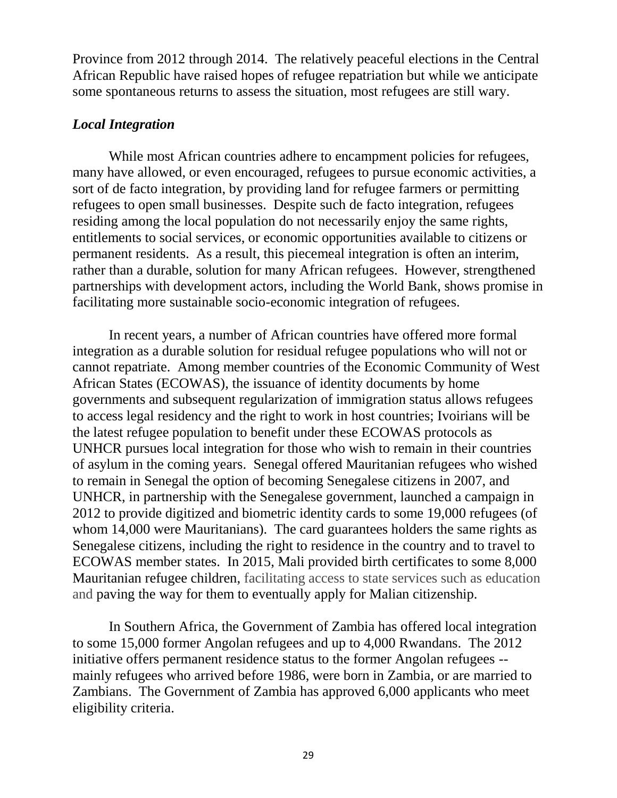Province from 2012 through 2014. The relatively peaceful elections in the Central African Republic have raised hopes of refugee repatriation but while we anticipate some spontaneous returns to assess the situation, most refugees are still wary.

### *Local Integration*

While most African countries adhere to encampment policies for refugees, many have allowed, or even encouraged, refugees to pursue economic activities, a sort of de facto integration, by providing land for refugee farmers or permitting refugees to open small businesses. Despite such de facto integration, refugees residing among the local population do not necessarily enjoy the same rights, entitlements to social services, or economic opportunities available to citizens or permanent residents. As a result, this piecemeal integration is often an interim, rather than a durable, solution for many African refugees. However, strengthened partnerships with development actors, including the World Bank, shows promise in facilitating more sustainable socio-economic integration of refugees.

In recent years, a number of African countries have offered more formal integration as a durable solution for residual refugee populations who will not or cannot repatriate. Among member countries of the Economic Community of West African States (ECOWAS), the issuance of identity documents by home governments and subsequent regularization of immigration status allows refugees to access legal residency and the right to work in host countries; Ivoirians will be the latest refugee population to benefit under these ECOWAS protocols as UNHCR pursues local integration for those who wish to remain in their countries of asylum in the coming years. Senegal offered Mauritanian refugees who wished to remain in Senegal the option of becoming Senegalese citizens in 2007, and UNHCR, in partnership with the Senegalese government, launched a campaign in 2012 to provide digitized and biometric identity cards to some 19,000 refugees (of whom 14,000 were Mauritanians). The card guarantees holders the same rights as Senegalese citizens, including the right to residence in the country and to travel to ECOWAS member states. In 2015, Mali provided birth certificates to some 8,000 Mauritanian refugee children, facilitating access to state services such as education and paving the way for them to eventually apply for Malian citizenship.

In Southern Africa, the Government of Zambia has offered local integration to some 15,000 former Angolan refugees and up to 4,000 Rwandans. The 2012 initiative offers permanent residence status to the former Angolan refugees - mainly refugees who arrived before 1986, were born in Zambia, or are married to Zambians. The Government of Zambia has approved 6,000 applicants who meet eligibility criteria.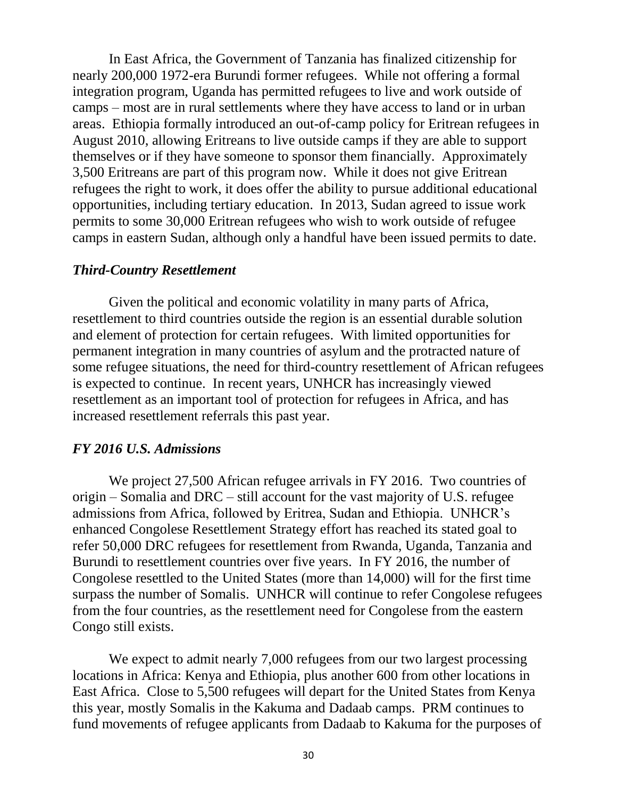In East Africa, the Government of Tanzania has finalized citizenship for nearly 200,000 1972-era Burundi former refugees. While not offering a formal integration program, Uganda has permitted refugees to live and work outside of camps – most are in rural settlements where they have access to land or in urban areas. Ethiopia formally introduced an out-of-camp policy for Eritrean refugees in August 2010, allowing Eritreans to live outside camps if they are able to support themselves or if they have someone to sponsor them financially. Approximately 3,500 Eritreans are part of this program now. While it does not give Eritrean refugees the right to work, it does offer the ability to pursue additional educational opportunities, including tertiary education. In 2013, Sudan agreed to issue work permits to some 30,000 Eritrean refugees who wish to work outside of refugee camps in eastern Sudan, although only a handful have been issued permits to date.

#### *Third-Country Resettlement*

Given the political and economic volatility in many parts of Africa, resettlement to third countries outside the region is an essential durable solution and element of protection for certain refugees. With limited opportunities for permanent integration in many countries of asylum and the protracted nature of some refugee situations, the need for third-country resettlement of African refugees is expected to continue. In recent years, UNHCR has increasingly viewed resettlement as an important tool of protection for refugees in Africa, and has increased resettlement referrals this past year.

### *FY 2016 U.S. Admissions*

We project 27,500 African refugee arrivals in FY 2016. Two countries of origin – Somalia and DRC – still account for the vast majority of U.S. refugee admissions from Africa, followed by Eritrea, Sudan and Ethiopia. UNHCR's enhanced Congolese Resettlement Strategy effort has reached its stated goal to refer 50,000 DRC refugees for resettlement from Rwanda, Uganda, Tanzania and Burundi to resettlement countries over five years. In FY 2016, the number of Congolese resettled to the United States (more than 14,000) will for the first time surpass the number of Somalis. UNHCR will continue to refer Congolese refugees from the four countries, as the resettlement need for Congolese from the eastern Congo still exists.

We expect to admit nearly 7,000 refugees from our two largest processing locations in Africa: Kenya and Ethiopia, plus another 600 from other locations in East Africa. Close to 5,500 refugees will depart for the United States from Kenya this year, mostly Somalis in the Kakuma and Dadaab camps. PRM continues to fund movements of refugee applicants from Dadaab to Kakuma for the purposes of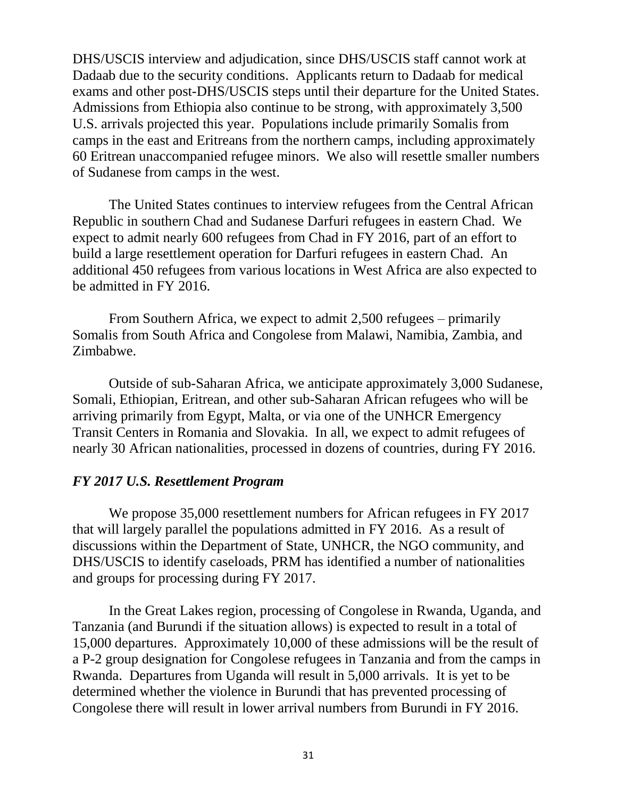DHS/USCIS interview and adjudication, since DHS/USCIS staff cannot work at Dadaab due to the security conditions. Applicants return to Dadaab for medical exams and other post-DHS/USCIS steps until their departure for the United States. Admissions from Ethiopia also continue to be strong, with approximately 3,500 U.S. arrivals projected this year. Populations include primarily Somalis from camps in the east and Eritreans from the northern camps, including approximately 60 Eritrean unaccompanied refugee minors. We also will resettle smaller numbers of Sudanese from camps in the west.

The United States continues to interview refugees from the Central African Republic in southern Chad and Sudanese Darfuri refugees in eastern Chad. We expect to admit nearly 600 refugees from Chad in FY 2016, part of an effort to build a large resettlement operation for Darfuri refugees in eastern Chad. An additional 450 refugees from various locations in West Africa are also expected to be admitted in FY 2016.

From Southern Africa, we expect to admit 2,500 refugees – primarily Somalis from South Africa and Congolese from Malawi, Namibia, Zambia, and Zimbabwe.

Outside of sub-Saharan Africa, we anticipate approximately 3,000 Sudanese, Somali, Ethiopian, Eritrean, and other sub-Saharan African refugees who will be arriving primarily from Egypt, Malta, or via one of the UNHCR Emergency Transit Centers in Romania and Slovakia. In all, we expect to admit refugees of nearly 30 African nationalities, processed in dozens of countries, during FY 2016.

### *FY 2017 U.S. Resettlement Program*

We propose 35,000 resettlement numbers for African refugees in FY 2017 that will largely parallel the populations admitted in FY 2016. As a result of discussions within the Department of State, UNHCR, the NGO community, and DHS/USCIS to identify caseloads, PRM has identified a number of nationalities and groups for processing during FY 2017.

In the Great Lakes region, processing of Congolese in Rwanda, Uganda, and Tanzania (and Burundi if the situation allows) is expected to result in a total of 15,000 departures. Approximately 10,000 of these admissions will be the result of a P-2 group designation for Congolese refugees in Tanzania and from the camps in Rwanda. Departures from Uganda will result in 5,000 arrivals. It is yet to be determined whether the violence in Burundi that has prevented processing of Congolese there will result in lower arrival numbers from Burundi in FY 2016.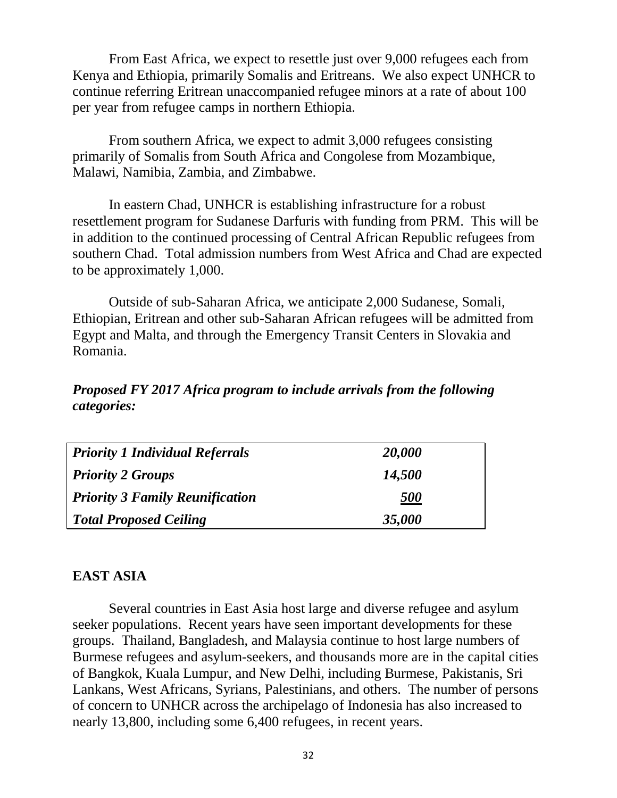From East Africa, we expect to resettle just over 9,000 refugees each from Kenya and Ethiopia, primarily Somalis and Eritreans. We also expect UNHCR to continue referring Eritrean unaccompanied refugee minors at a rate of about 100 per year from refugee camps in northern Ethiopia.

From southern Africa, we expect to admit 3,000 refugees consisting primarily of Somalis from South Africa and Congolese from Mozambique, Malawi, Namibia, Zambia, and Zimbabwe.

In eastern Chad, UNHCR is establishing infrastructure for a robust resettlement program for Sudanese Darfuris with funding from PRM. This will be in addition to the continued processing of Central African Republic refugees from southern Chad. Total admission numbers from West Africa and Chad are expected to be approximately 1,000.

Outside of sub-Saharan Africa, we anticipate 2,000 Sudanese, Somali, Ethiopian, Eritrean and other sub-Saharan African refugees will be admitted from Egypt and Malta, and through the Emergency Transit Centers in Slovakia and Romania.

# *Proposed FY 2017 Africa program to include arrivals from the following categories:*

| <b>Priority 1 Individual Referrals</b> | 20,000            |
|----------------------------------------|-------------------|
| <b>Priority 2 Groups</b>               | 14,500            |
| <b>Priority 3 Family Reunification</b> | <i><b>500</b></i> |
| <b>Total Proposed Ceiling</b>          | 35,000            |

# **EAST ASIA**

Several countries in East Asia host large and diverse refugee and asylum seeker populations. Recent years have seen important developments for these groups. Thailand, Bangladesh, and Malaysia continue to host large numbers of Burmese refugees and asylum-seekers, and thousands more are in the capital cities of Bangkok, Kuala Lumpur, and New Delhi, including Burmese, Pakistanis, Sri Lankans, West Africans, Syrians, Palestinians, and others. The number of persons of concern to UNHCR across the archipelago of Indonesia has also increased to nearly 13,800, including some 6,400 refugees, in recent years.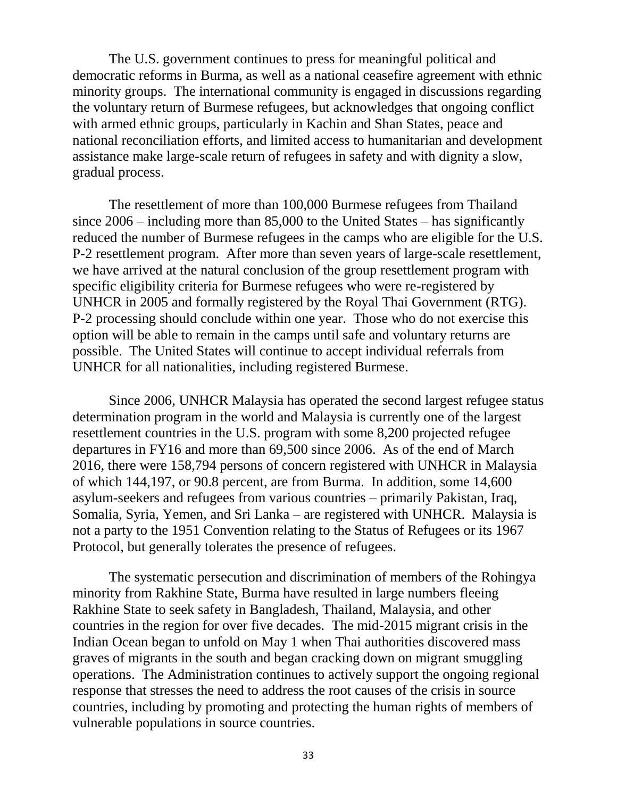The U.S. government continues to press for meaningful political and democratic reforms in Burma, as well as a national ceasefire agreement with ethnic minority groups. The international community is engaged in discussions regarding the voluntary return of Burmese refugees, but acknowledges that ongoing conflict with armed ethnic groups, particularly in Kachin and Shan States, peace and national reconciliation efforts, and limited access to humanitarian and development assistance make large-scale return of refugees in safety and with dignity a slow, gradual process.

The resettlement of more than 100,000 Burmese refugees from Thailand since 2006 – including more than 85,000 to the United States – has significantly reduced the number of Burmese refugees in the camps who are eligible for the U.S. P-2 resettlement program. After more than seven years of large-scale resettlement, we have arrived at the natural conclusion of the group resettlement program with specific eligibility criteria for Burmese refugees who were re-registered by UNHCR in 2005 and formally registered by the Royal Thai Government (RTG). P-2 processing should conclude within one year. Those who do not exercise this option will be able to remain in the camps until safe and voluntary returns are possible. The United States will continue to accept individual referrals from UNHCR for all nationalities, including registered Burmese.

Since 2006, UNHCR Malaysia has operated the second largest refugee status determination program in the world and Malaysia is currently one of the largest resettlement countries in the U.S. program with some 8,200 projected refugee departures in FY16 and more than 69,500 since 2006. As of the end of March 2016, there were 158,794 persons of concern registered with UNHCR in Malaysia of which 144,197, or 90.8 percent, are from Burma. In addition, some 14,600 asylum-seekers and refugees from various countries – primarily Pakistan, Iraq, Somalia, Syria, Yemen, and Sri Lanka – are registered with UNHCR. Malaysia is not a party to the 1951 Convention relating to the Status of Refugees or its 1967 Protocol, but generally tolerates the presence of refugees.

The systematic persecution and discrimination of members of the Rohingya minority from Rakhine State, Burma have resulted in large numbers fleeing Rakhine State to seek safety in Bangladesh, Thailand, Malaysia, and other countries in the region for over five decades. The mid-2015 migrant crisis in the Indian Ocean began to unfold on May 1 when Thai authorities discovered mass graves of migrants in the south and began cracking down on migrant smuggling operations. The Administration continues to actively support the ongoing regional response that stresses the need to address the root causes of the crisis in source countries, including by promoting and protecting the human rights of members of vulnerable populations in source countries.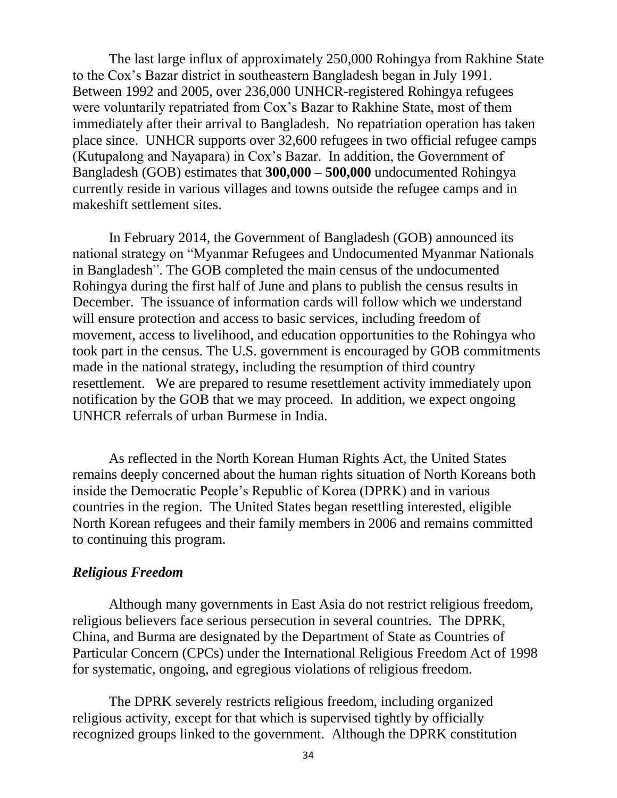The last large influx of approximately 250,000 Rohingya from Rakhine State to the Cox's Bazar district in southeastern Bangladesh began in July 1991. Between 1992 and 2005, over 236,000 UNHCR-registered Rohingya refugees were voluntarily repatriated from Cox's Bazar to Rakhine State, most of them immediately after their arrival to Bangladesh. No repatriation operation has taken place since. UNHCR supports over 32,600 refugees in two official refugee camps (Kutupalong and Nayapara) in Cox's Bazar. In addition, the Government of Bangladesh (GOB) estimates that **300,000 – 500,000** undocumented Rohingya currently reside in various villages and towns outside the refugee camps and in makeshift settlement sites.

In February 2014, the Government of Bangladesh (GOB) announced its national strategy on "Myanmar Refugees and Undocumented Myanmar Nationals in Bangladesh". The GOB completed the main census of the undocumented Rohingya during the first half of June and plans to publish the census results in December. The issuance of information cards will follow which we understand will ensure protection and access to basic services, including freedom of movement, access to livelihood, and education opportunities to the Rohingya who took part in the census. The U.S. government is encouraged by GOB commitments made in the national strategy, including the resumption of third country resettlement. We are prepared to resume resettlement activity immediately upon notification by the GOB that we may proceed. In addition, we expect ongoing UNHCR referrals of urban Burmese in India.

As reflected in the North Korean Human Rights Act, the United States remains deeply concerned about the human rights situation of North Koreans both inside the Democratic People's Republic of Korea (DPRK) and in various countries in the region. The United States began resettling interested, eligible North Korean refugees and their family members in 2006 and remains committed to continuing this program.

### *Religious Freedom*

Although many governments in East Asia do not restrict religious freedom, religious believers face serious persecution in several countries. The DPRK, China, and Burma are designated by the Department of State as Countries of Particular Concern (CPCs) under the International Religious Freedom Act of 1998 for systematic, ongoing, and egregious violations of religious freedom.

The DPRK severely restricts religious freedom, including organized religious activity, except for that which is supervised tightly by officially recognized groups linked to the government. Although the DPRK constitution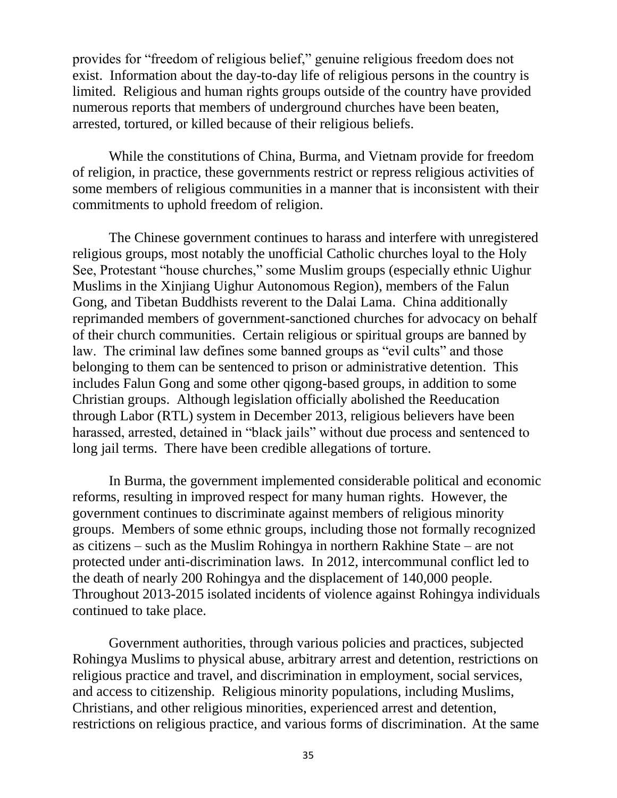provides for "freedom of religious belief," genuine religious freedom does not exist. Information about the day-to-day life of religious persons in the country is limited. Religious and human rights groups outside of the country have provided numerous reports that members of underground churches have been beaten, arrested, tortured, or killed because of their religious beliefs.

While the constitutions of China, Burma, and Vietnam provide for freedom of religion, in practice, these governments restrict or repress religious activities of some members of religious communities in a manner that is inconsistent with their commitments to uphold freedom of religion.

The Chinese government continues to harass and interfere with unregistered religious groups, most notably the unofficial Catholic churches loyal to the Holy See, Protestant "house churches," some Muslim groups (especially ethnic Uighur Muslims in the Xinjiang Uighur Autonomous Region), members of the Falun Gong, and Tibetan Buddhists reverent to the Dalai Lama. China additionally reprimanded members of government-sanctioned churches for advocacy on behalf of their church communities. Certain religious or spiritual groups are banned by law. The criminal law defines some banned groups as "evil cults" and those belonging to them can be sentenced to prison or administrative detention. This includes Falun Gong and some other qigong-based groups, in addition to some Christian groups. Although legislation officially abolished the Reeducation through Labor (RTL) system in December 2013, religious believers have been harassed, arrested, detained in "black jails" without due process and sentenced to long jail terms. There have been credible allegations of torture.

In Burma, the government implemented considerable political and economic reforms, resulting in improved respect for many human rights. However, the government continues to discriminate against members of religious minority groups. Members of some ethnic groups, including those not formally recognized as citizens – such as the Muslim Rohingya in northern Rakhine State – are not protected under anti-discrimination laws. In 2012, intercommunal conflict led to the death of nearly 200 Rohingya and the displacement of 140,000 people. Throughout 2013-2015 isolated incidents of violence against Rohingya individuals continued to take place.

Government authorities, through various policies and practices, subjected Rohingya Muslims to physical abuse, arbitrary arrest and detention, restrictions on religious practice and travel, and discrimination in employment, social services, and access to citizenship. Religious minority populations, including Muslims, Christians, and other religious minorities, experienced arrest and detention, restrictions on religious practice, and various forms of discrimination. At the same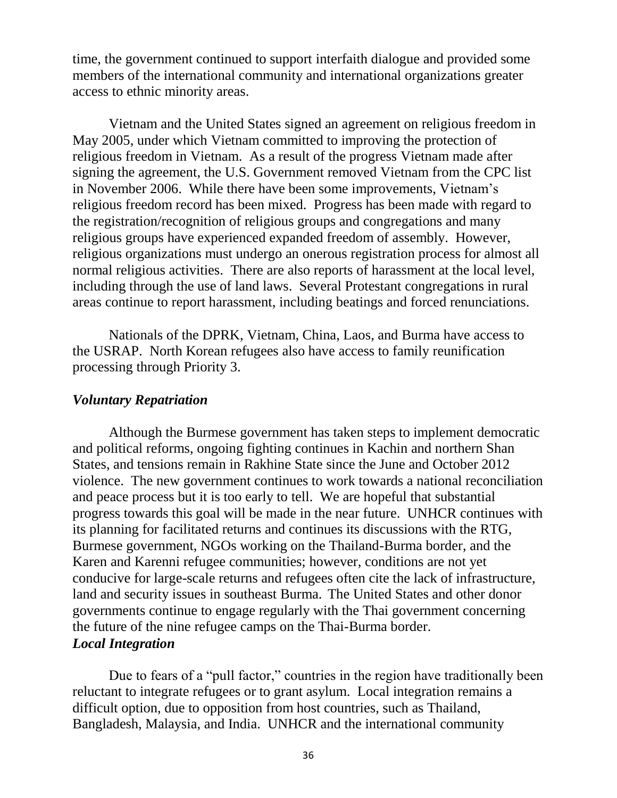time, the government continued to support interfaith dialogue and provided some members of the international community and international organizations greater access to ethnic minority areas.

Vietnam and the United States signed an agreement on religious freedom in May 2005, under which Vietnam committed to improving the protection of religious freedom in Vietnam. As a result of the progress Vietnam made after signing the agreement, the U.S. Government removed Vietnam from the CPC list in November 2006. While there have been some improvements, Vietnam's religious freedom record has been mixed. Progress has been made with regard to the registration/recognition of religious groups and congregations and many religious groups have experienced expanded freedom of assembly. However, religious organizations must undergo an onerous registration process for almost all normal religious activities. There are also reports of harassment at the local level, including through the use of land laws. Several Protestant congregations in rural areas continue to report harassment, including beatings and forced renunciations.

Nationals of the DPRK, Vietnam, China, Laos, and Burma have access to the USRAP. North Korean refugees also have access to family reunification processing through Priority 3.

### *Voluntary Repatriation*

Although the Burmese government has taken steps to implement democratic and political reforms, ongoing fighting continues in Kachin and northern Shan States, and tensions remain in Rakhine State since the June and October 2012 violence. The new government continues to work towards a national reconciliation and peace process but it is too early to tell. We are hopeful that substantial progress towards this goal will be made in the near future. UNHCR continues with its planning for facilitated returns and continues its discussions with the RTG, Burmese government, NGOs working on the Thailand-Burma border, and the Karen and Karenni refugee communities; however, conditions are not yet conducive for large-scale returns and refugees often cite the lack of infrastructure, land and security issues in southeast Burma. The United States and other donor governments continue to engage regularly with the Thai government concerning the future of the nine refugee camps on the Thai-Burma border. *Local Integration* 

Due to fears of a "pull factor," countries in the region have traditionally been reluctant to integrate refugees or to grant asylum. Local integration remains a difficult option, due to opposition from host countries, such as Thailand, Bangladesh, Malaysia, and India. UNHCR and the international community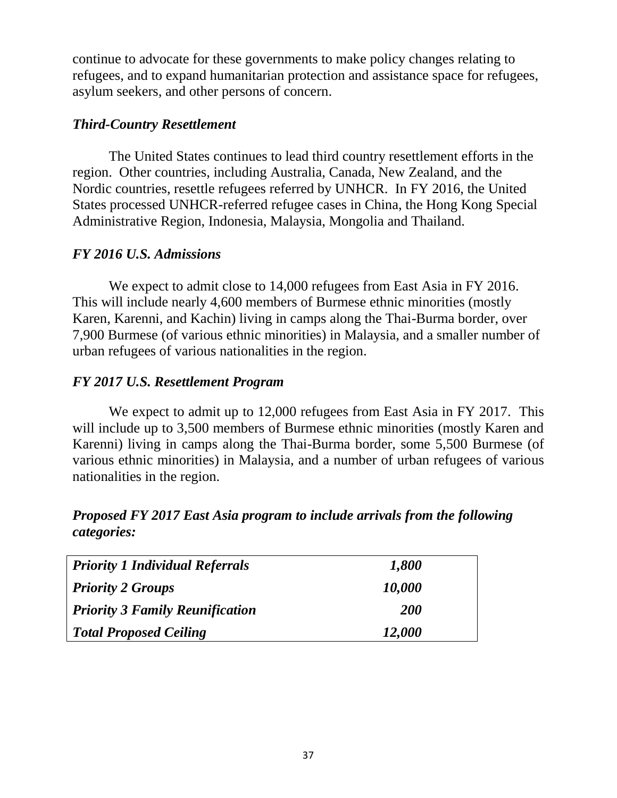continue to advocate for these governments to make policy changes relating to refugees, and to expand humanitarian protection and assistance space for refugees, asylum seekers, and other persons of concern.

# *Third-Country Resettlement*

The United States continues to lead third country resettlement efforts in the region. Other countries, including Australia, Canada, New Zealand, and the Nordic countries, resettle refugees referred by UNHCR. In FY 2016, the United States processed UNHCR-referred refugee cases in China, the Hong Kong Special Administrative Region, Indonesia, Malaysia, Mongolia and Thailand.

# *FY 2016 U.S. Admissions*

We expect to admit close to 14,000 refugees from East Asia in FY 2016. This will include nearly 4,600 members of Burmese ethnic minorities (mostly Karen, Karenni, and Kachin) living in camps along the Thai-Burma border, over 7,900 Burmese (of various ethnic minorities) in Malaysia, and a smaller number of urban refugees of various nationalities in the region.

# *FY 2017 U.S. Resettlement Program*

We expect to admit up to 12,000 refugees from East Asia in FY 2017. This will include up to 3,500 members of Burmese ethnic minorities (mostly Karen and Karenni) living in camps along the Thai-Burma border, some 5,500 Burmese (of various ethnic minorities) in Malaysia, and a number of urban refugees of various nationalities in the region.

# *Proposed FY 2017 East Asia program to include arrivals from the following categories:*

| <b>Priority 1 Individual Referrals</b> | 1,800      |
|----------------------------------------|------------|
| <b>Priority 2 Groups</b>               | 10,000     |
| <b>Priority 3 Family Reunification</b> | <b>200</b> |
| <b>Total Proposed Ceiling</b>          | 12,000     |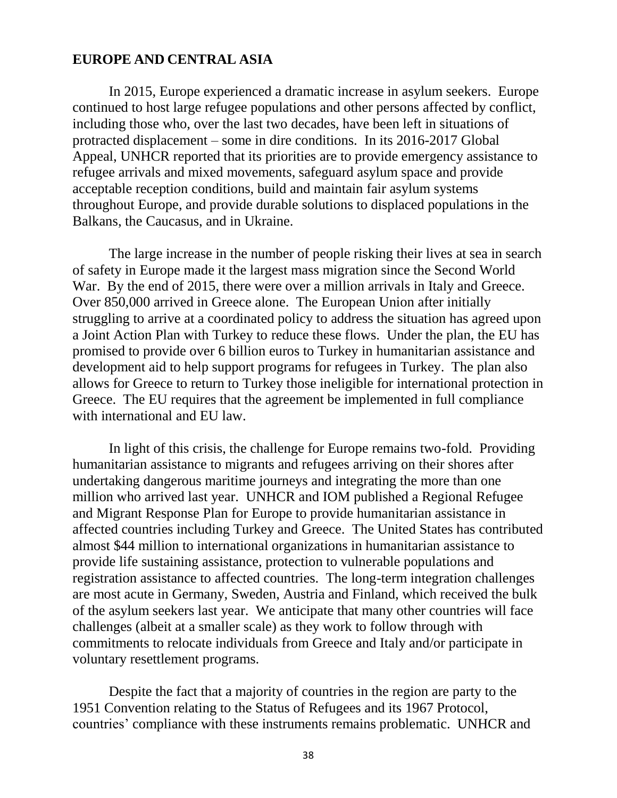#### **EUROPE AND CENTRAL ASIA**

In 2015, Europe experienced a dramatic increase in asylum seekers. Europe continued to host large refugee populations and other persons affected by conflict, including those who, over the last two decades, have been left in situations of protracted displacement – some in dire conditions. In its 2016-2017 Global Appeal, UNHCR reported that its priorities are to provide emergency assistance to refugee arrivals and mixed movements, safeguard asylum space and provide acceptable reception conditions, build and maintain fair asylum systems throughout Europe, and provide durable solutions to displaced populations in the Balkans, the Caucasus, and in Ukraine.

The large increase in the number of people risking their lives at sea in search of safety in Europe made it the largest mass migration since the Second World War. By the end of 2015, there were over a million arrivals in Italy and Greece. Over 850,000 arrived in Greece alone. The European Union after initially struggling to arrive at a coordinated policy to address the situation has agreed upon a Joint Action Plan with Turkey to reduce these flows. Under the plan, the EU has promised to provide over 6 billion euros to Turkey in humanitarian assistance and development aid to help support programs for refugees in Turkey. The plan also allows for Greece to return to Turkey those ineligible for international protection in Greece. The EU requires that the agreement be implemented in full compliance with international and EU law.

In light of this crisis, the challenge for Europe remains two-fold. Providing humanitarian assistance to migrants and refugees arriving on their shores after undertaking dangerous maritime journeys and integrating the more than one million who arrived last year. UNHCR and IOM published a Regional Refugee and Migrant Response Plan for Europe to provide humanitarian assistance in affected countries including Turkey and Greece. The United States has contributed almost \$44 million to international organizations in humanitarian assistance to provide life sustaining assistance, protection to vulnerable populations and registration assistance to affected countries. The long-term integration challenges are most acute in Germany, Sweden, Austria and Finland, which received the bulk of the asylum seekers last year. We anticipate that many other countries will face challenges (albeit at a smaller scale) as they work to follow through with commitments to relocate individuals from Greece and Italy and/or participate in voluntary resettlement programs.

Despite the fact that a majority of countries in the region are party to the 1951 Convention relating to the Status of Refugees and its 1967 Protocol, countries' compliance with these instruments remains problematic. UNHCR and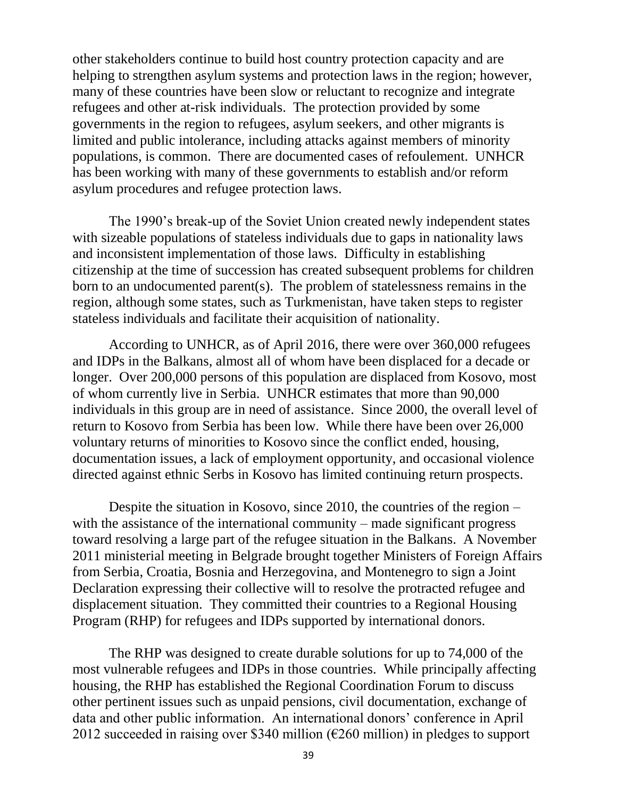other stakeholders continue to build host country protection capacity and are helping to strengthen asylum systems and protection laws in the region; however, many of these countries have been slow or reluctant to recognize and integrate refugees and other at-risk individuals. The protection provided by some governments in the region to refugees, asylum seekers, and other migrants is limited and public intolerance, including attacks against members of minority populations, is common. There are documented cases of refoulement. UNHCR has been working with many of these governments to establish and/or reform asylum procedures and refugee protection laws.

The 1990's break-up of the Soviet Union created newly independent states with sizeable populations of stateless individuals due to gaps in nationality laws and inconsistent implementation of those laws. Difficulty in establishing citizenship at the time of succession has created subsequent problems for children born to an undocumented parent(s). The problem of statelessness remains in the region, although some states, such as Turkmenistan, have taken steps to register stateless individuals and facilitate their acquisition of nationality.

According to UNHCR, as of April 2016, there were over 360,000 refugees and IDPs in the Balkans, almost all of whom have been displaced for a decade or longer. Over 200,000 persons of this population are displaced from Kosovo, most of whom currently live in Serbia. UNHCR estimates that more than 90,000 individuals in this group are in need of assistance. Since 2000, the overall level of return to Kosovo from Serbia has been low. While there have been over 26,000 voluntary returns of minorities to Kosovo since the conflict ended, housing, documentation issues, a lack of employment opportunity, and occasional violence directed against ethnic Serbs in Kosovo has limited continuing return prospects.

Despite the situation in Kosovo, since 2010, the countries of the region – with the assistance of the international community – made significant progress toward resolving a large part of the refugee situation in the Balkans. A November 2011 ministerial meeting in Belgrade brought together Ministers of Foreign Affairs from Serbia, Croatia, Bosnia and Herzegovina, and Montenegro to sign a Joint Declaration expressing their collective will to resolve the protracted refugee and displacement situation. They committed their countries to a Regional Housing Program (RHP) for refugees and IDPs supported by international donors.

The RHP was designed to create durable solutions for up to 74,000 of the most vulnerable refugees and IDPs in those countries. While principally affecting housing, the RHP has established the Regional Coordination Forum to discuss other pertinent issues such as unpaid pensions, civil documentation, exchange of data and other public information. An international donors' conference in April 2012 succeeded in raising over \$340 million ( $\epsilon$ 260 million) in pledges to support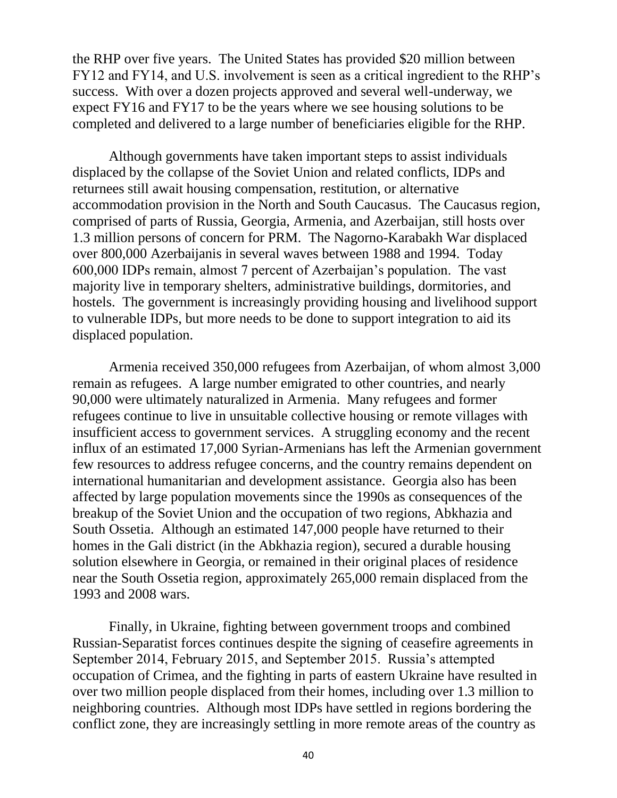the RHP over five years. The United States has provided \$20 million between FY12 and FY14, and U.S. involvement is seen as a critical ingredient to the RHP's success. With over a dozen projects approved and several well-underway, we expect FY16 and FY17 to be the years where we see housing solutions to be completed and delivered to a large number of beneficiaries eligible for the RHP.

Although governments have taken important steps to assist individuals displaced by the collapse of the Soviet Union and related conflicts, IDPs and returnees still await housing compensation, restitution, or alternative accommodation provision in the North and South Caucasus. The Caucasus region, comprised of parts of Russia, Georgia, Armenia, and Azerbaijan, still hosts over 1.3 million persons of concern for PRM. The Nagorno-Karabakh War displaced over 800,000 Azerbaijanis in several waves between 1988 and 1994. Today 600,000 IDPs remain, almost 7 percent of Azerbaijan's population. The vast majority live in temporary shelters, administrative buildings, dormitories, and hostels. The government is increasingly providing housing and livelihood support to vulnerable IDPs, but more needs to be done to support integration to aid its displaced population.

Armenia received 350,000 refugees from Azerbaijan, of whom almost 3,000 remain as refugees. A large number emigrated to other countries, and nearly 90,000 were ultimately naturalized in Armenia. Many refugees and former refugees continue to live in unsuitable collective housing or remote villages with insufficient access to government services. A struggling economy and the recent influx of an estimated 17,000 Syrian-Armenians has left the Armenian government few resources to address refugee concerns, and the country remains dependent on international humanitarian and development assistance. Georgia also has been affected by large population movements since the 1990s as consequences of the breakup of the Soviet Union and the occupation of two regions, Abkhazia and South Ossetia. Although an estimated 147,000 people have returned to their homes in the Gali district (in the Abkhazia region), secured a durable housing solution elsewhere in Georgia, or remained in their original places of residence near the South Ossetia region, approximately 265,000 remain displaced from the 1993 and 2008 wars.

Finally, in Ukraine, fighting between government troops and combined Russian-Separatist forces continues despite the signing of ceasefire agreements in September 2014, February 2015, and September 2015. Russia's attempted occupation of Crimea, and the fighting in parts of eastern Ukraine have resulted in over two million people displaced from their homes, including over 1.3 million to neighboring countries. Although most IDPs have settled in regions bordering the conflict zone, they are increasingly settling in more remote areas of the country as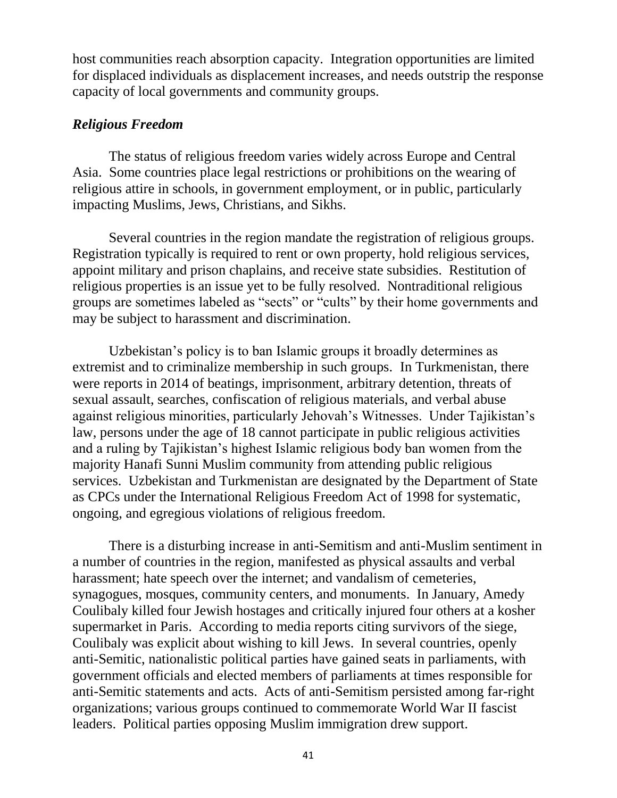host communities reach absorption capacity. Integration opportunities are limited for displaced individuals as displacement increases, and needs outstrip the response capacity of local governments and community groups.

## *Religious Freedom*

The status of religious freedom varies widely across Europe and Central Asia. Some countries place legal restrictions or prohibitions on the wearing of religious attire in schools, in government employment, or in public, particularly impacting Muslims, Jews, Christians, and Sikhs.

Several countries in the region mandate the registration of religious groups. Registration typically is required to rent or own property, hold religious services, appoint military and prison chaplains, and receive state subsidies. Restitution of religious properties is an issue yet to be fully resolved. Nontraditional religious groups are sometimes labeled as "sects" or "cults" by their home governments and may be subject to harassment and discrimination.

Uzbekistan's policy is to ban Islamic groups it broadly determines as extremist and to criminalize membership in such groups. In Turkmenistan, there were reports in 2014 of beatings, imprisonment, arbitrary detention, threats of sexual assault, searches, confiscation of religious materials, and verbal abuse against religious minorities, particularly Jehovah's Witnesses. Under Tajikistan's law, persons under the age of 18 cannot participate in public religious activities and a ruling by Tajikistan's highest Islamic religious body ban women from the majority Hanafi Sunni Muslim community from attending public religious services. Uzbekistan and Turkmenistan are designated by the Department of State as CPCs under the International Religious Freedom Act of 1998 for systematic, ongoing, and egregious violations of religious freedom.

There is a disturbing increase in anti-Semitism and anti-Muslim sentiment in a number of countries in the region, manifested as physical assaults and verbal harassment; hate speech over the internet; and vandalism of cemeteries, synagogues, mosques, community centers, and monuments. In January, Amedy Coulibaly killed four Jewish hostages and critically injured four others at a kosher supermarket in Paris. According to media reports citing survivors of the siege, Coulibaly was explicit about wishing to kill Jews. In several countries, openly anti-Semitic, nationalistic political parties have gained seats in parliaments, with government officials and elected members of parliaments at times responsible for anti-Semitic statements and acts. Acts of anti-Semitism persisted among far-right organizations; various groups continued to commemorate World War II fascist leaders. Political parties opposing Muslim immigration drew support.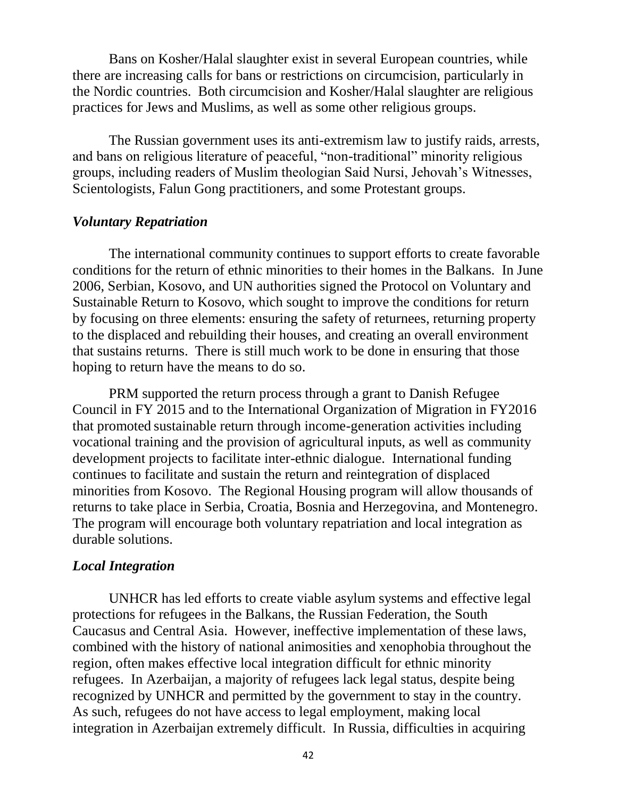Bans on Kosher/Halal slaughter exist in several European countries, while there are increasing calls for bans or restrictions on circumcision, particularly in the Nordic countries. Both circumcision and Kosher/Halal slaughter are religious practices for Jews and Muslims, as well as some other religious groups.

The Russian government uses its anti-extremism law to justify raids, arrests, and bans on religious literature of peaceful, "non-traditional" minority religious groups, including readers of Muslim theologian Said Nursi, Jehovah's Witnesses, Scientologists, Falun Gong practitioners, and some Protestant groups.

#### *Voluntary Repatriation*

The international community continues to support efforts to create favorable conditions for the return of ethnic minorities to their homes in the Balkans. In June 2006, Serbian, Kosovo, and UN authorities signed the Protocol on Voluntary and Sustainable Return to Kosovo, which sought to improve the conditions for return by focusing on three elements: ensuring the safety of returnees, returning property to the displaced and rebuilding their houses, and creating an overall environment that sustains returns. There is still much work to be done in ensuring that those hoping to return have the means to do so.

PRM supported the return process through a grant to Danish Refugee Council in FY 2015 and to the International Organization of Migration in FY2016 that promoted sustainable return through income-generation activities including vocational training and the provision of agricultural inputs, as well as community development projects to facilitate inter-ethnic dialogue. International funding continues to facilitate and sustain the return and reintegration of displaced minorities from Kosovo. The Regional Housing program will allow thousands of returns to take place in Serbia, Croatia, Bosnia and Herzegovina, and Montenegro. The program will encourage both voluntary repatriation and local integration as durable solutions.

#### *Local Integration*

UNHCR has led efforts to create viable asylum systems and effective legal protections for refugees in the Balkans, the Russian Federation, the South Caucasus and Central Asia. However, ineffective implementation of these laws, combined with the history of national animosities and xenophobia throughout the region, often makes effective local integration difficult for ethnic minority refugees. In Azerbaijan, a majority of refugees lack legal status, despite being recognized by UNHCR and permitted by the government to stay in the country. As such, refugees do not have access to legal employment, making local integration in Azerbaijan extremely difficult. In Russia, difficulties in acquiring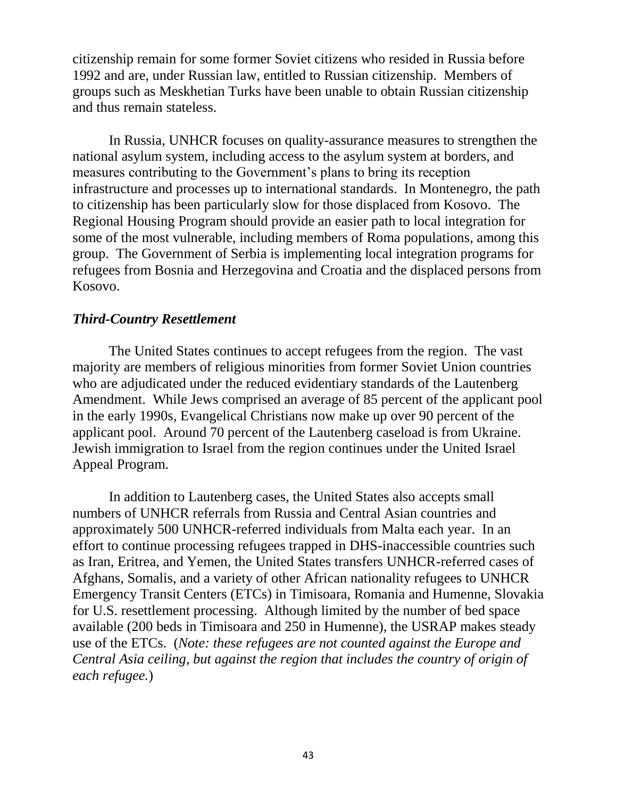citizenship remain for some former Soviet citizens who resided in Russia before 1992 and are, under Russian law, entitled to Russian citizenship. Members of groups such as Meskhetian Turks have been unable to obtain Russian citizenship and thus remain stateless.

In Russia, UNHCR focuses on quality-assurance measures to strengthen the national asylum system, including access to the asylum system at borders, and measures contributing to the Government's plans to bring its reception infrastructure and processes up to international standards. In Montenegro, the path to citizenship has been particularly slow for those displaced from Kosovo. The Regional Housing Program should provide an easier path to local integration for some of the most vulnerable, including members of Roma populations, among this group. The Government of Serbia is implementing local integration programs for refugees from Bosnia and Herzegovina and Croatia and the displaced persons from Kosovo.

#### *Third-Country Resettlement*

The United States continues to accept refugees from the region. The vast majority are members of religious minorities from former Soviet Union countries who are adjudicated under the reduced evidentiary standards of the Lautenberg Amendment. While Jews comprised an average of 85 percent of the applicant pool in the early 1990s, Evangelical Christians now make up over 90 percent of the applicant pool. Around 70 percent of the Lautenberg caseload is from Ukraine. Jewish immigration to Israel from the region continues under the United Israel Appeal Program.

In addition to Lautenberg cases, the United States also accepts small numbers of UNHCR referrals from Russia and Central Asian countries and approximately 500 UNHCR-referred individuals from Malta each year. In an effort to continue processing refugees trapped in DHS-inaccessible countries such as Iran, Eritrea, and Yemen, the United States transfers UNHCR-referred cases of Afghans, Somalis, and a variety of other African nationality refugees to UNHCR Emergency Transit Centers (ETCs) in Timisoara, Romania and Humenne, Slovakia for U.S. resettlement processing. Although limited by the number of bed space available (200 beds in Timisoara and 250 in Humenne), the USRAP makes steady use of the ETCs. (*Note: these refugees are not counted against the Europe and Central Asia ceiling, but against the region that includes the country of origin of each refugee.*)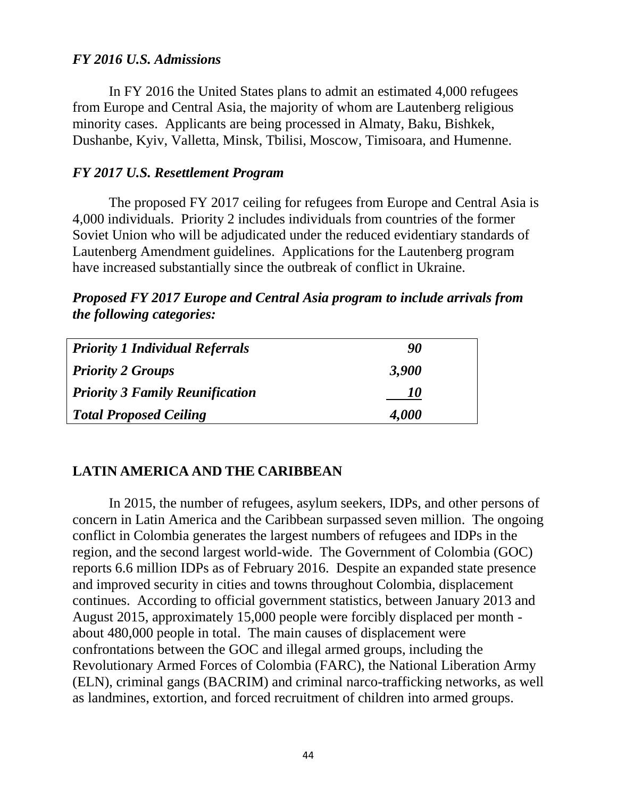## *FY 2016 U.S. Admissions*

In FY 2016 the United States plans to admit an estimated 4,000 refugees from Europe and Central Asia, the majority of whom are Lautenberg religious minority cases. Applicants are being processed in Almaty, Baku, Bishkek, Dushanbe, Kyiv, Valletta, Minsk, Tbilisi, Moscow, Timisoara, and Humenne.

## *FY 2017 U.S. Resettlement Program*

The proposed FY 2017 ceiling for refugees from Europe and Central Asia is 4,000 individuals. Priority 2 includes individuals from countries of the former Soviet Union who will be adjudicated under the reduced evidentiary standards of Lautenberg Amendment guidelines. Applications for the Lautenberg program have increased substantially since the outbreak of conflict in Ukraine.

*Proposed FY 2017 Europe and Central Asia program to include arrivals from the following categories:* 

| <b>Priority 1 Individual Referrals</b> | 90    |  |
|----------------------------------------|-------|--|
| <b>Priority 2 Groups</b>               | 3,900 |  |
| <b>Priority 3 Family Reunification</b> | 10    |  |
| <b>Total Proposed Ceiling</b>          | 4,000 |  |

# **LATIN AMERICA AND THE CARIBBEAN**

In 2015, the number of refugees, asylum seekers, IDPs, and other persons of concern in Latin America and the Caribbean surpassed seven million. The ongoing conflict in Colombia generates the largest numbers of refugees and IDPs in the region, and the second largest world-wide. The Government of Colombia (GOC) reports 6.6 million IDPs as of February 2016. Despite an expanded state presence and improved security in cities and towns throughout Colombia, displacement continues. According to official government statistics, between January 2013 and August 2015, approximately 15,000 people were forcibly displaced per month about 480,000 people in total. The main causes of displacement were confrontations between the GOC and illegal armed groups, including the Revolutionary Armed Forces of Colombia (FARC), the National Liberation Army (ELN), criminal gangs (BACRIM) and criminal narco-trafficking networks, as well as landmines, extortion, and forced recruitment of children into armed groups.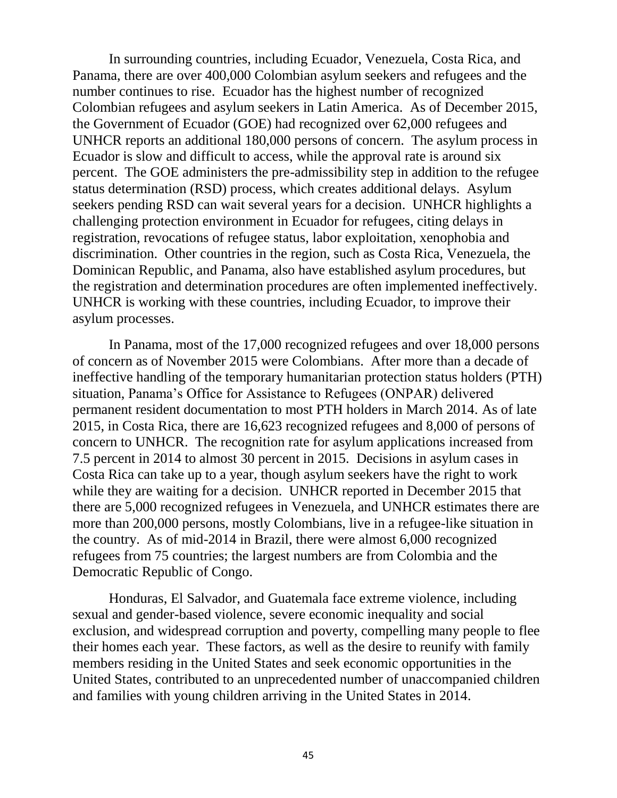In surrounding countries, including Ecuador, Venezuela, Costa Rica, and Panama, there are over 400,000 Colombian asylum seekers and refugees and the number continues to rise. Ecuador has the highest number of recognized Colombian refugees and asylum seekers in Latin America. As of December 2015, the Government of Ecuador (GOE) had recognized over 62,000 refugees and UNHCR reports an additional 180,000 persons of concern. The asylum process in Ecuador is slow and difficult to access, while the approval rate is around six percent. The GOE administers the pre-admissibility step in addition to the refugee status determination (RSD) process, which creates additional delays. Asylum seekers pending RSD can wait several years for a decision. UNHCR highlights a challenging protection environment in Ecuador for refugees, citing delays in registration, revocations of refugee status, labor exploitation, xenophobia and discrimination. Other countries in the region, such as Costa Rica, Venezuela, the Dominican Republic, and Panama, also have established asylum procedures, but the registration and determination procedures are often implemented ineffectively. UNHCR is working with these countries, including Ecuador, to improve their asylum processes.

In Panama, most of the 17,000 recognized refugees and over 18,000 persons of concern as of November 2015 were Colombians. After more than a decade of ineffective handling of the temporary humanitarian protection status holders (PTH) situation, Panama's Office for Assistance to Refugees (ONPAR) delivered permanent resident documentation to most PTH holders in March 2014. As of late 2015, in Costa Rica, there are 16,623 recognized refugees and 8,000 of persons of concern to UNHCR. The recognition rate for asylum applications increased from 7.5 percent in 2014 to almost 30 percent in 2015. Decisions in asylum cases in Costa Rica can take up to a year, though asylum seekers have the right to work while they are waiting for a decision. UNHCR reported in December 2015 that there are 5,000 recognized refugees in Venezuela, and UNHCR estimates there are more than 200,000 persons, mostly Colombians, live in a refugee-like situation in the country. As of mid-2014 in Brazil, there were almost 6,000 recognized refugees from 75 countries; the largest numbers are from Colombia and the Democratic Republic of Congo.

Honduras, El Salvador, and Guatemala face extreme violence, including sexual and gender-based violence, severe economic inequality and social exclusion, and widespread corruption and poverty, compelling many people to flee their homes each year. These factors, as well as the desire to reunify with family members residing in the United States and seek economic opportunities in the United States, contributed to an unprecedented number of unaccompanied children and families with young children arriving in the United States in 2014.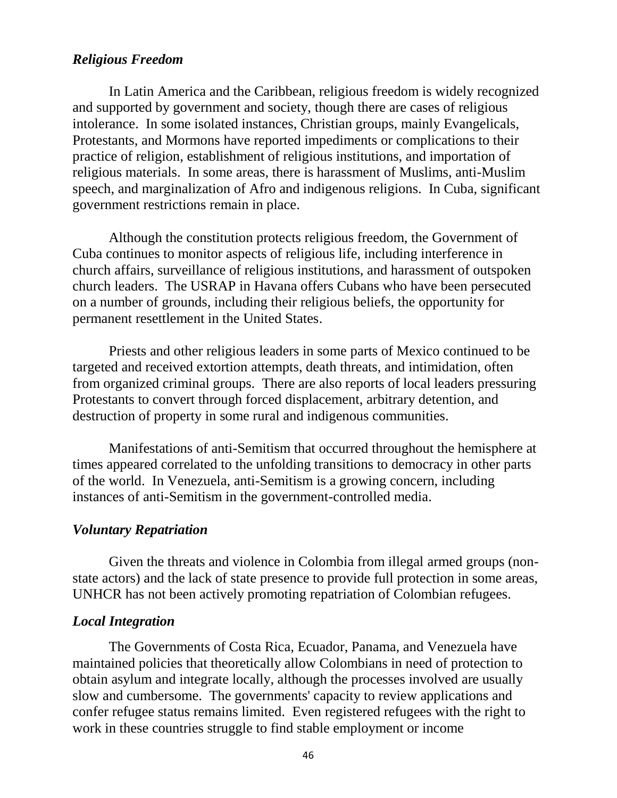### *Religious Freedom*

In Latin America and the Caribbean, religious freedom is widely recognized and supported by government and society, though there are cases of religious intolerance. In some isolated instances, Christian groups, mainly Evangelicals, Protestants, and Mormons have reported impediments or complications to their practice of religion, establishment of religious institutions, and importation of religious materials. In some areas, there is harassment of Muslims, anti-Muslim speech, and marginalization of Afro and indigenous religions. In Cuba, significant government restrictions remain in place.

Although the constitution protects religious freedom, the Government of Cuba continues to monitor aspects of religious life, including interference in church affairs, surveillance of religious institutions, and harassment of outspoken church leaders. The USRAP in Havana offers Cubans who have been persecuted on a number of grounds, including their religious beliefs, the opportunity for permanent resettlement in the United States.

Priests and other religious leaders in some parts of Mexico continued to be targeted and received extortion attempts, death threats, and intimidation, often from organized criminal groups. There are also reports of local leaders pressuring Protestants to convert through forced displacement, arbitrary detention, and destruction of property in some rural and indigenous communities.

Manifestations of anti-Semitism that occurred throughout the hemisphere at times appeared correlated to the unfolding transitions to democracy in other parts of the world. In Venezuela, anti-Semitism is a growing concern, including instances of anti-Semitism in the government-controlled media.

#### *Voluntary Repatriation*

Given the threats and violence in Colombia from illegal armed groups (nonstate actors) and the lack of state presence to provide full protection in some areas, UNHCR has not been actively promoting repatriation of Colombian refugees.

#### *Local Integration*

The Governments of Costa Rica, Ecuador, Panama, and Venezuela have maintained policies that theoretically allow Colombians in need of protection to obtain asylum and integrate locally, although the processes involved are usually slow and cumbersome. The governments' capacity to review applications and confer refugee status remains limited. Even registered refugees with the right to work in these countries struggle to find stable employment or income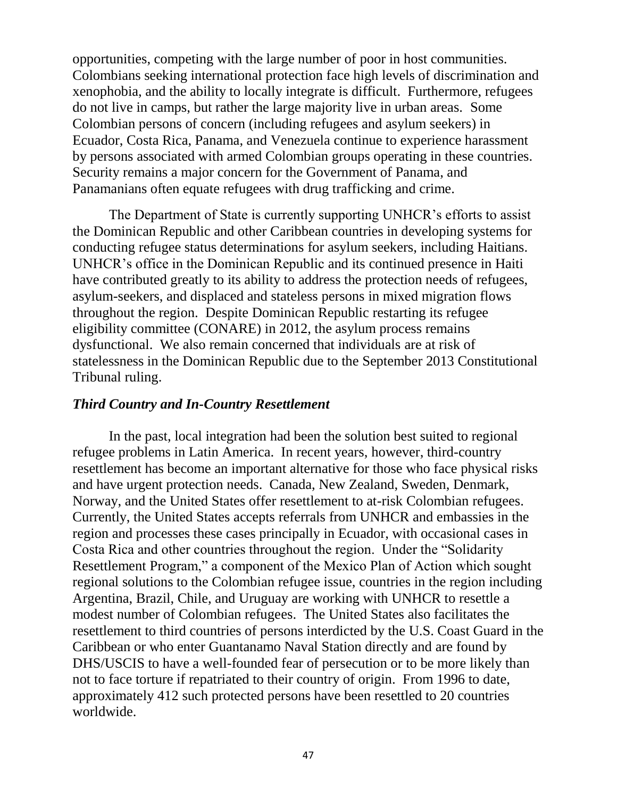opportunities, competing with the large number of poor in host communities. Colombians seeking international protection face high levels of discrimination and xenophobia, and the ability to locally integrate is difficult. Furthermore, refugees do not live in camps, but rather the large majority live in urban areas. Some Colombian persons of concern (including refugees and asylum seekers) in Ecuador, Costa Rica, Panama, and Venezuela continue to experience harassment by persons associated with armed Colombian groups operating in these countries. Security remains a major concern for the Government of Panama, and Panamanians often equate refugees with drug trafficking and crime.

The Department of State is currently supporting UNHCR's efforts to assist the Dominican Republic and other Caribbean countries in developing systems for conducting refugee status determinations for asylum seekers, including Haitians. UNHCR's office in the Dominican Republic and its continued presence in Haiti have contributed greatly to its ability to address the protection needs of refugees, asylum-seekers, and displaced and stateless persons in mixed migration flows throughout the region. Despite Dominican Republic restarting its refugee eligibility committee (CONARE) in 2012, the asylum process remains dysfunctional. We also remain concerned that individuals are at risk of statelessness in the Dominican Republic due to the September 2013 Constitutional Tribunal ruling.

#### *Third Country and In-Country Resettlement*

In the past, local integration had been the solution best suited to regional refugee problems in Latin America. In recent years, however, third-country resettlement has become an important alternative for those who face physical risks and have urgent protection needs. Canada, New Zealand, Sweden, Denmark, Norway, and the United States offer resettlement to at-risk Colombian refugees. Currently, the United States accepts referrals from UNHCR and embassies in the region and processes these cases principally in Ecuador, with occasional cases in Costa Rica and other countries throughout the region. Under the "Solidarity Resettlement Program," a component of the Mexico Plan of Action which sought regional solutions to the Colombian refugee issue, countries in the region including Argentina, Brazil, Chile, and Uruguay are working with UNHCR to resettle a modest number of Colombian refugees. The United States also facilitates the resettlement to third countries of persons interdicted by the U.S. Coast Guard in the Caribbean or who enter Guantanamo Naval Station directly and are found by DHS/USCIS to have a well-founded fear of persecution or to be more likely than not to face torture if repatriated to their country of origin. From 1996 to date, approximately 412 such protected persons have been resettled to 20 countries worldwide.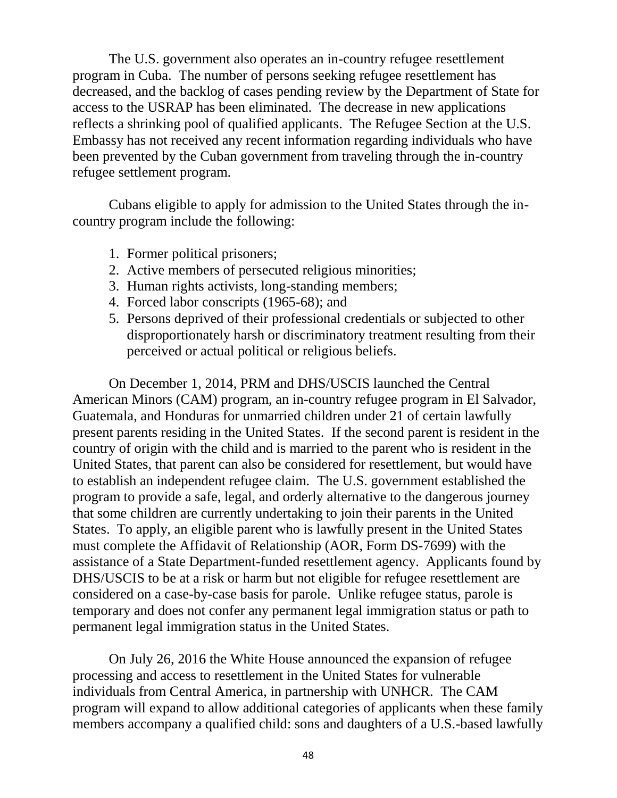The U.S. government also operates an in-country refugee resettlement program in Cuba. The number of persons seeking refugee resettlement has decreased, and the backlog of cases pending review by the Department of State for access to the USRAP has been eliminated. The decrease in new applications reflects a shrinking pool of qualified applicants. The Refugee Section at the U.S. Embassy has not received any recent information regarding individuals who have been prevented by the Cuban government from traveling through the in-country refugee settlement program.

Cubans eligible to apply for admission to the United States through the incountry program include the following:

- 1. Former political prisoners;
- 2. Active members of persecuted religious minorities;
- 3. Human rights activists, long-standing members;
- 4. Forced labor conscripts (1965-68); and
- 5. Persons deprived of their professional credentials or subjected to other disproportionately harsh or discriminatory treatment resulting from their perceived or actual political or religious beliefs.

On December 1, 2014, PRM and DHS/USCIS launched the Central American Minors (CAM) program, an in-country refugee program in El Salvador, Guatemala, and Honduras for unmarried children under 21 of certain lawfully present parents residing in the United States. If the second parent is resident in the country of origin with the child and is married to the parent who is resident in the United States, that parent can also be considered for resettlement, but would have to establish an independent refugee claim. The U.S. government established the program to provide a safe, legal, and orderly alternative to the dangerous journey that some children are currently undertaking to join their parents in the United States. To apply, an eligible parent who is lawfully present in the United States must complete the Affidavit of Relationship (AOR, Form DS-7699) with the assistance of a State Department-funded resettlement agency. Applicants found by DHS/USCIS to be at a risk or harm but not eligible for refugee resettlement are considered on a case-by-case basis for parole. Unlike refugee status, parole is temporary and does not confer any permanent legal immigration status or path to permanent legal immigration status in the United States.

On July 26, 2016 the White House announced the expansion of refugee processing and access to resettlement in the United States for vulnerable individuals from Central America, in partnership with UNHCR. The CAM program will expand to allow additional categories of applicants when these family members accompany a qualified child: sons and daughters of a U.S.-based lawfully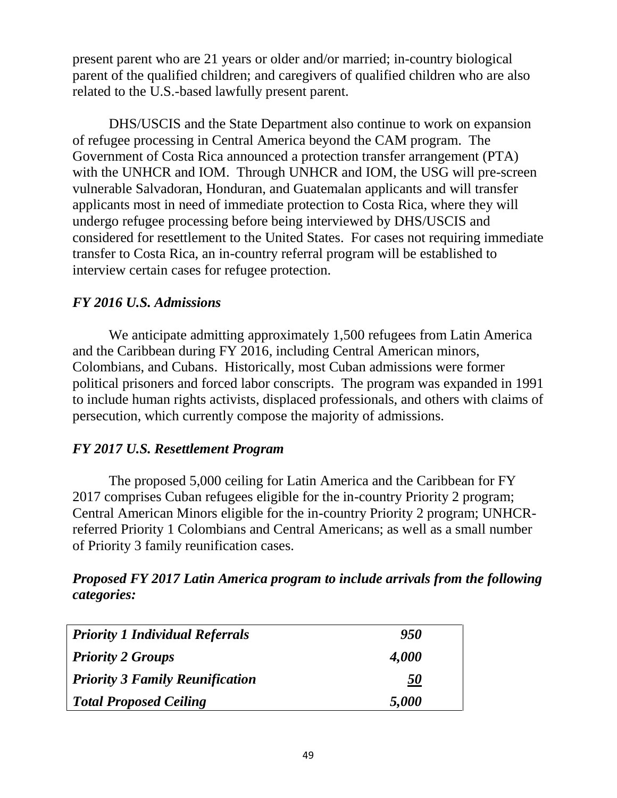present parent who are 21 years or older and/or married; in-country biological parent of the qualified children; and caregivers of qualified children who are also related to the U.S.-based lawfully present parent.

DHS/USCIS and the State Department also continue to work on expansion of refugee processing in Central America beyond the CAM program. The Government of Costa Rica announced a protection transfer arrangement (PTA) with the UNHCR and IOM. Through UNHCR and IOM, the USG will pre-screen vulnerable Salvadoran, Honduran, and Guatemalan applicants and will transfer applicants most in need of immediate protection to Costa Rica, where they will undergo refugee processing before being interviewed by DHS/USCIS and considered for resettlement to the United States. For cases not requiring immediate transfer to Costa Rica, an in-country referral program will be established to interview certain cases for refugee protection.

# *FY 2016 U.S. Admissions*

We anticipate admitting approximately 1,500 refugees from Latin America and the Caribbean during FY 2016, including Central American minors, Colombians, and Cubans. Historically, most Cuban admissions were former political prisoners and forced labor conscripts. The program was expanded in 1991 to include human rights activists, displaced professionals, and others with claims of persecution, which currently compose the majority of admissions.

# *FY 2017 U.S. Resettlement Program*

The proposed 5,000 ceiling for Latin America and the Caribbean for FY 2017 comprises Cuban refugees eligible for the in-country Priority 2 program; Central American Minors eligible for the in-country Priority 2 program; UNHCRreferred Priority 1 Colombians and Central Americans; as well as a small number of Priority 3 family reunification cases.

# *Proposed FY 2017 Latin America program to include arrivals from the following categories:*

| <b>Priority 1 Individual Referrals</b> | 950              |
|----------------------------------------|------------------|
| <b>Priority 2 Groups</b>               | 4,000            |
| <b>Priority 3 Family Reunification</b> | $\underline{50}$ |
| <b>Total Proposed Ceiling</b>          | 5,000            |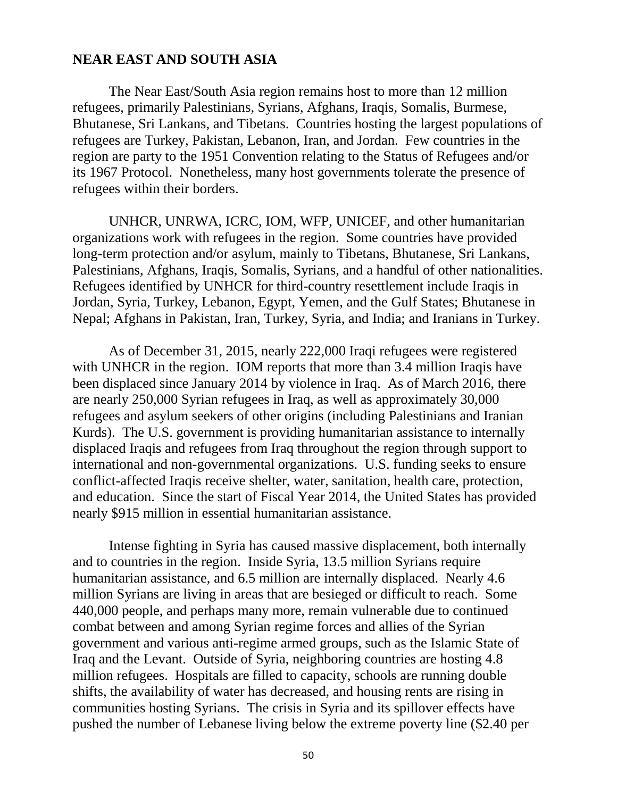#### **NEAR EAST AND SOUTH ASIA**

The Near East/South Asia region remains host to more than 12 million refugees, primarily Palestinians, Syrians, Afghans, Iraqis, Somalis, Burmese, Bhutanese, Sri Lankans, and Tibetans. Countries hosting the largest populations of refugees are Turkey, Pakistan, Lebanon, Iran, and Jordan. Few countries in the region are party to the 1951 Convention relating to the Status of Refugees and/or its 1967 Protocol. Nonetheless, many host governments tolerate the presence of refugees within their borders.

UNHCR, UNRWA, ICRC, IOM, WFP, UNICEF, and other humanitarian organizations work with refugees in the region. Some countries have provided long-term protection and/or asylum, mainly to Tibetans, Bhutanese, Sri Lankans, Palestinians, Afghans, Iraqis, Somalis, Syrians, and a handful of other nationalities. Refugees identified by UNHCR for third-country resettlement include Iraqis in Jordan, Syria, Turkey, Lebanon, Egypt, Yemen, and the Gulf States; Bhutanese in Nepal; Afghans in Pakistan, Iran, Turkey, Syria, and India; and Iranians in Turkey.

As of December 31, 2015, nearly 222,000 Iraqi refugees were registered with UNHCR in the region. IOM reports that more than 3.4 million Iraqis have been displaced since January 2014 by violence in Iraq. As of March 2016, there are nearly 250,000 Syrian refugees in Iraq, as well as approximately 30,000 refugees and asylum seekers of other origins (including Palestinians and Iranian Kurds). The U.S. government is providing humanitarian assistance to internally displaced Iraqis and refugees from Iraq throughout the region through support to international and non-governmental organizations. U.S. funding seeks to ensure conflict-affected Iraqis receive shelter, water, sanitation, health care, protection, and education. Since the start of Fiscal Year 2014, the United States has provided nearly \$915 million in essential humanitarian assistance.

Intense fighting in Syria has caused massive displacement, both internally and to countries in the region. Inside Syria, 13.5 million Syrians require humanitarian assistance, and 6.5 million are internally displaced. Nearly 4.6 million Syrians are living in areas that are besieged or difficult to reach. Some 440,000 people, and perhaps many more, remain vulnerable due to continued combat between and among Syrian regime forces and allies of the Syrian government and various anti-regime armed groups, such as the Islamic State of Iraq and the Levant. Outside of Syria, neighboring countries are hosting 4.8 million refugees. Hospitals are filled to capacity, schools are running double shifts, the availability of water has decreased, and housing rents are rising in communities hosting Syrians. The crisis in Syria and its spillover effects have pushed the number of Lebanese living below the extreme poverty line (\$2.40 per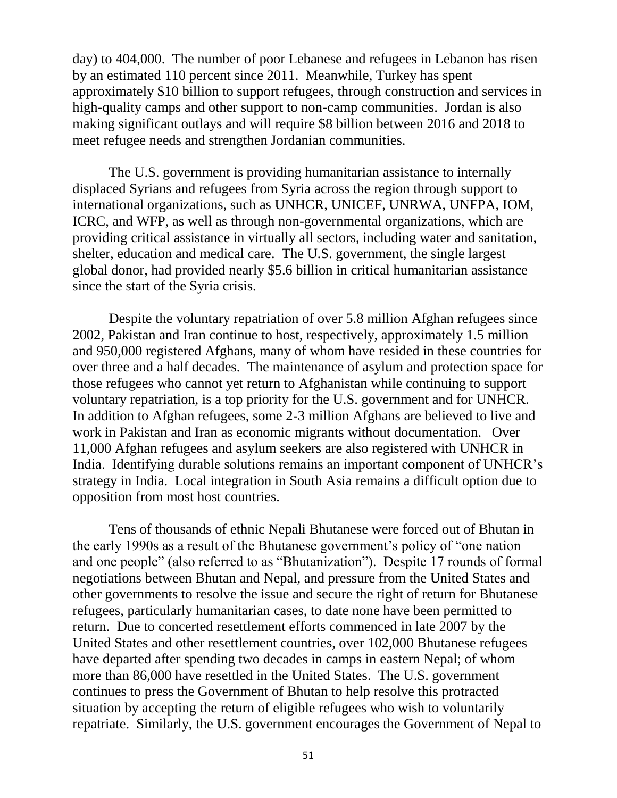day) to 404,000. The number of poor Lebanese and refugees in Lebanon has risen by an estimated 110 percent since 2011. Meanwhile, Turkey has spent approximately \$10 billion to support refugees, through construction and services in high-quality camps and other support to non-camp communities. Jordan is also making significant outlays and will require \$8 billion between 2016 and 2018 to meet refugee needs and strengthen Jordanian communities.

The U.S. government is providing humanitarian assistance to internally displaced Syrians and refugees from Syria across the region through support to international organizations, such as UNHCR, UNICEF, UNRWA, UNFPA, IOM, ICRC, and WFP, as well as through non-governmental organizations, which are providing critical assistance in virtually all sectors, including water and sanitation, shelter, education and medical care. The U.S. government, the single largest global donor, had provided nearly \$5.6 billion in critical humanitarian assistance since the start of the Syria crisis.

Despite the voluntary repatriation of over 5.8 million Afghan refugees since 2002, Pakistan and Iran continue to host, respectively, approximately 1.5 million and 950,000 registered Afghans, many of whom have resided in these countries for over three and a half decades. The maintenance of asylum and protection space for those refugees who cannot yet return to Afghanistan while continuing to support voluntary repatriation, is a top priority for the U.S. government and for UNHCR. In addition to Afghan refugees, some 2-3 million Afghans are believed to live and work in Pakistan and Iran as economic migrants without documentation. Over 11,000 Afghan refugees and asylum seekers are also registered with UNHCR in India. Identifying durable solutions remains an important component of UNHCR's strategy in India. Local integration in South Asia remains a difficult option due to opposition from most host countries.

Tens of thousands of ethnic Nepali Bhutanese were forced out of Bhutan in the early 1990s as a result of the Bhutanese government's policy of "one nation and one people" (also referred to as "Bhutanization"). Despite 17 rounds of formal negotiations between Bhutan and Nepal, and pressure from the United States and other governments to resolve the issue and secure the right of return for Bhutanese refugees, particularly humanitarian cases, to date none have been permitted to return. Due to concerted resettlement efforts commenced in late 2007 by the United States and other resettlement countries, over 102,000 Bhutanese refugees have departed after spending two decades in camps in eastern Nepal; of whom more than 86,000 have resettled in the United States. The U.S. government continues to press the Government of Bhutan to help resolve this protracted situation by accepting the return of eligible refugees who wish to voluntarily repatriate. Similarly, the U.S. government encourages the Government of Nepal to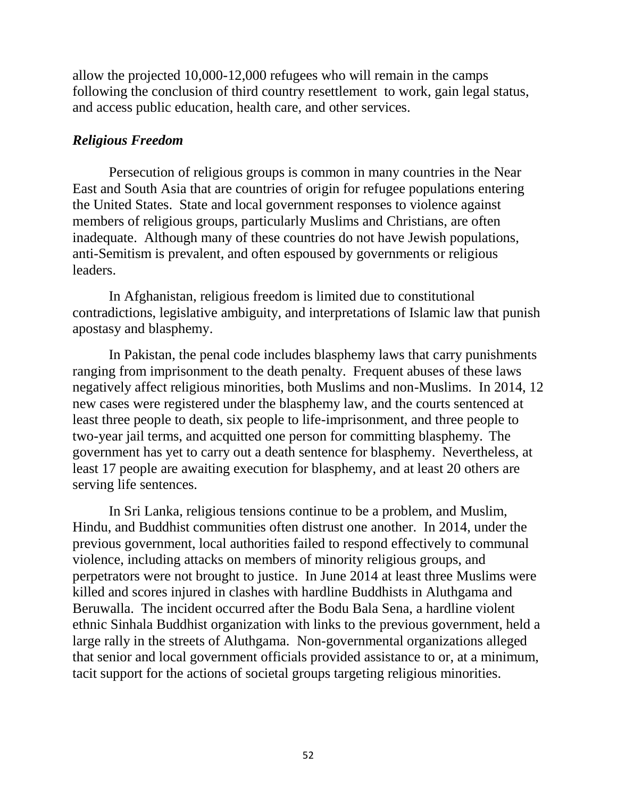allow the projected 10,000-12,000 refugees who will remain in the camps following the conclusion of third country resettlement to work, gain legal status, and access public education, health care, and other services.

# *Religious Freedom*

Persecution of religious groups is common in many countries in the Near East and South Asia that are countries of origin for refugee populations entering the United States. State and local government responses to violence against members of religious groups, particularly Muslims and Christians, are often inadequate. Although many of these countries do not have Jewish populations, anti-Semitism is prevalent, and often espoused by governments or religious leaders.

In Afghanistan, religious freedom is limited due to constitutional contradictions, legislative ambiguity, and interpretations of Islamic law that punish apostasy and blasphemy.

In Pakistan, the penal code includes blasphemy laws that carry punishments ranging from imprisonment to the death penalty. Frequent abuses of these laws negatively affect religious minorities, both Muslims and non-Muslims. In 2014, 12 new cases were registered under the blasphemy law, and the courts sentenced at least three people to death, six people to life-imprisonment, and three people to two-year jail terms, and acquitted one person for committing blasphemy. The government has yet to carry out a death sentence for blasphemy. Nevertheless, at least 17 people are awaiting execution for blasphemy, and at least 20 others are serving life sentences.

In Sri Lanka, religious tensions continue to be a problem, and Muslim, Hindu, and Buddhist communities often distrust one another. In 2014, under the previous government, local authorities failed to respond effectively to communal violence, including attacks on members of minority religious groups, and perpetrators were not brought to justice. In June 2014 at least three Muslims were killed and scores injured in clashes with hardline Buddhists in Aluthgama and Beruwalla. The incident occurred after the Bodu Bala Sena, a hardline violent ethnic Sinhala Buddhist organization with links to the previous government, held a large rally in the streets of Aluthgama. Non-governmental organizations alleged that senior and local government officials provided assistance to or, at a minimum, tacit support for the actions of societal groups targeting religious minorities.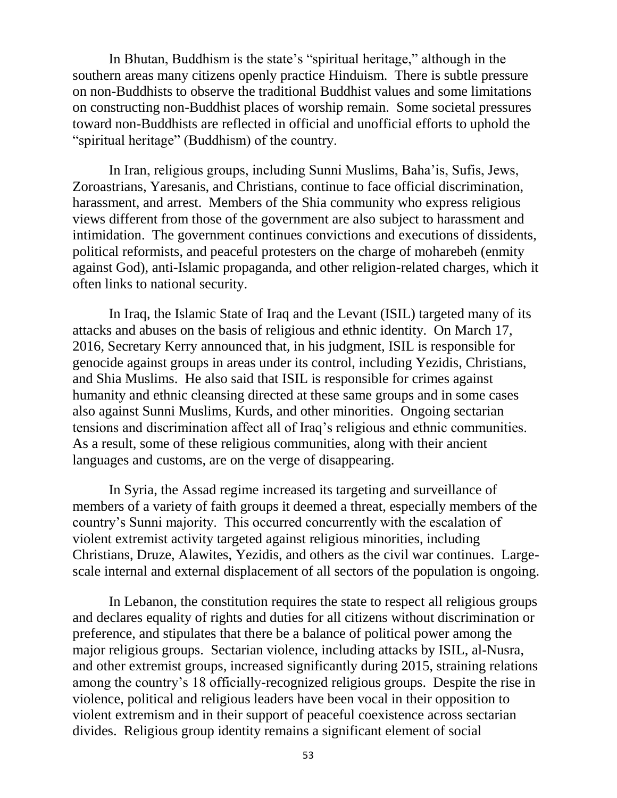In Bhutan, Buddhism is the state's "spiritual heritage," although in the southern areas many citizens openly practice Hinduism. There is subtle pressure on non-Buddhists to observe the traditional Buddhist values and some limitations on constructing non-Buddhist places of worship remain. Some societal pressures toward non-Buddhists are reflected in official and unofficial efforts to uphold the "spiritual heritage" (Buddhism) of the country.

In Iran, religious groups, including Sunni Muslims, Baha'is, Sufis, Jews, Zoroastrians, Yaresanis, and Christians, continue to face official discrimination, harassment, and arrest. Members of the Shia community who express religious views different from those of the government are also subject to harassment and intimidation. The government continues convictions and executions of dissidents, political reformists, and peaceful protesters on the charge of moharebeh (enmity against God), anti-Islamic propaganda, and other religion-related charges, which it often links to national security.

In Iraq, the Islamic State of Iraq and the Levant (ISIL) targeted many of its attacks and abuses on the basis of religious and ethnic identity. On March 17, 2016, Secretary Kerry announced that, in his judgment, ISIL is responsible for genocide against groups in areas under its control, including Yezidis, Christians, and Shia Muslims. He also said that ISIL is responsible for crimes against humanity and ethnic cleansing directed at these same groups and in some cases also against Sunni Muslims, Kurds, and other minorities. Ongoing sectarian tensions and discrimination affect all of Iraq's religious and ethnic communities. As a result, some of these religious communities, along with their ancient languages and customs, are on the verge of disappearing.

In Syria, the Assad regime increased its targeting and surveillance of members of a variety of faith groups it deemed a threat, especially members of the country's Sunni majority. This occurred concurrently with the escalation of violent extremist activity targeted against religious minorities, including Christians, Druze, Alawites, Yezidis, and others as the civil war continues. Largescale internal and external displacement of all sectors of the population is ongoing.

In Lebanon, the constitution requires the state to respect all religious groups and declares equality of rights and duties for all citizens without discrimination or preference, and stipulates that there be a balance of political power among the major religious groups. Sectarian violence, including attacks by ISIL, al-Nusra, and other extremist groups, increased significantly during 2015, straining relations among the country's 18 officially-recognized religious groups. Despite the rise in violence, political and religious leaders have been vocal in their opposition to violent extremism and in their support of peaceful coexistence across sectarian divides. Religious group identity remains a significant element of social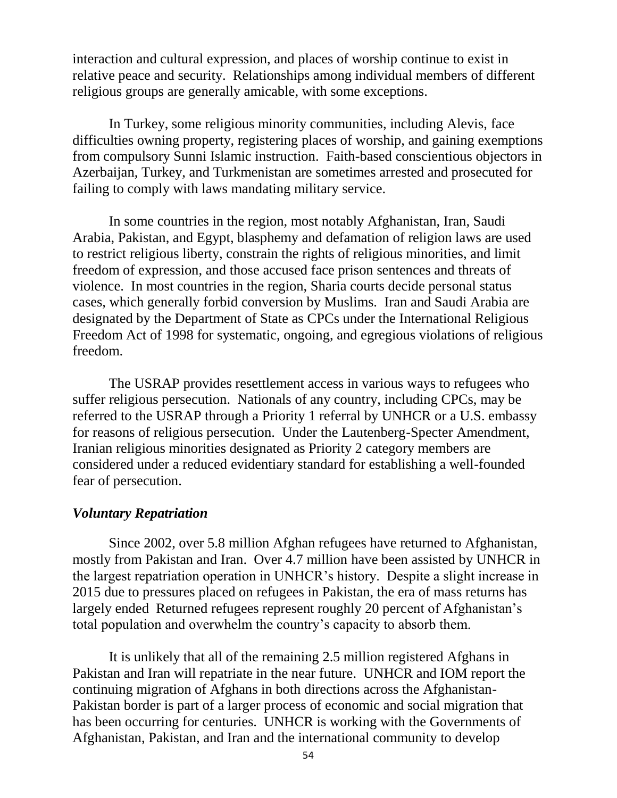interaction and cultural expression, and places of worship continue to exist in relative peace and security. Relationships among individual members of different religious groups are generally amicable, with some exceptions.

In Turkey, some religious minority communities, including Alevis, face difficulties owning property, registering places of worship, and gaining exemptions from compulsory Sunni Islamic instruction. Faith-based conscientious objectors in Azerbaijan, Turkey, and Turkmenistan are sometimes arrested and prosecuted for failing to comply with laws mandating military service.

In some countries in the region, most notably Afghanistan, Iran, Saudi Arabia, Pakistan, and Egypt, blasphemy and defamation of religion laws are used to restrict religious liberty, constrain the rights of religious minorities, and limit freedom of expression, and those accused face prison sentences and threats of violence. In most countries in the region, Sharia courts decide personal status cases, which generally forbid conversion by Muslims. Iran and Saudi Arabia are designated by the Department of State as CPCs under the International Religious Freedom Act of 1998 for systematic, ongoing, and egregious violations of religious freedom.

The USRAP provides resettlement access in various ways to refugees who suffer religious persecution. Nationals of any country, including CPCs, may be referred to the USRAP through a Priority 1 referral by UNHCR or a U.S. embassy for reasons of religious persecution. Under the Lautenberg-Specter Amendment, Iranian religious minorities designated as Priority 2 category members are considered under a reduced evidentiary standard for establishing a well-founded fear of persecution.

#### *Voluntary Repatriation*

Since 2002, over 5.8 million Afghan refugees have returned to Afghanistan, mostly from Pakistan and Iran. Over 4.7 million have been assisted by UNHCR in the largest repatriation operation in UNHCR's history. Despite a slight increase in 2015 due to pressures placed on refugees in Pakistan, the era of mass returns has largely ended Returned refugees represent roughly 20 percent of Afghanistan's total population and overwhelm the country's capacity to absorb them.

It is unlikely that all of the remaining 2.5 million registered Afghans in Pakistan and Iran will repatriate in the near future. UNHCR and IOM report the continuing migration of Afghans in both directions across the Afghanistan-Pakistan border is part of a larger process of economic and social migration that has been occurring for centuries. UNHCR is working with the Governments of Afghanistan, Pakistan, and Iran and the international community to develop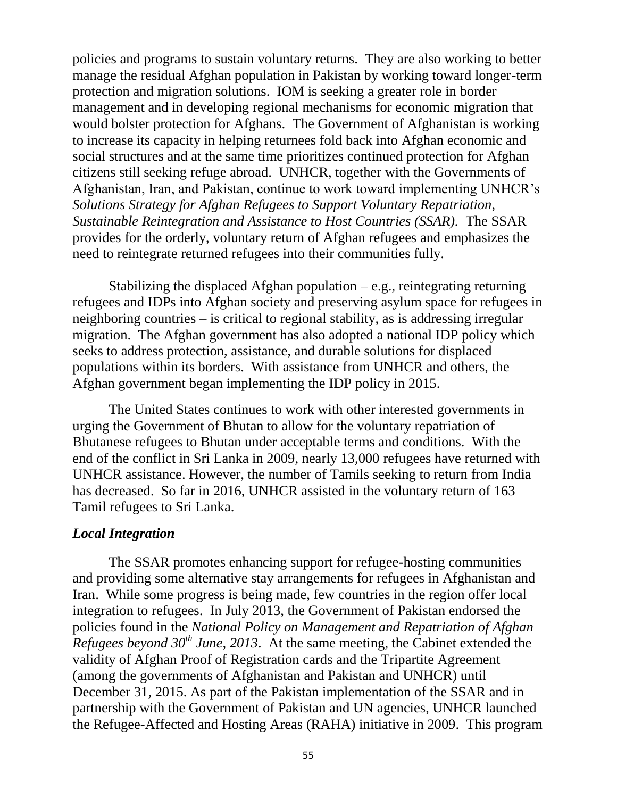policies and programs to sustain voluntary returns. They are also working to better manage the residual Afghan population in Pakistan by working toward longer-term protection and migration solutions. IOM is seeking a greater role in border management and in developing regional mechanisms for economic migration that would bolster protection for Afghans. The Government of Afghanistan is working to increase its capacity in helping returnees fold back into Afghan economic and social structures and at the same time prioritizes continued protection for Afghan citizens still seeking refuge abroad. UNHCR, together with the Governments of Afghanistan, Iran, and Pakistan, continue to work toward implementing UNHCR's *Solutions Strategy for Afghan Refugees to Support Voluntary Repatriation, Sustainable Reintegration and Assistance to Host Countries (SSAR).* The SSAR provides for the orderly, voluntary return of Afghan refugees and emphasizes the need to reintegrate returned refugees into their communities fully.

Stabilizing the displaced Afghan population  $-e.g.,$  reintegrating returning refugees and IDPs into Afghan society and preserving asylum space for refugees in neighboring countries – is critical to regional stability, as is addressing irregular migration. The Afghan government has also adopted a national IDP policy which seeks to address protection, assistance, and durable solutions for displaced populations within its borders. With assistance from UNHCR and others, the Afghan government began implementing the IDP policy in 2015.

The United States continues to work with other interested governments in urging the Government of Bhutan to allow for the voluntary repatriation of Bhutanese refugees to Bhutan under acceptable terms and conditions. With the end of the conflict in Sri Lanka in 2009, nearly 13,000 refugees have returned with UNHCR assistance. However, the number of Tamils seeking to return from India has decreased. So far in 2016, UNHCR assisted in the voluntary return of 163 Tamil refugees to Sri Lanka.

### *Local Integration*

The SSAR promotes enhancing support for refugee-hosting communities and providing some alternative stay arrangements for refugees in Afghanistan and Iran. While some progress is being made, few countries in the region offer local integration to refugees. In July 2013, the Government of Pakistan endorsed the policies found in the *National Policy on Management and Repatriation of Afghan Refugees beyond 30th June, 2013*. At the same meeting, the Cabinet extended the validity of Afghan Proof of Registration cards and the Tripartite Agreement (among the governments of Afghanistan and Pakistan and UNHCR) until December 31, 2015. As part of the Pakistan implementation of the SSAR and in partnership with the Government of Pakistan and UN agencies, UNHCR launched the Refugee-Affected and Hosting Areas (RAHA) initiative in 2009. This program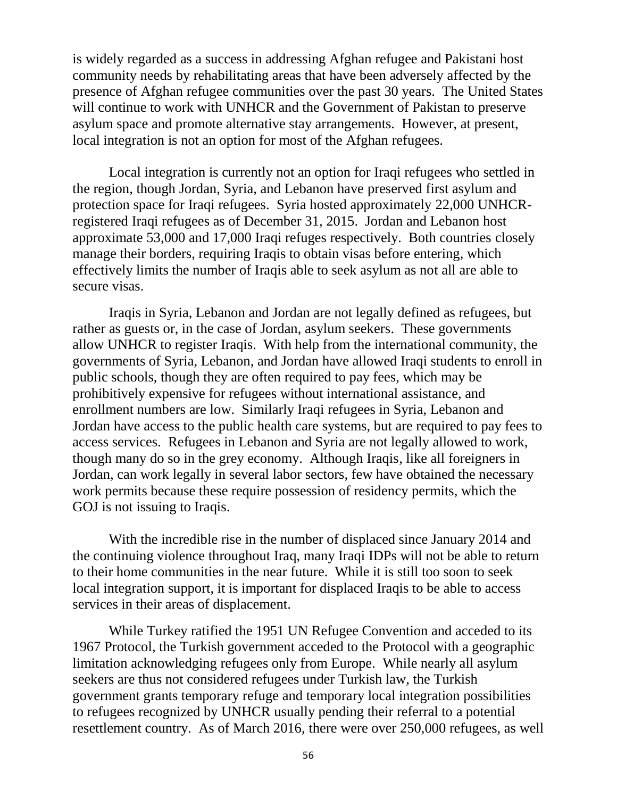is widely regarded as a success in addressing Afghan refugee and Pakistani host community needs by rehabilitating areas that have been adversely affected by the presence of Afghan refugee communities over the past 30 years. The United States will continue to work with UNHCR and the Government of Pakistan to preserve asylum space and promote alternative stay arrangements. However, at present, local integration is not an option for most of the Afghan refugees.

Local integration is currently not an option for Iraqi refugees who settled in the region, though Jordan, Syria, and Lebanon have preserved first asylum and protection space for Iraqi refugees. Syria hosted approximately 22,000 UNHCRregistered Iraqi refugees as of December 31, 2015. Jordan and Lebanon host approximate 53,000 and 17,000 Iraqi refuges respectively. Both countries closely manage their borders, requiring Iraqis to obtain visas before entering, which effectively limits the number of Iraqis able to seek asylum as not all are able to secure visas.

Iraqis in Syria, Lebanon and Jordan are not legally defined as refugees, but rather as guests or, in the case of Jordan, asylum seekers. These governments allow UNHCR to register Iraqis. With help from the international community, the governments of Syria, Lebanon, and Jordan have allowed Iraqi students to enroll in public schools, though they are often required to pay fees, which may be prohibitively expensive for refugees without international assistance, and enrollment numbers are low. Similarly Iraqi refugees in Syria, Lebanon and Jordan have access to the public health care systems, but are required to pay fees to access services. Refugees in Lebanon and Syria are not legally allowed to work, though many do so in the grey economy. Although Iraqis, like all foreigners in Jordan, can work legally in several labor sectors, few have obtained the necessary work permits because these require possession of residency permits, which the GOJ is not issuing to Iraqis.

With the incredible rise in the number of displaced since January 2014 and the continuing violence throughout Iraq, many Iraqi IDPs will not be able to return to their home communities in the near future. While it is still too soon to seek local integration support, it is important for displaced Iraqis to be able to access services in their areas of displacement.

While Turkey ratified the 1951 UN Refugee Convention and acceded to its 1967 Protocol, the Turkish government acceded to the Protocol with a geographic limitation acknowledging refugees only from Europe. While nearly all asylum seekers are thus not considered refugees under Turkish law, the Turkish government grants temporary refuge and temporary local integration possibilities to refugees recognized by UNHCR usually pending their referral to a potential resettlement country. As of March 2016, there were over 250,000 refugees, as well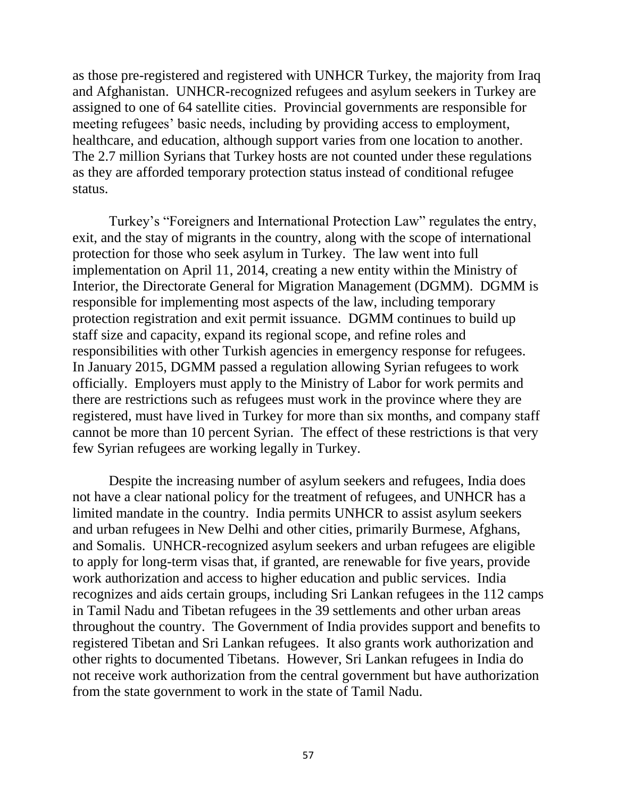as those pre-registered and registered with UNHCR Turkey, the majority from Iraq and Afghanistan. UNHCR-recognized refugees and asylum seekers in Turkey are assigned to one of 64 satellite cities. Provincial governments are responsible for meeting refugees' basic needs, including by providing access to employment, healthcare, and education, although support varies from one location to another. The 2.7 million Syrians that Turkey hosts are not counted under these regulations as they are afforded temporary protection status instead of conditional refugee status.

Turkey's "Foreigners and International Protection Law" regulates the entry, exit, and the stay of migrants in the country, along with the scope of international protection for those who seek asylum in Turkey. The law went into full implementation on April 11, 2014, creating a new entity within the Ministry of Interior, the Directorate General for Migration Management (DGMM). DGMM is responsible for implementing most aspects of the law, including temporary protection registration and exit permit issuance. DGMM continues to build up staff size and capacity, expand its regional scope, and refine roles and responsibilities with other Turkish agencies in emergency response for refugees. In January 2015, DGMM passed a regulation allowing Syrian refugees to work officially. Employers must apply to the Ministry of Labor for work permits and there are restrictions such as refugees must work in the province where they are registered, must have lived in Turkey for more than six months, and company staff cannot be more than 10 percent Syrian. The effect of these restrictions is that very few Syrian refugees are working legally in Turkey.

Despite the increasing number of asylum seekers and refugees, India does not have a clear national policy for the treatment of refugees, and UNHCR has a limited mandate in the country. India permits UNHCR to assist asylum seekers and urban refugees in New Delhi and other cities, primarily Burmese, Afghans, and Somalis. UNHCR-recognized asylum seekers and urban refugees are eligible to apply for long-term visas that, if granted, are renewable for five years, provide work authorization and access to higher education and public services. India recognizes and aids certain groups, including Sri Lankan refugees in the 112 camps in Tamil Nadu and Tibetan refugees in the 39 settlements and other urban areas throughout the country. The Government of India provides support and benefits to registered Tibetan and Sri Lankan refugees. It also grants work authorization and other rights to documented Tibetans. However, Sri Lankan refugees in India do not receive work authorization from the central government but have authorization from the state government to work in the state of Tamil Nadu.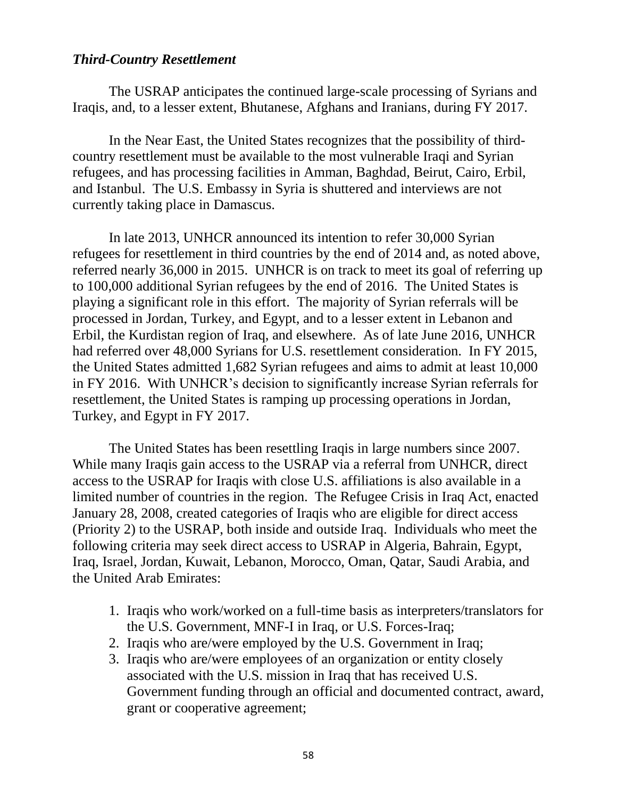### *Third-Country Resettlement*

The USRAP anticipates the continued large-scale processing of Syrians and Iraqis, and, to a lesser extent, Bhutanese, Afghans and Iranians, during FY 2017.

In the Near East, the United States recognizes that the possibility of thirdcountry resettlement must be available to the most vulnerable Iraqi and Syrian refugees, and has processing facilities in Amman, Baghdad, Beirut, Cairo, Erbil, and Istanbul. The U.S. Embassy in Syria is shuttered and interviews are not currently taking place in Damascus.

In late 2013, UNHCR announced its intention to refer 30,000 Syrian refugees for resettlement in third countries by the end of 2014 and, as noted above, referred nearly 36,000 in 2015. UNHCR is on track to meet its goal of referring up to 100,000 additional Syrian refugees by the end of 2016. The United States is playing a significant role in this effort. The majority of Syrian referrals will be processed in Jordan, Turkey, and Egypt, and to a lesser extent in Lebanon and Erbil, the Kurdistan region of Iraq, and elsewhere. As of late June 2016, UNHCR had referred over 48,000 Syrians for U.S. resettlement consideration. In FY 2015, the United States admitted 1,682 Syrian refugees and aims to admit at least 10,000 in FY 2016. With UNHCR's decision to significantly increase Syrian referrals for resettlement, the United States is ramping up processing operations in Jordan, Turkey, and Egypt in FY 2017.

The United States has been resettling Iraqis in large numbers since 2007. While many Iraqis gain access to the USRAP via a referral from UNHCR, direct access to the USRAP for Iraqis with close U.S. affiliations is also available in a limited number of countries in the region. The Refugee Crisis in Iraq Act, enacted January 28, 2008, created categories of Iraqis who are eligible for direct access (Priority 2) to the USRAP, both inside and outside Iraq. Individuals who meet the following criteria may seek direct access to USRAP in Algeria, Bahrain, Egypt, Iraq, Israel, Jordan, Kuwait, Lebanon, Morocco, Oman, Qatar, Saudi Arabia, and the United Arab Emirates:

- 1. Iraqis who work/worked on a full-time basis as interpreters/translators for the U.S. Government, MNF-I in Iraq, or U.S. Forces-Iraq;
- 2. Iraqis who are/were employed by the U.S. Government in Iraq;
- 3. Iraqis who are/were employees of an organization or entity closely associated with the U.S. mission in Iraq that has received U.S. Government funding through an official and documented contract, award, grant or cooperative agreement;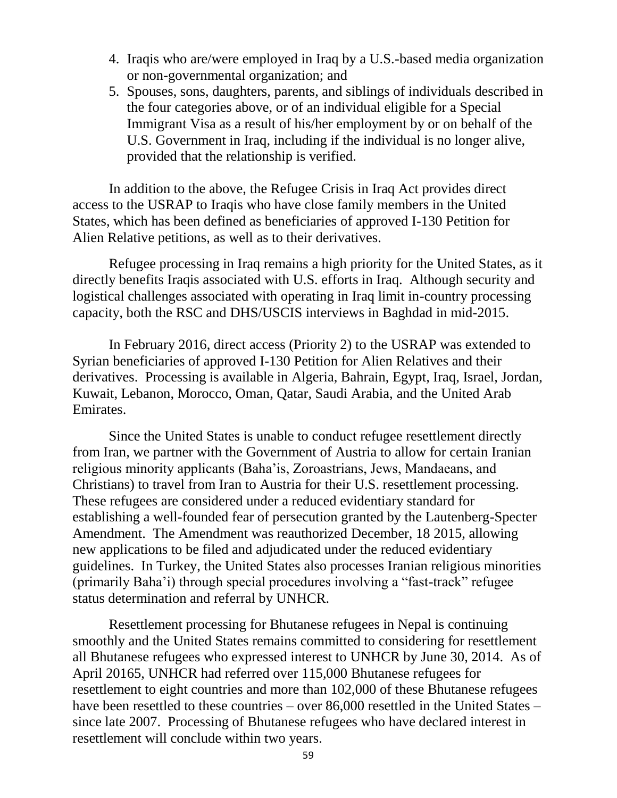- 4. Iraqis who are/were employed in Iraq by a U.S.-based media organization or non-governmental organization; and
- 5. Spouses, sons, daughters, parents, and siblings of individuals described in the four categories above, or of an individual eligible for a Special Immigrant Visa as a result of his/her employment by or on behalf of the U.S. Government in Iraq, including if the individual is no longer alive, provided that the relationship is verified.

In addition to the above, the Refugee Crisis in Iraq Act provides direct access to the USRAP to Iraqis who have close family members in the United States, which has been defined as beneficiaries of approved I-130 Petition for Alien Relative petitions, as well as to their derivatives.

Refugee processing in Iraq remains a high priority for the United States, as it directly benefits Iraqis associated with U.S. efforts in Iraq. Although security and logistical challenges associated with operating in Iraq limit in-country processing capacity, both the RSC and DHS/USCIS interviews in Baghdad in mid-2015.

In February 2016, direct access (Priority 2) to the USRAP was extended to Syrian beneficiaries of approved I-130 Petition for Alien Relatives and their derivatives. Processing is available in Algeria, Bahrain, Egypt, Iraq, Israel, Jordan, Kuwait, Lebanon, Morocco, Oman, Qatar, Saudi Arabia, and the United Arab Emirates.

Since the United States is unable to conduct refugee resettlement directly from Iran, we partner with the Government of Austria to allow for certain Iranian religious minority applicants (Baha'is, Zoroastrians, Jews, Mandaeans, and Christians) to travel from Iran to Austria for their U.S. resettlement processing. These refugees are considered under a reduced evidentiary standard for establishing a well-founded fear of persecution granted by the Lautenberg-Specter Amendment. The Amendment was reauthorized December, 18 2015, allowing new applications to be filed and adjudicated under the reduced evidentiary guidelines. In Turkey, the United States also processes Iranian religious minorities (primarily Baha'i) through special procedures involving a "fast-track" refugee status determination and referral by UNHCR.

Resettlement processing for Bhutanese refugees in Nepal is continuing smoothly and the United States remains committed to considering for resettlement all Bhutanese refugees who expressed interest to UNHCR by June 30, 2014. As of April 20165, UNHCR had referred over 115,000 Bhutanese refugees for resettlement to eight countries and more than 102,000 of these Bhutanese refugees have been resettled to these countries – over 86,000 resettled in the United States – since late 2007. Processing of Bhutanese refugees who have declared interest in resettlement will conclude within two years.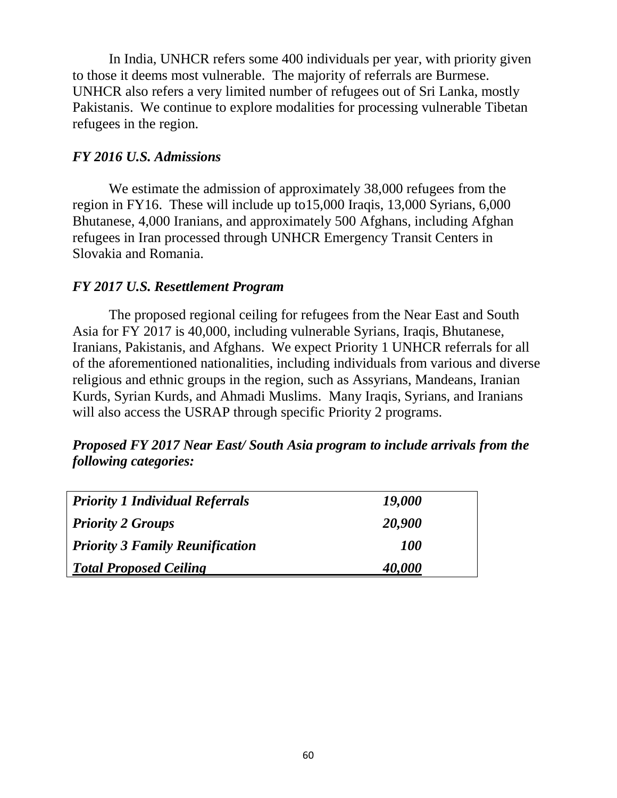In India, UNHCR refers some 400 individuals per year, with priority given to those it deems most vulnerable. The majority of referrals are Burmese. UNHCR also refers a very limited number of refugees out of Sri Lanka, mostly Pakistanis. We continue to explore modalities for processing vulnerable Tibetan refugees in the region.

## *FY 2016 U.S. Admissions*

We estimate the admission of approximately 38,000 refugees from the region in FY16. These will include up to15,000 Iraqis, 13,000 Syrians, 6,000 Bhutanese, 4,000 Iranians, and approximately 500 Afghans, including Afghan refugees in Iran processed through UNHCR Emergency Transit Centers in Slovakia and Romania.

# *FY 2017 U.S. Resettlement Program*

The proposed regional ceiling for refugees from the Near East and South Asia for FY 2017 is 40,000, including vulnerable Syrians, Iraqis, Bhutanese, Iranians, Pakistanis, and Afghans. We expect Priority 1 UNHCR referrals for all of the aforementioned nationalities, including individuals from various and diverse religious and ethnic groups in the region, such as Assyrians, Mandeans, Iranian Kurds, Syrian Kurds, and Ahmadi Muslims. Many Iraqis, Syrians, and Iranians will also access the USRAP through specific Priority 2 programs.

# *Proposed FY 2017 Near East/ South Asia program to include arrivals from the following categories:*

| <b>Priority 1 Individual Referrals</b> | 19,000 |  |
|----------------------------------------|--------|--|
| <b>Priority 2 Groups</b>               | 20,900 |  |
| <b>Priority 3 Family Reunification</b> | 100    |  |
| <b>Total Proposed Ceiling</b>          | 40,000 |  |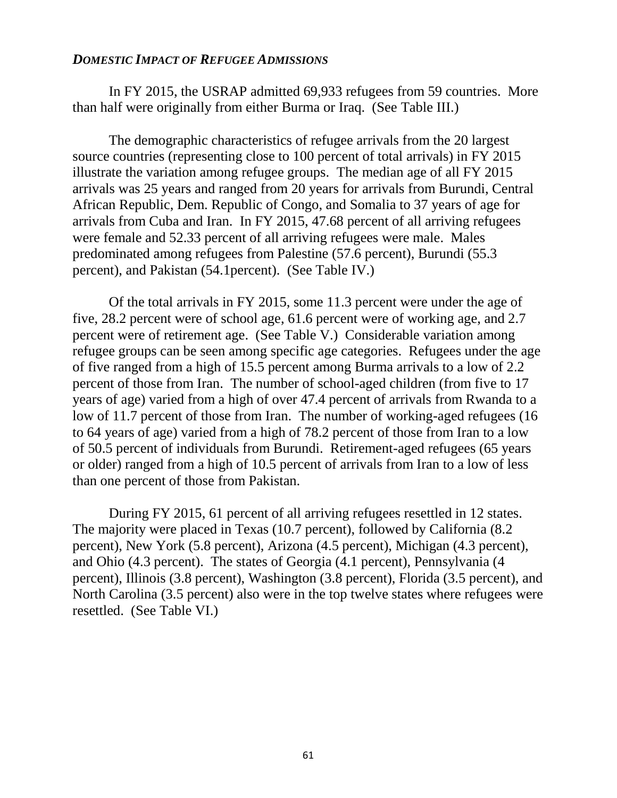#### *DOMESTIC IMPACT OF REFUGEE ADMISSIONS*

In FY 2015, the USRAP admitted 69,933 refugees from 59 countries. More than half were originally from either Burma or Iraq. (See Table III.)

The demographic characteristics of refugee arrivals from the 20 largest source countries (representing close to 100 percent of total arrivals) in FY 2015 illustrate the variation among refugee groups. The median age of all FY 2015 arrivals was 25 years and ranged from 20 years for arrivals from Burundi, Central African Republic, Dem. Republic of Congo, and Somalia to 37 years of age for arrivals from Cuba and Iran. In FY 2015, 47.68 percent of all arriving refugees were female and 52.33 percent of all arriving refugees were male. Males predominated among refugees from Palestine (57.6 percent), Burundi (55.3 percent), and Pakistan (54.1percent). (See Table IV.)

Of the total arrivals in FY 2015, some 11.3 percent were under the age of five, 28.2 percent were of school age, 61.6 percent were of working age, and 2.7 percent were of retirement age. (See Table V.) Considerable variation among refugee groups can be seen among specific age categories. Refugees under the age of five ranged from a high of 15.5 percent among Burma arrivals to a low of 2.2 percent of those from Iran. The number of school-aged children (from five to 17 years of age) varied from a high of over 47.4 percent of arrivals from Rwanda to a low of 11.7 percent of those from Iran. The number of working-aged refugees (16 to 64 years of age) varied from a high of 78.2 percent of those from Iran to a low of 50.5 percent of individuals from Burundi. Retirement-aged refugees (65 years or older) ranged from a high of 10.5 percent of arrivals from Iran to a low of less than one percent of those from Pakistan.

During FY 2015, 61 percent of all arriving refugees resettled in 12 states. The majority were placed in Texas (10.7 percent), followed by California (8.2 percent), New York (5.8 percent), Arizona (4.5 percent), Michigan (4.3 percent), and Ohio (4.3 percent). The states of Georgia (4.1 percent), Pennsylvania (4 percent), Illinois (3.8 percent), Washington (3.8 percent), Florida (3.5 percent), and North Carolina (3.5 percent) also were in the top twelve states where refugees were resettled. (See Table VI.)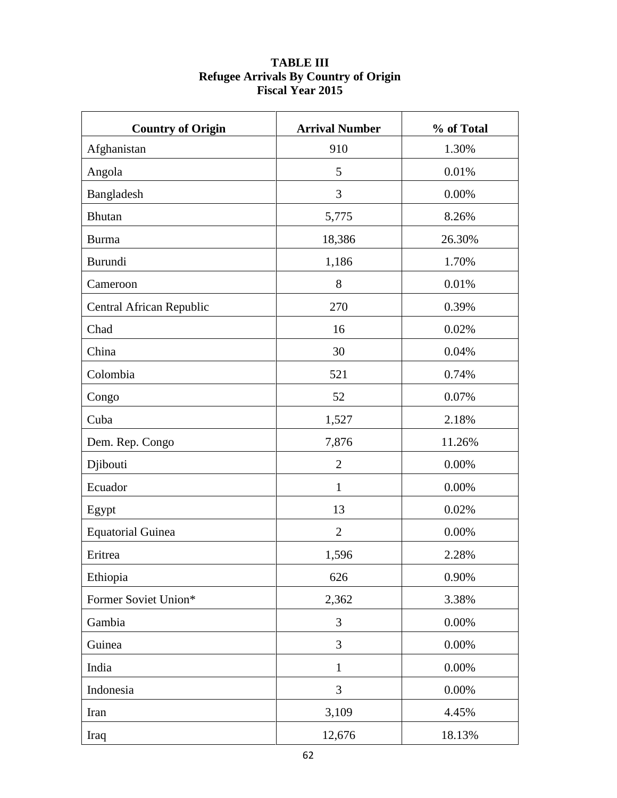| <b>Country of Origin</b> | <b>Arrival Number</b> | % of Total |
|--------------------------|-----------------------|------------|
| Afghanistan              | 910                   | 1.30%      |
| Angola                   | 5                     | 0.01%      |
| Bangladesh               | 3                     | 0.00%      |
| Bhutan                   | 5,775                 | 8.26%      |
| <b>Burma</b>             | 18,386                | 26.30%     |
| Burundi                  | 1,186                 | 1.70%      |
| Cameroon                 | 8                     | 0.01%      |
| Central African Republic | 270                   | 0.39%      |
| Chad                     | 16                    | 0.02%      |
| China                    | 30                    | 0.04%      |
| Colombia                 | 521                   | 0.74%      |
| Congo                    | 52                    | 0.07%      |
| Cuba                     | 1,527                 | 2.18%      |
| Dem. Rep. Congo          | 7,876                 | 11.26%     |
| Djibouti                 | $\mathbf{2}$          | 0.00%      |
| Ecuador                  | $\mathbf{1}$          | 0.00%      |
| Egypt                    | 13                    | 0.02%      |
| <b>Equatorial Guinea</b> | $\mathbf{2}$          | 0.00%      |
| Eritrea                  | 1,596                 | 2.28%      |
| Ethiopia                 | 626                   | 0.90%      |
| Former Soviet Union*     | 2,362                 | 3.38%      |
| Gambia                   | 3                     | 0.00%      |
| Guinea                   | 3                     | 0.00%      |
| India                    | $\mathbf{1}$          | 0.00%      |
| Indonesia                | 3                     | 0.00%      |
| Iran                     | 3,109                 | 4.45%      |
| Iraq                     | 12,676                | 18.13%     |

## **TABLE III Refugee Arrivals By Country of Origin Fiscal Year 2015**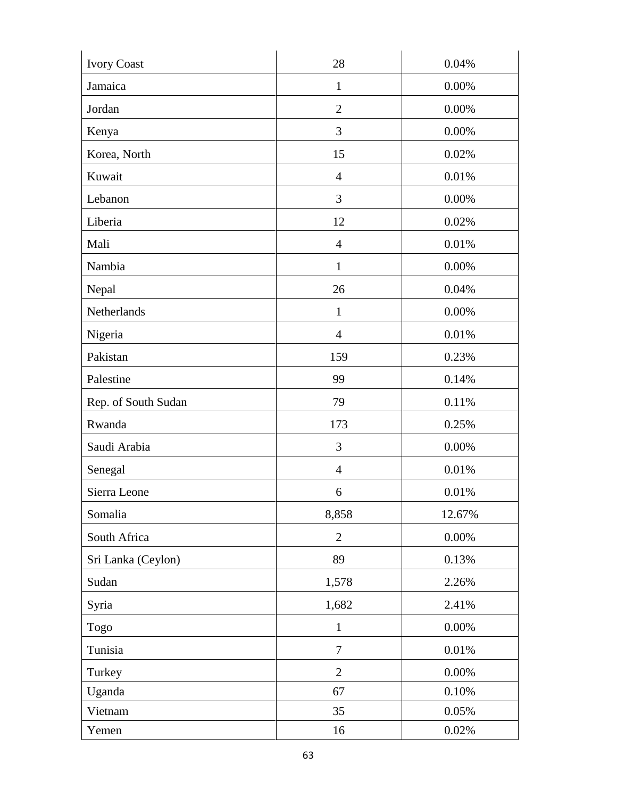| <b>Ivory Coast</b>  | 28             | 0.04%    |
|---------------------|----------------|----------|
| Jamaica             | $\mathbf{1}$   | 0.00%    |
| Jordan              | $\overline{2}$ | 0.00%    |
| Kenya               | 3              | 0.00%    |
| Korea, North        | 15             | 0.02%    |
| Kuwait              | $\overline{4}$ | 0.01%    |
| Lebanon             | 3              | 0.00%    |
| Liberia             | 12             | 0.02%    |
| Mali                | $\overline{4}$ | 0.01%    |
| Nambia              | $\mathbf{1}$   | 0.00%    |
| Nepal               | 26             | 0.04%    |
| Netherlands         | $\mathbf{1}$   | 0.00%    |
| Nigeria             | $\overline{4}$ | 0.01%    |
| Pakistan            | 159            | 0.23%    |
| Palestine           | 99             | 0.14%    |
| Rep. of South Sudan | 79             | 0.11%    |
| Rwanda              | 173            | 0.25%    |
| Saudi Arabia        | 3              | 0.00%    |
| Senegal             | $\overline{4}$ | 0.01%    |
| Sierra Leone        | 6              | 0.01%    |
| Somalia             | 8,858          | 12.67%   |
| South Africa        | $\overline{2}$ | 0.00%    |
| Sri Lanka (Ceylon)  | 89             | 0.13%    |
| Sudan               | 1,578          | 2.26%    |
| Syria               | 1,682          | 2.41%    |
| Togo                | $\mathbf{1}$   | $0.00\%$ |
| Tunisia             | $\tau$         | 0.01%    |
| Turkey              | $\overline{2}$ | $0.00\%$ |
| Uganda              | 67             | 0.10%    |
| Vietnam             | 35             | 0.05%    |
| Yemen               | 16             | 0.02%    |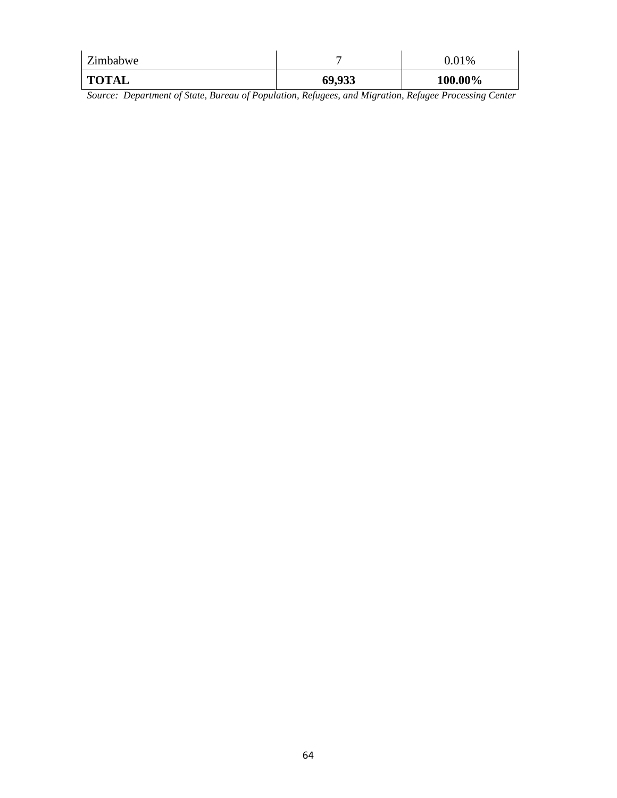| Zimbabwe     | –      | $0.01\%$ |
|--------------|--------|----------|
| <b>TOTAL</b> | 69,933 | 100.00%  |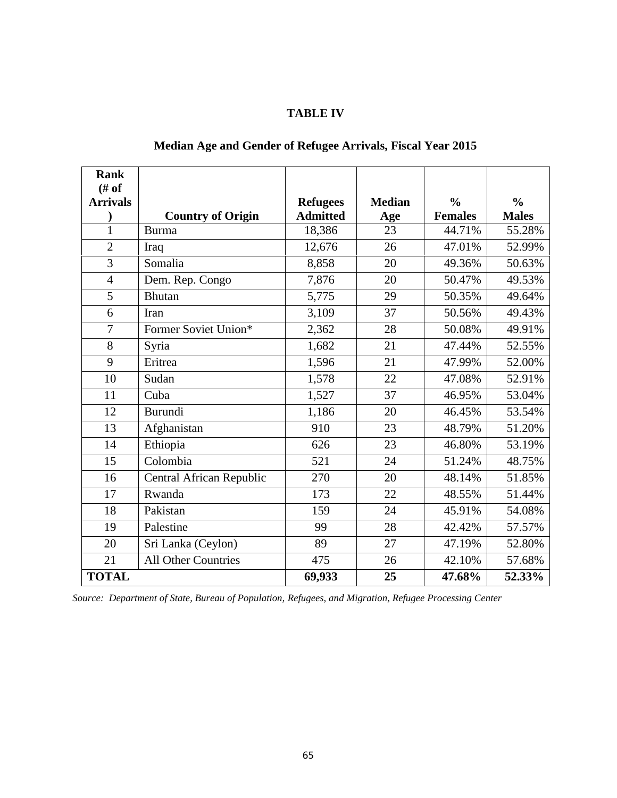| ABLE | I 11. Z |
|------|---------|
|------|---------|

| <b>Rank</b>             |                                 |                 |               |                |               |
|-------------------------|---------------------------------|-----------------|---------------|----------------|---------------|
| # of<br><b>Arrivals</b> |                                 | <b>Refugees</b> | <b>Median</b> | $\frac{0}{0}$  | $\frac{0}{0}$ |
|                         | <b>Country of Origin</b>        | <b>Admitted</b> | Age           | <b>Females</b> | <b>Males</b>  |
| $\mathbf{1}$            | <b>Burma</b>                    | 18,386          | 23            | 44.71%         | 55.28%        |
| $\overline{2}$          | Iraq                            | 12,676          | 26            | 47.01%         | 52.99%        |
| 3                       | Somalia                         | 8,858           | 20            | 49.36%         | 50.63%        |
| $\overline{4}$          | Dem. Rep. Congo                 | 7,876           | 20            | 50.47%         | 49.53%        |
| 5                       | <b>Bhutan</b>                   | 5,775           | 29            | 50.35%         | 49.64%        |
| 6                       | Iran                            | 3,109           | 37            | 50.56%         | 49.43%        |
| $\overline{7}$          | Former Soviet Union*            | 2,362           | 28            | 50.08%         | 49.91%        |
| $8\,$                   | Syria                           | 1,682           | 21            | 47.44%         | 52.55%        |
| 9                       | Eritrea                         | 1,596           | 21            | 47.99%         | 52.00%        |
| 10                      | Sudan                           | 1,578           | 22            | 47.08%         | 52.91%        |
| 11                      | Cuba                            | 1,527           | 37            | 46.95%         | 53.04%        |
| 12                      | Burundi                         | 1,186           | 20            | 46.45%         | 53.54%        |
| 13                      | Afghanistan                     | 910             | 23            | 48.79%         | 51.20%        |
| 14                      | Ethiopia                        | 626             | 23            | 46.80%         | 53.19%        |
| 15                      | Colombia                        | 521             | 24            | 51.24%         | 48.75%        |
| 16                      | <b>Central African Republic</b> | 270             | 20            | 48.14%         | 51.85%        |
| 17                      | Rwanda                          | 173             | 22            | 48.55%         | 51.44%        |
| 18                      | Pakistan                        | 159             | 24            | 45.91%         | 54.08%        |
| 19                      | Palestine                       | 99              | 28            | 42.42%         | 57.57%        |
| 20                      | Sri Lanka (Ceylon)              | 89              | 27            | 47.19%         | 52.80%        |
| 21                      | <b>All Other Countries</b>      | 475             | 26            | 42.10%         | 57.68%        |
| <b>TOTAL</b>            |                                 | 69,933          | 25            | 47.68%         | 52.33%        |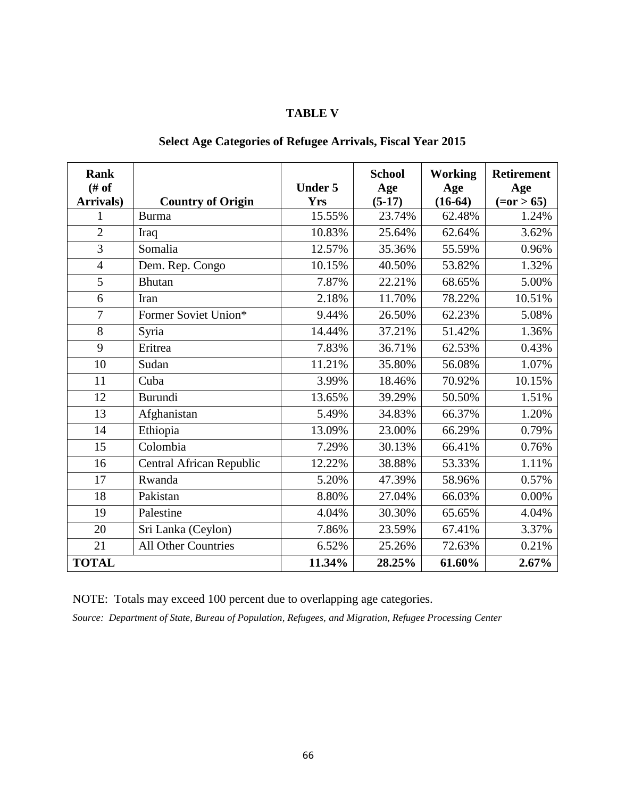### **TABLE V**

# **Select Age Categories of Refugee Arrivals, Fiscal Year 2015**

| <b>Rank</b><br># of |                            | <b>Under 5</b> | <b>School</b><br>Age | <b>Working</b><br>Age | <b>Retirement</b><br>Age |
|---------------------|----------------------------|----------------|----------------------|-----------------------|--------------------------|
| Arrivals)           | <b>Country of Origin</b>   | <b>Yrs</b>     | $(5-17)$             | $(16-64)$             | $(=0r > 65)$             |
| 1                   | <b>Burma</b>               | 15.55%         | 23.74%               | 62.48%                | 1.24%                    |
| $\overline{2}$      | Iraq                       | 10.83%         | 25.64%               | 62.64%                | 3.62%                    |
| 3                   | Somalia                    | 12.57%         | 35.36%               | 55.59%                | 0.96%                    |
| $\overline{4}$      | Dem. Rep. Congo            | 10.15%         | 40.50%               | 53.82%                | 1.32%                    |
| 5                   | <b>Bhutan</b>              | 7.87%          | 22.21%               | 68.65%                | 5.00%                    |
| 6                   | Iran                       | 2.18%          | 11.70%               | 78.22%                | 10.51%                   |
| $\overline{7}$      | Former Soviet Union*       | 9.44%          | 26.50%               | 62.23%                | 5.08%                    |
| 8                   | Syria                      | 14.44%         | 37.21%               | 51.42%                | 1.36%                    |
| 9                   | Eritrea                    | 7.83%          | 36.71%               | 62.53%                | 0.43%                    |
| 10                  | Sudan                      | 11.21%         | 35.80%               | 56.08%                | 1.07%                    |
| 11                  | Cuba                       | 3.99%          | 18.46%               | 70.92%                | 10.15%                   |
| 12                  | Burundi                    | 13.65%         | 39.29%               | 50.50%                | 1.51%                    |
| 13                  | Afghanistan                | 5.49%          | 34.83%               | 66.37%                | 1.20%                    |
| 14                  | Ethiopia                   | 13.09%         | 23.00%               | 66.29%                | 0.79%                    |
| 15                  | Colombia                   | 7.29%          | 30.13%               | 66.41%                | 0.76%                    |
| 16                  | Central African Republic   | 12.22%         | 38.88%               | 53.33%                | 1.11%                    |
| 17                  | Rwanda                     | 5.20%          | 47.39%               | 58.96%                | 0.57%                    |
| 18                  | Pakistan                   | 8.80%          | 27.04%               | 66.03%                | 0.00%                    |
| 19                  | Palestine                  | 4.04%          | 30.30%               | 65.65%                | 4.04%                    |
| 20                  | Sri Lanka (Ceylon)         | 7.86%          | 23.59%               | 67.41%                | 3.37%                    |
| 21                  | <b>All Other Countries</b> | 6.52%          | 25.26%               | 72.63%                | 0.21%                    |
| <b>TOTAL</b>        |                            | 11.34%         | 28.25%               | 61.60%                | 2.67%                    |

NOTE: Totals may exceed 100 percent due to overlapping age categories.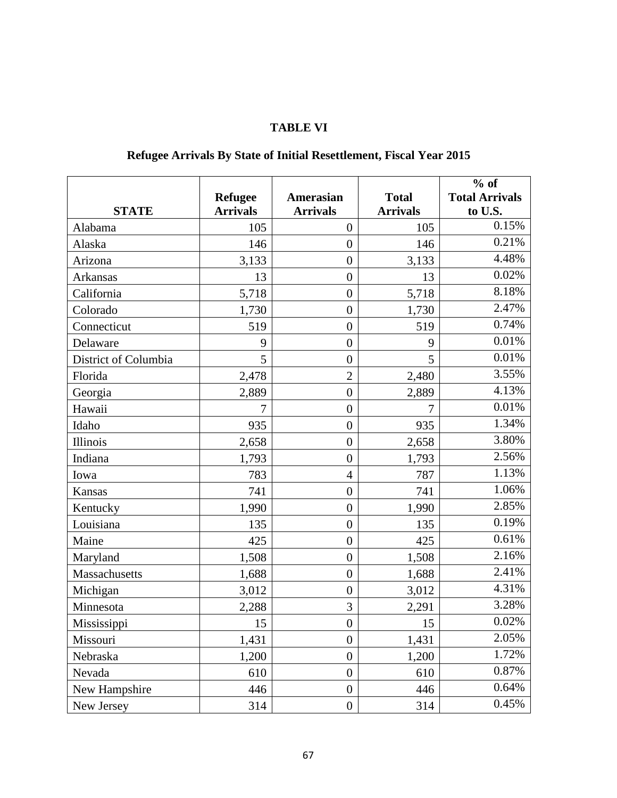## **TABLE VI**

|                      | <b>Refugee</b>  | Amerasian        | <b>Total</b>    | $%$ of<br><b>Total Arrivals</b> |
|----------------------|-----------------|------------------|-----------------|---------------------------------|
| <b>STATE</b>         | <b>Arrivals</b> | <b>Arrivals</b>  | <b>Arrivals</b> | to U.S.                         |
| Alabama              | 105             | $\boldsymbol{0}$ | 105             | 0.15%                           |
| Alaska               | 146             | $\overline{0}$   | 146             | 0.21%                           |
| Arizona              | 3,133           | $\overline{0}$   | 3,133           | 4.48%                           |
| <b>Arkansas</b>      | 13              | $\overline{0}$   | 13              | 0.02%                           |
| California           | 5,718           | $\overline{0}$   | 5,718           | 8.18%                           |
| Colorado             | 1,730           | $\overline{0}$   | 1,730           | 2.47%                           |
| Connecticut          | 519             | $\overline{0}$   | 519             | 0.74%                           |
| Delaware             | 9               | $\overline{0}$   | 9               | $0.01\%$                        |
| District of Columbia | 5               | $\overline{0}$   | 5               | 0.01%                           |
| Florida              | 2,478           | $\overline{2}$   | 2,480           | 3.55%                           |
| Georgia              | 2,889           | $\overline{0}$   | 2,889           | 4.13%                           |
| Hawaii               | 7               | $\overline{0}$   | 7               | 0.01%                           |
| Idaho                | 935             | $\overline{0}$   | 935             | 1.34%                           |
| Illinois             | 2,658           | $\overline{0}$   | 2,658           | 3.80%                           |
| Indiana              | 1,793           | $\overline{0}$   | 1,793           | 2.56%                           |
| Iowa                 | 783             | $\overline{4}$   | 787             | 1.13%                           |
| Kansas               | 741             | $\overline{0}$   | 741             | 1.06%                           |
| Kentucky             | 1,990           | $\overline{0}$   | 1,990           | 2.85%                           |
| Louisiana            | 135             | $\overline{0}$   | 135             | 0.19%                           |
| Maine                | 425             | $\overline{0}$   | 425             | 0.61%                           |
| Maryland             | 1,508           | $\boldsymbol{0}$ | 1,508           | 2.16%                           |
| Massachusetts        | 1,688           | $\overline{0}$   | 1,688           | 2.41%                           |
| Michigan             | 3,012           | $\boldsymbol{0}$ | 3,012           | 4.31%                           |
| Minnesota            | 2,288           | 3                | 2,291           | 3.28%                           |
| Mississippi          | 15              | $\boldsymbol{0}$ | 15              | 0.02%                           |
| Missouri             | 1,431           | $\boldsymbol{0}$ | 1,431           | 2.05%                           |
| Nebraska             | 1,200           | $\overline{0}$   | 1,200           | 1.72%                           |
| Nevada               | 610             | $\boldsymbol{0}$ | 610             | 0.87%                           |
| New Hampshire        | 446             | $\boldsymbol{0}$ | 446             | 0.64%                           |
| New Jersey           | 314             | $\boldsymbol{0}$ | 314             | 0.45%                           |

# **Refugee Arrivals By State of Initial Resettlement, Fiscal Year 2015**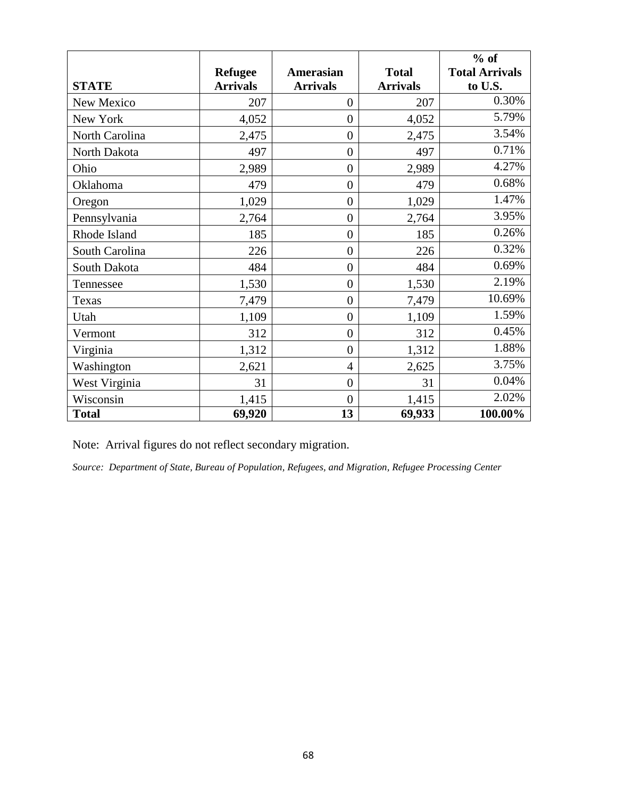|                |                 |                  |                 | $%$ of                |
|----------------|-----------------|------------------|-----------------|-----------------------|
|                | <b>Refugee</b>  | <b>Amerasian</b> | <b>Total</b>    | <b>Total Arrivals</b> |
| <b>STATE</b>   | <b>Arrivals</b> | <b>Arrivals</b>  | <b>Arrivals</b> | to U.S.               |
| New Mexico     | 207             | 0                | 207             | 0.30%                 |
| New York       | 4,052           | $\overline{0}$   | 4,052           | 5.79%                 |
| North Carolina | 2,475           | $\overline{0}$   | 2,475           | 3.54%                 |
| North Dakota   | 497             | $\overline{0}$   | 497             | 0.71%                 |
| Ohio           | 2,989           | $\boldsymbol{0}$ | 2,989           | 4.27%                 |
| Oklahoma       | 479             | $\overline{0}$   | 479             | 0.68%                 |
| Oregon         | 1,029           | $\overline{0}$   | 1,029           | 1.47%                 |
| Pennsylvania   | 2,764           | $\boldsymbol{0}$ | 2,764           | 3.95%                 |
| Rhode Island   | 185             | $\overline{0}$   | 185             | 0.26%                 |
| South Carolina | 226             | $\overline{0}$   | 226             | 0.32%                 |
| South Dakota   | 484             | $\overline{0}$   | 484             | 0.69%                 |
| Tennessee      | 1,530           | $\overline{0}$   | 1,530           | 2.19%                 |
| Texas          | 7,479           | $\overline{0}$   | 7,479           | 10.69%                |
| Utah           | 1,109           | $\overline{0}$   | 1,109           | 1.59%                 |
| Vermont        | 312             | $\overline{0}$   | 312             | 0.45%                 |
| Virginia       | 1,312           | $\overline{0}$   | 1,312           | 1.88%                 |
| Washington     | 2,621           | $\overline{4}$   | 2,625           | 3.75%                 |
| West Virginia  | 31              | $\overline{0}$   | 31              | 0.04%                 |
| Wisconsin      | 1,415           | $\overline{0}$   | 1,415           | 2.02%                 |
| <b>Total</b>   | 69,920          | 13               | 69,933          | 100.00%               |

Note: Arrival figures do not reflect secondary migration.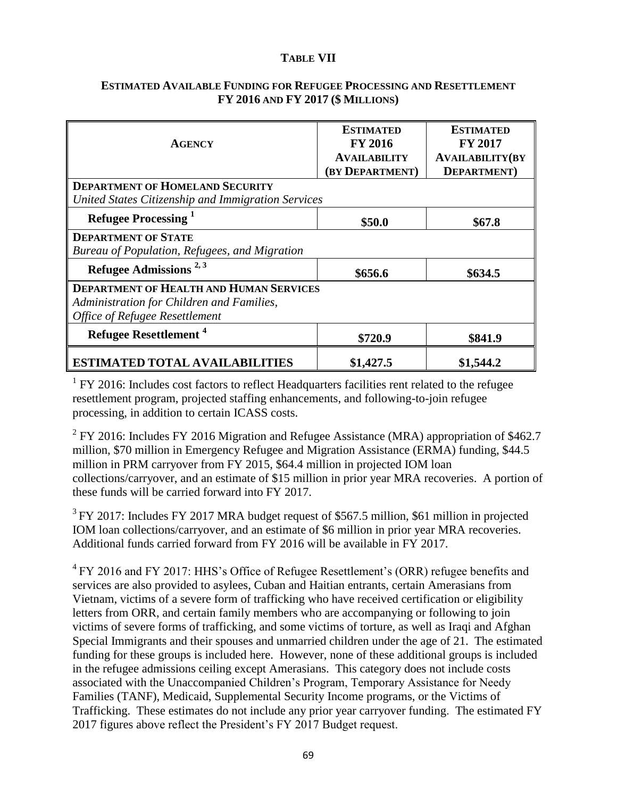### **TABLE VII**

### **ESTIMATED AVAILABLE FUNDING FOR REFUGEE PROCESSING AND RESETTLEMENT FY 2016 AND FY 2017 (\$ MILLIONS)**

| <b>AGENCY</b>                                                                                | <b>ESTIMATED</b><br><b>FY 2016</b>     | <b>ESTIMATED</b><br><b>FY 2017</b>            |  |  |
|----------------------------------------------------------------------------------------------|----------------------------------------|-----------------------------------------------|--|--|
|                                                                                              | <b>AVAILABILITY</b><br>(BY DEPARTMENT) | <b>AVAILABILITY(BY</b><br><b>DEPARTMENT</b> ) |  |  |
| <b>DEPARTMENT OF HOMELAND SECURITY</b><br>United States Citizenship and Immigration Services |                                        |                                               |  |  |
| Refugee Processing <sup>1</sup>                                                              | \$50.0                                 | \$67.8                                        |  |  |
| <b>DEPARTMENT OF STATE</b><br>Bureau of Population, Refugees, and Migration                  |                                        |                                               |  |  |
| Refugee Admissions $^{2,3}$                                                                  | \$656.6                                | \$634.5                                       |  |  |
| <b>DEPARTMENT OF HEALTH AND HUMAN SERVICES</b>                                               |                                        |                                               |  |  |
| Administration for Children and Families,                                                    |                                        |                                               |  |  |
| <b>Office of Refugee Resettlement</b>                                                        |                                        |                                               |  |  |
| <b>Refugee Resettlement<sup>4</sup></b>                                                      | \$720.9                                | \$841.9                                       |  |  |
| <b>ESTIMATED TOTAL AVAILABILITIES</b>                                                        | \$1,427.5                              | \$1,544.2                                     |  |  |

 $1$  FY 2016: Includes cost factors to reflect Headquarters facilities rent related to the refugee resettlement program, projected staffing enhancements, and following-to-join refugee processing, in addition to certain ICASS costs.

<sup>2</sup> FY 2016: Includes FY 2016 Migration and Refugee Assistance (MRA) appropriation of \$462.7 million, \$70 million in Emergency Refugee and Migration Assistance (ERMA) funding, \$44.5 million in PRM carryover from FY 2015, \$64.4 million in projected IOM loan collections/carryover, and an estimate of \$15 million in prior year MRA recoveries. A portion of these funds will be carried forward into FY 2017.

 $3$  FY 2017: Includes FY 2017 MRA budget request of \$567.5 million, \$61 million in projected IOM loan collections/carryover, and an estimate of \$6 million in prior year MRA recoveries. Additional funds carried forward from FY 2016 will be available in FY 2017.

 $4$  FY 2016 and FY 2017: HHS's Office of Refugee Resettlement's (ORR) refugee benefits and services are also provided to asylees, Cuban and Haitian entrants, certain Amerasians from Vietnam, victims of a severe form of trafficking who have received certification or eligibility letters from ORR, and certain family members who are accompanying or following to join victims of severe forms of trafficking, and some victims of torture, as well as Iraqi and Afghan Special Immigrants and their spouses and unmarried children under the age of 21. The estimated funding for these groups is included here. However, none of these additional groups is included in the refugee admissions ceiling except Amerasians. This category does not include costs associated with the Unaccompanied Children's Program, Temporary Assistance for Needy Families (TANF), Medicaid, Supplemental Security Income programs, or the Victims of Trafficking. These estimates do not include any prior year carryover funding. The estimated FY 2017 figures above reflect the President's FY 2017 Budget request.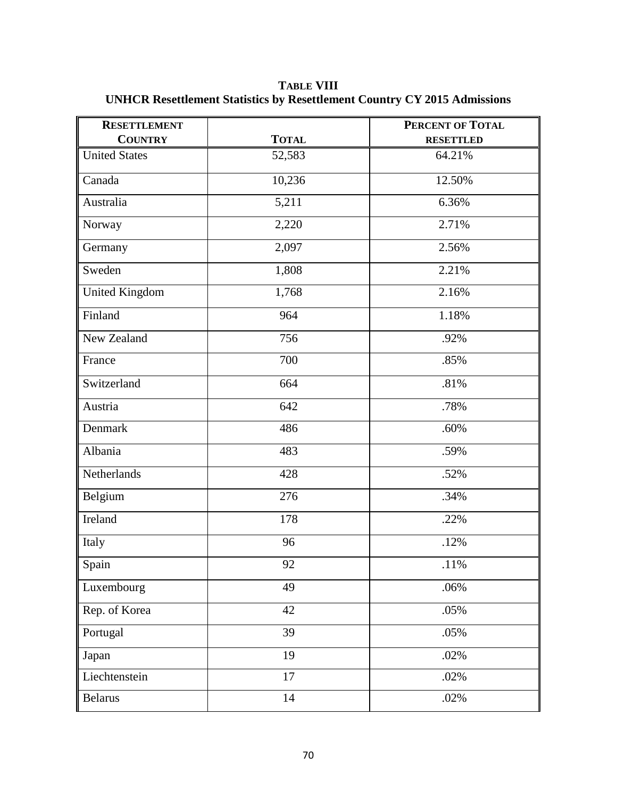**TABLE VIII UNHCR Resettlement Statistics by Resettlement Country CY 2015 Admissions**

| <b>RESETTLEMENT</b>   |              | <b>PERCENT OF TOTAL</b> |
|-----------------------|--------------|-------------------------|
| <b>COUNTRY</b>        | <b>TOTAL</b> | <b>RESETTLED</b>        |
| <b>United States</b>  | 52,583       | 64.21%                  |
| Canada                | 10,236       | 12.50%                  |
| Australia             | 5,211        | 6.36%                   |
| Norway                | 2,220        | 2.71%                   |
| Germany               | 2,097        | 2.56%                   |
| Sweden                | 1,808        | 2.21%                   |
| <b>United Kingdom</b> | 1,768        | 2.16%                   |
| Finland               | 964          | 1.18%                   |
| New Zealand           | 756          | .92%                    |
| France                | 700          | .85%                    |
| Switzerland           | 664          | .81%                    |
| Austria               | 642          | .78%                    |
| Denmark               | 486          | .60%                    |
| Albania               | 483          | .59%                    |
| Netherlands           | 428          | .52%                    |
| Belgium               | 276          | .34%                    |
| Ireland               | 178          | .22%                    |
| Italy                 | 96           | .12%                    |
| Spain                 | 92           | .11%                    |
| Luxembourg            | 49           | .06%                    |
| Rep. of Korea         | 42           | .05%                    |
| Portugal              | 39           | .05%                    |
| Japan                 | 19           | .02%                    |
| Liechtenstein         | 17           | .02%                    |
| <b>Belarus</b>        | 14           | .02%                    |